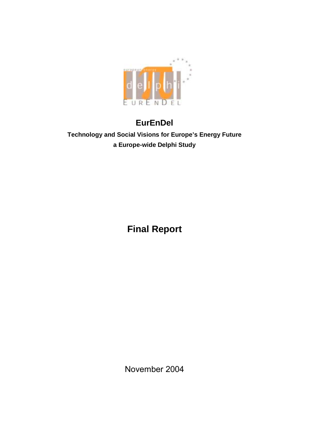

# **EurEnDel**

# **Technology and Social Visions for Europe's Energy Future a Europe-wide Delphi Study**

**Final Report** 

November 2004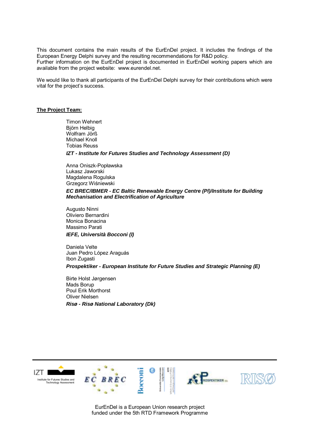This document contains the main results of the EurEnDel project. It includes the findings of the European Energy Delphi survey and the resulting recommendations for R&D policy. Further information on the EurEnDel project is documented in EurEnDel working papers which are available from the project website: www.eurendel.net.

We would like to thank all participants of the EurEnDel Delphi survey for their contributions which were vital for the project's success.

#### **The Project Team:**

Timon Wehnert Björn Helbig Wolfram Jörß Michael Knoll Tobias Reuss *IZT - Institute for Futures Studies and Technology Assessment (D)* 

Anna Oniszk-Popławska Lukasz Jaworski Magdalena Rogulska Grzegorz Wiśniewski

#### *EC BREC/IBMER - EC Baltic Renewable Energy Centre (Pl)/Institute for Building Mechanisation and Electrification of Agriculture*

Augusto Ninni Oliviero Bernardini Monica Bonacina Massimo Parati *IEFE, Università Bocconi (I)* 

Daniela Velte Juan Pedro López Araguás Ibon Zugasti

*Prospektiker - European Institute for Future Studies and Strategic Planning (E)* 

Birte Holst Jørgensen Mads Borup Poul Erik Morthorst Oliver Nielsen

*Risø - Risø National Laboratory (Dk)* 





EurEnDel is a European Union research project funded under the 5th RTD Framework Programme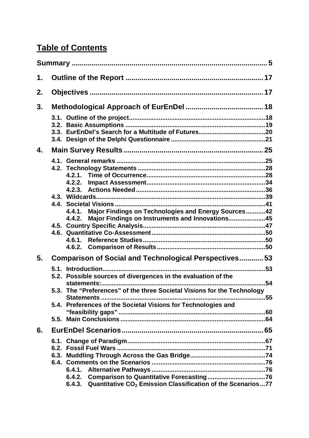# **Table of Contents**

| 1. |                                                                                                                                                                                                                          |  |
|----|--------------------------------------------------------------------------------------------------------------------------------------------------------------------------------------------------------------------------|--|
| 2. |                                                                                                                                                                                                                          |  |
| 3. |                                                                                                                                                                                                                          |  |
|    |                                                                                                                                                                                                                          |  |
| 4. |                                                                                                                                                                                                                          |  |
|    | Major Findings on Technologies and Energy Sources42<br>4.4.1.<br>Major Findings on Instruments and Innovations45<br>4.4.2.<br>4.6.1.                                                                                     |  |
| 5. | <b>Comparison of Social and Technological Perspectives 53</b>                                                                                                                                                            |  |
|    | 5.2. Possible sources of divergences in the evaluation of the<br>statements:<br>5.3. The "Preferences" of the three Societal Visions for the Technology<br>5.4. Preferences of the Societal Visions for Technologies and |  |
| 6. | 6.4.3. Quantitative CO <sub>2</sub> Emission Classification of the Scenarios77                                                                                                                                           |  |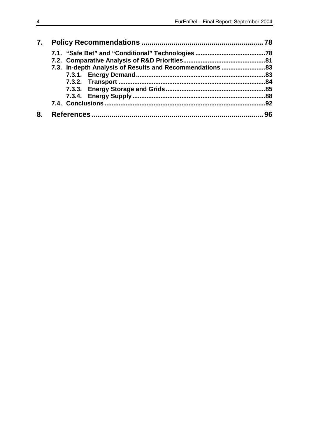|    | 7.3. In-depth Analysis of Results and Recommendations 83 |     |  |
|----|----------------------------------------------------------|-----|--|
|    |                                                          |     |  |
|    |                                                          |     |  |
|    |                                                          |     |  |
|    |                                                          |     |  |
|    |                                                          | .92 |  |
| 8. |                                                          | 96  |  |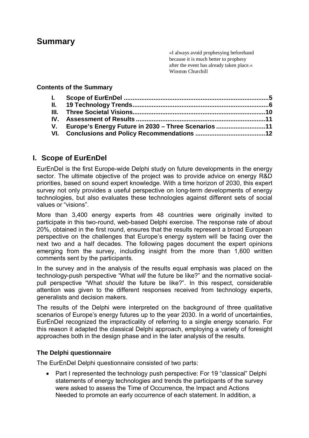# **Summary**

»I always avoid prophesying beforehand because it is much better to prophesy after the event has already taken place.« Winston Churchill

#### **Contents of the Summary**

| V. Europe's Energy Future in 2030 - Three Scenarios 11 |  |
|--------------------------------------------------------|--|
|                                                        |  |

# **I. Scope of EurEnDel**

EurEnDel is the first Europe-wide Delphi study on future developments in the energy sector. The ultimate objective of the project was to provide advice on energy R&D priorities, based on sound expert knowledge. With a time horizon of 2030, this expert survey not only provides a useful perspective on long-term developments of energy technologies, but also evaluates these technologies against different sets of social values or "visions".

More than 3,400 energy experts from 48 countries were originally invited to participate in this two-round, web-based Delphi exercise. The response rate of about 20%, obtained in the first round, ensures that the results represent a broad European perspective on the challenges that Europe's energy system will be facing over the next two and a half decades. The following pages document the expert opinions emerging from the survey, including insight from the more than 1,600 written comments sent by the participants.

In the survey and in the analysis of the results equal emphasis was placed on the technology-push perspective "What *will* the future be like?" and the normative socialpull perspective "What *should* the future be like?". In this respect, considerable attention was given to the different responses received from technology experts, generalists and decision makers.

The results of the Delphi were interpreted on the background of three qualitative scenarios of Europe's energy futures up to the year 2030. In a world of uncertainties, EurEnDel recognized the impracticality of referring to a single energy scenario. For this reason it adapted the classical Delphi approach, employing a variety of foresight approaches both in the design phase and in the later analysis of the results.

#### **The Delphi questionnaire**

The EurEnDel Delphi questionnaire consisted of two parts:

• Part I represented the technology push perspective: For 19 "classical" Delphi statements of energy technologies and trends the participants of the survey were asked to assess the Time of Occurrence, the Impact and Actions Needed to promote an early occurrence of each statement. In addition, a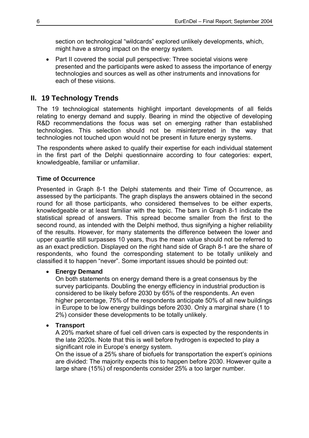section on technological "wildcards" explored unlikely developments, which, might have a strong impact on the energy system.

• Part II covered the social pull perspective: Three societal visions were presented and the participants were asked to assess the importance of energy technologies and sources as well as other instruments and innovations for each of these visions.

# **II. 19 Technology Trends**

The 19 technological statements highlight important developments of all fields relating to energy demand and supply. Bearing in mind the objective of developing R&D recommendations the focus was set on emerging rather than established technologies. This selection should not be misinterpreted in the way that technologies not touched upon would not be present in future energy systems.

The respondents where asked to qualify their expertise for each individual statement in the first part of the Delphi questionnaire according to four categories: expert, knowledgeable, familiar or unfamiliar.

#### **Time of Occurrence**

Presented in Graph 8-1 the Delphi statements and their Time of Occurrence, as assessed by the participants. The graph displays the answers obtained in the second round for all those participants, who considered themselves to be either experts, knowledgeable or at least familiar with the topic. The bars in Graph 8-1 indicate the statistical spread of answers. This spread become smaller from the first to the second round, as intended with the Delphi method, thus signifying a higher reliability of the results. However, for many statements the difference between the lower and upper quartile still surpasses 10 years, thus the mean value should not be referred to as an exact prediction. Displayed on the right hand side of Graph 8-1 are the share of respondents, who found the corresponding statement to be totally unlikely and classified it to happen "never". Some important issues should be pointed out:

#### • **Energy Demand**

On both statements on energy demand there is a great consensus by the survey participants. Doubling the energy efficiency in industrial production is considered to be likely before 2030 by 65% of the respondents. An even higher percentage, 75% of the respondents anticipate 50% of all new buildings in Europe to be low energy buildings before 2030. Only a marginal share (1 to 2%) consider these developments to be totally unlikely.

#### • **Transport**

A 20% market share of fuel cell driven cars is expected by the respondents in the late 2020s. Note that this is well before hydrogen is expected to play a significant role in Europe's energy system.

On the issue of a 25% share of biofuels for transportation the expert's opinions are divided: The majority expects this to happen before 2030. However quite a large share (15%) of respondents consider 25% a too larger number.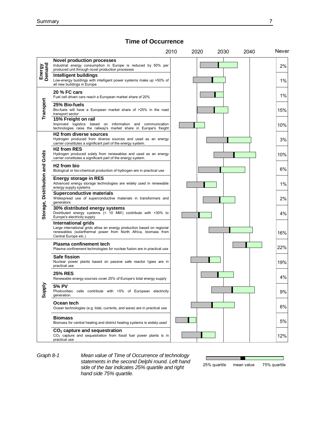### **Time of Occurrence**

|                                 |                                                                                                                                                                                         | 2010 | 2020 | 2030 | 2040 | <b>Never</b> |
|---------------------------------|-----------------------------------------------------------------------------------------------------------------------------------------------------------------------------------------|------|------|------|------|--------------|
| Demand<br>Energy                | <b>Novel production processes</b><br>Industrial energy consumption in Europe is reduced by 50% per<br>produced unit through novel production processes                                  |      |      |      |      | 2%           |
|                                 | Intelligent buildings<br>Low-energy buildings with intelligent power systems make up >50% of<br>all new buildings in Europe                                                             |      |      |      |      | 1%           |
|                                 | 20 % FC cars<br>Fuel cell driven cars reach a European market share of 20%                                                                                                              |      |      |      |      | 1%           |
| Transport                       | 25% Bio-fuels<br>Bio-fuels will have a European market share of >25% in the road<br>transport sector                                                                                    |      |      |      |      | 15%          |
|                                 | 15% Freight on rail<br>Improved logistics based on information and communication<br>technologies raise the railway's market share in Europe's freight                                   |      |      |      |      | 10%          |
|                                 | <b>H2 from diverse sources</b><br>Hydrogen produced from diverse sources and used as an energy<br>carrier constitutes a significant part of the energy system.                          |      |      |      |      | 3%           |
|                                 | H <sub>2</sub> from RES<br>Hydrogen produced solely from renewables and used as an energy<br>carrier constitutes a significant part of the energy system.                               |      |      |      |      | 10%          |
| Storage, Distribution and Grids | H <sub>2</sub> from bio<br>Biological or bio-chemical production of hydrogen are in practical use                                                                                       |      |      |      |      | 6%           |
|                                 | <b>Energy storage in RES</b><br>Advanced energy storage technologies are widely used in renewable<br>energy supply systems                                                              |      |      |      |      | 1%           |
|                                 | Superconductive materials<br>Widespread use of superconductive materials in transformers and<br>generators                                                                              |      |      |      |      | 2%           |
|                                 | 30% distributed energy systems<br>Distributed energy systems (< 10 MW) contribute with >30% to<br>Europe's electricity supply                                                           |      |      |      |      | 4%           |
|                                 | International grids<br>Large international grids allow an energy production based on regional<br>renewables (solarthermal power from North Africa, biomass from<br>Central Europe etc.) |      |      |      |      | 16%          |
|                                 | <b>Plasma confinement tech</b><br>Plasma confinement technologies for nuclear fusion are in practical use                                                                               |      |      |      |      | 22%          |
|                                 | <b>Safe fission</b><br>Nuclear power plants based on passive safe reactor types are in<br>practical use                                                                                 |      |      |      |      | 19%          |
|                                 | 25% RES<br>Renewable energy sources cover 25% of Europe's total energy supply                                                                                                           |      |      |      |      | 4%           |
| <b>Supply</b>                   | 5% PV<br>Photovoltaic cells contribute with >5% of European electricity<br>generation                                                                                                   |      |      |      |      | 9%           |
|                                 | Ocean tech<br>Ocean technologies (e.g. tidal, currents, and wave) are in practical use                                                                                                  |      |      |      |      | 6%           |
|                                 | <b>Biomass</b><br>Biomass for central heating and district heating systems is widely used                                                                                               |      |      |      |      | 5%           |
|                                 | $CO2$ capture and sequestration<br>$CO2$ capture and sequestration from fossil fuel power plants is in<br>practical use                                                                 |      |      |      |      | 12%          |

*Graph 8-1 Mean value of Time of Occurrence of technology statements in the second Delphi round. Left hand side of the bar indicates 25% quartile and right hand side 75% quartile.* 

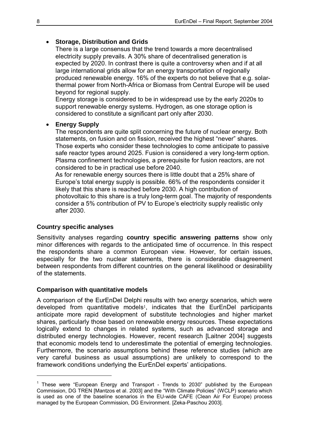# • **Storage, Distribution and Grids**

There is a large consensus that the trend towards a more decentralised electricity supply prevails. A 30% share of decentralised generation is expected by 2020. In contrast there is quite a controversy when and if at all large international grids allow for an energy transportation of regionally produced renewable energy. 16% of the experts do not believe that e.g. solarthermal power from North-Africa or Biomass from Central Europe will be used beyond for regional supply.

Energy storage is considered to be in widespread use by the early 2020s to support renewable energy systems. Hydrogen, as one storage option is considered to constitute a significant part only after 2030.

### • **Energy Supply**

The respondents are quite split concerning the future of nuclear energy. Both statements, on fusion and on fission, received the highest "never" shares. Those experts who consider these technologies to come anticipate to passive safe reactor types around 2025. Fusion is considered a very long-term option. Plasma confinement technologies, a prerequisite for fusion reactors, are not considered to be in practical use before 2040.

As for renewable energy sources there is little doubt that a 25% share of Europe's total energy supply is possible. 66% of the respondents consider it likely that this share is reached before 2030. A high contribution of photovoltaic to this share is a truly long-term goal. The majority of respondents consider a 5% contribution of PV to Europe's electricity supply realistic only after 2030.

#### **Country specific analyses**

 $\overline{a}$ 

Sensitivity analyses regarding **country specific answering patterns** show only minor differences with regards to the anticipated time of occurrence. In this respect the respondents share a common European view. However, for certain issues, especially for the two nuclear statements, there is considerable disagreement between respondents from different countries on the general likelihood or desirability of the statements.

### **Comparison with quantitative models**

A comparison of the EurEnDel Delphi results with two energy scenarios, which were developed from quantitative models1, indicates that the EurEnDel participants anticipate more rapid development of substitute technologies and higher market shares, particularly those based on renewable energy resources. These expectations logically extend to changes in related systems, such as advanced storage and distributed energy technologies. However, recent research [Laitner 2004] suggests that economic models tend to underestimate the potential of emerging technologies. Furthermore, the scenario assumptions behind these reference studies (which are very careful business as usual assumptions) are unlikely to correspond to the framework conditions underlying the EurEnDel experts' anticipations.

<sup>&</sup>lt;sup>1</sup> These were "European Energy and Transport - Trends to 2030" published by the European Commission, DG TREN [Mantzos et al. 2003] and the "With Climate Policies" (WCLP) scenario which is used as one of the baseline scenarios in the EU-wide CAFE (Clean Air For Europe) process managed by the European Commission, DG Environment. [Zeka-Paschou 2003].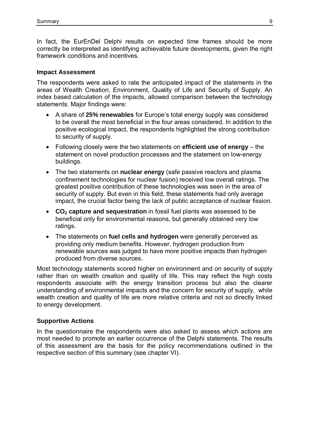In fact, the EurEnDel Delphi results on expected time frames should be more correctly be interpreted as identifying achievable future developments, given the right framework conditions and incentives.

#### **Impact Assessment**

The respondents were asked to rate the anticipated impact of the statements in the areas of Wealth Creation, Environment, Quality of Life and Security of Supply. An index based calculation of the impacts, allowed comparison between the technology statements. Major findings were:

- A share of 25% renewables for Europe's total energy supply was considered to be overall the most beneficial in the four areas considered. In addition to the positive ecological impact, the respondents highlighted the strong contribution to security of supply.
- Following closely were the two statements on **efficient use of energy** the statement on novel production processes and the statement on low-energy buildings.
- The two statements on **nuclear energy** (safe passive reactors and plasma confinement technologies for nuclear fusion) received low overall ratings. The greatest positive contribution of these technologies was seen in the area of security of supply. But even in this field, these statements had only average impact, the crucial factor being the lack of public acceptance of nuclear fission.
- CO<sub>2</sub> capture and sequestration in fossil fuel plants was assessed to be beneficial only for environmental reasons, but generally obtained very low ratings.
- The statements on **fuel cells and hydrogen** were generally perceived as providing only medium benefits. However, hydrogen production from renewable sources was judged to have more positive impacts than hydrogen produced from diverse sources.

Most technology statements scored higher on environment and on security of supply rather than on wealth creation and quality of life. This may reflect the high costs respondents associate with the energy transition process but also the clearer understanding of environmental impacts and the concern for security of supply, while wealth creation and quality of life are more relative criteria and not so directly linked to energy development.

#### **Supportive Actions**

In the questionnaire the respondents were also asked to assess which actions are most needed to promote an earlier occurrence of the Delphi statements. The results of this assessment are the basis for the policy recommendations outlined in the respective section of this summary (see chapter VI).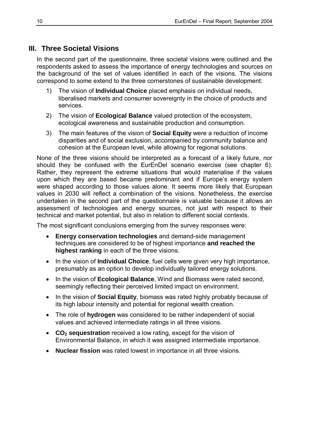### **III. Three Societal Visions**

In the second part of the questionnaire, three societal visions were outlined and the respondents asked to assess the importance of energy technologies and sources on the background of the set of values identified in each of the visions. The visions correspond to some extend to the three cornerstones of sustainable development:

- 1) The vision of **Individual Choice** placed emphasis on individual needs, liberalised markets and consumer sovereignty in the choice of products and services.
- 2) The vision of **Ecological Balance** valued protection of the ecosystem, ecological awareness and sustainable production and consumption.
- 3) The main features of the vision of **Social Equity** were a reduction of income disparities and of social exclusion, accompanied by community balance and cohesion at the European level, while allowing for regional solutions.

None of the three visions should be interpreted as a forecast of a likely future, nor should they be confused with the EurEnDel scenario exercise (see chapter 6). Rather, they represent the extreme situations that would materialise if the values upon which they are based became predominant and if Europe's energy system were shaped according to those values alone. It seems more likely that European values in 2030 will reflect a combination of the visions. Nonetheless, the exercise undertaken in the second part of the questionnaire is valuable because it allows an assessment of technologies and energy sources, not just with respect to their technical and market potential, but also in relation to different social contexts.

The most significant conclusions emerging from the survey responses were:

- **Energy conservation technologies** and demand-side management techniques are considered to be of highest importance **and reached the highest ranking** in each of the three visions.
- In the vision of **Individual Choice**, fuel cells were given very high importance, presumably as an option to develop individually tailored energy solutions.
- In the vision of **Ecological Balance**, Wind and Biomass were rated second, seemingly reflecting their perceived limited impact on environment.
- In the vision of **Social Equity**, biomass was rated highly probably because of its high labour intensity and potential for regional wealth creation.
- The role of **hydrogen** was considered to be rather independent of social values and achieved intermediate ratings in all three visions.
- **CO<sub>2</sub> sequestration** received a low rating, except for the vision of Environmental Balance, in which it was assigned intermediate importance.
- **Nuclear fission** was rated lowest in importance in all three visions.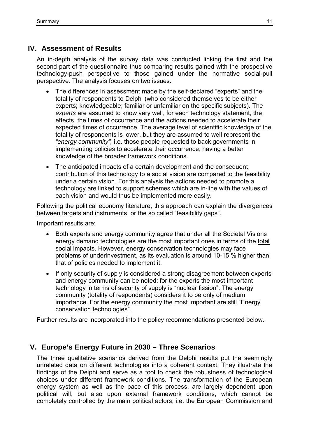# **IV. Assessment of Results**

An in-depth analysis of the survey data was conducted linking the first and the second part of the questionnaire thus comparing results gained with the prospective technology-push perspective to those gained under the normative social-pull perspective. The analysis focuses on two issues:

- The differences in assessment made by the self-declared "experts" and the totality of respondents to Delphi (who considered themselves to be either experts; knowledgeable; familiar or unfamiliar on the specific subjects). The *experts* are assumed to know very well, for each technology statement, the effects, the times of occurrence and the actions needed to accelerate their expected times of occurrence. The average level of scientific knowledge of the totality of respondents is lower, but they are assumed to well represent the *"energy community",* i.e. those people requested to back governments in implementing policies to accelerate their occurrence, having a better knowledge of the broader framework conditions.
- The anticipated impacts of a certain development and the consequent contribution of this technology to a social vision are compared to the feasibility under a certain vision. For this analysis the actions needed to promote a technology are linked to support schemes which are in-line with the values of each vision and would thus be implemented more easily.

Following the political economy literature, this approach can explain the divergences between targets and instruments, or the so called "feasibility gaps".

Important results are:

- Both experts and energy community agree that under all the Societal Visions energy demand technologies are the most important ones in terms of the total social impacts. However, energy conservation technologies may face problems of underinvestment, as its evaluation is around 10-15 % higher than that of policies needed to implement it.
- If only security of supply is considered a strong disagreement between experts and energy community can be noted: for the experts the most important technology in terms of security of supply is "nuclear fission". The energy community (totality of respondents) considers it to be only of medium importance. For the energy community the most important are still "Energy conservation technologies".

Further results are incorporated into the policy recommendations presented below.

# **V. Europe's Energy Future in 2030 – Three Scenarios**

The three qualitative scenarios derived from the Delphi results put the seemingly unrelated data on different technologies into a coherent context. They illustrate the findings of the Delphi and serve as a tool to check the robustness of technological choices under different framework conditions. The transformation of the European energy system as well as the pace of this process, are largely dependent upon political will, but also upon external framework conditions, which cannot be completely controlled by the main political actors, i.e. the European Commission and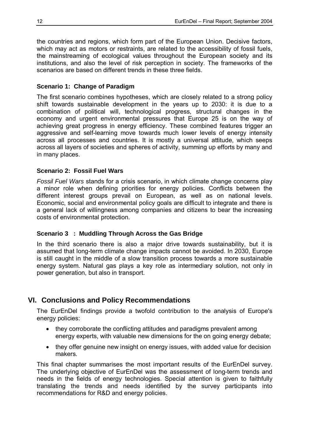the countries and regions, which form part of the European Union. Decisive factors, which may act as motors or restraints, are related to the accessibility of fossil fuels, the mainstreaming of ecological values throughout the European society and its institutions, and also the level of risk perception in society. The frameworks of the scenarios are based on different trends in these three fields.

#### **Scenario 1: Change of Paradigm**

The first scenario combines hypotheses, which are closely related to a strong policy shift towards sustainable development in the years up to 2030: it is due to a combination of political will, technological progress, structural changes in the economy and urgent environmental pressures that Europe 25 is on the way of achieving great progress in energy efficiency. These combined features trigger an aggressive and self-learning move towards much lower levels of energy intensity across all processes and countries. It is mostly a universal attitude, which seeps across all layers of societies and spheres of activity, summing up efforts by many and in many places.

#### **Scenario 2: Fossil Fuel Wars**

*Fossil Fuel Wars* stands for a crisis scenario, in which climate change concerns play a minor role when defining priorities for energy policies. Conflicts between the different interest groups prevail on European, as well as on national levels. Economic, social and environmental policy goals are difficult to integrate and there is a general lack of willingness among companies and citizens to bear the increasing costs of environmental protection.

#### **Scenario 3 : Muddling Through Across the Gas Bridge**

In the third scenario there is also a major drive towards sustainability, but it is assumed that long-term climate change impacts cannot be avoided. In 2030, Europe is still caught in the middle of a slow transition process towards a more sustainable energy system. Natural gas plays a key role as intermediary solution, not only in power generation, but also in transport.

# **VI. Conclusions and Policy Recommendations**

The EurEnDel findings provide a twofold contribution to the analysis of Europe's energy policies:

- they corroborate the conflicting attitudes and paradigms prevalent among energy experts, with valuable new dimensions for the on going energy debate;
- they offer genuine new insight on energy issues, with added value for decision makers.

This final chapter summarises the most important results of the EurEnDel survey. The underlying objective of EurEnDel was the assessment of long-term trends and needs in the fields of energy technologies. Special attention is given to faithfully translating the trends and needs identified by the survey participants into recommendations for R&D and energy policies.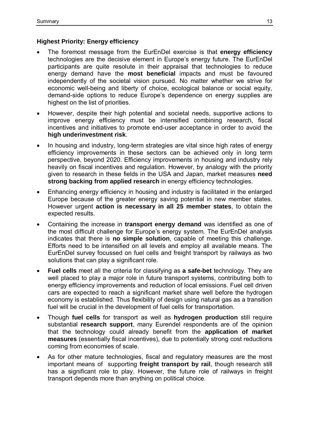#### **Highest Priority: Energy efficiency**

- The foremost message from the EurEnDel exercise is that **energy efficiency** technologies are the decisive element in Europe's energy future. The EurEnDel participants are quite resolute in their appraisal that technologies to reduce energy demand have the **most beneficial** impacts and must be favoured independently of the societal vision pursued. No matter whether we strive for economic well-being and liberty of choice, ecological balance or social equity, demand-side options to reduce Europe's dependence on energy supplies are highest on the list of priorities.
- However, despite their high potential and societal needs, supportive actions to improve energy efficiency must be intensified combining research, fiscal incentives and initiatives to promote end-user acceptance in order to avoid the **high underinvestment risk**.
- In housing and industry, long-term strategies are vital since high rates of energy efficiency improvements in these sectors can be achieved only in long term perspective, beyond 2020. Efficiency improvements in housing and industry rely heavily on fiscal incentives and regulation. However, by analogy with the priority given to research in these fields in the USA and Japan, market measures **need strong backing from applied research** in energy efficiency technologies.
- Enhancing energy efficiency in housing and industry is facilitated in the enlarged Europe because of the greater energy saving potential in new member states. However urgent **action is necessary in all 25 member states**, to obtain the expected results.
- Containing the increase in **transport energy demand** was identified as one of the most difficult challenge for Europe's energy system. The EurEnDel analysis indicates that there is **no simple solution**, capable of meeting this challenge. Efforts need to be intensified on all levels and employ all available means. The EurEnDel survey focussed on fuel cells and freight transport by railways as two solutions that can play a significant role.
- **Fuel cells** meet all the criteria for classifying as **a safe-bet** technology. They are well placed to play a major role in future transport systems, contributing both to energy efficiency improvements and reduction of local emissions. Fuel cell driven cars are expected to reach a significant market share well before the hydrogen economy is established. Thus flexibility of design using natural gas as a transition fuel will be crucial in the development of fuel cells for transportation.
- Though **fuel cells** for transport as well as **hydrogen production** still require substantial **research support**, many Eurendel respondents are of the opinion that the technology could already benefit from the **application of market measures** (essentially fiscal incentives), due to potentially strong cost reductions coming from economies of scale.
- As for other mature technologies, fiscal and regulatory measures are the most important means of supporting **freight transport by rail**, though research still has a significant role to play. However, the future role of railways in freight transport depends more than anything on political choice.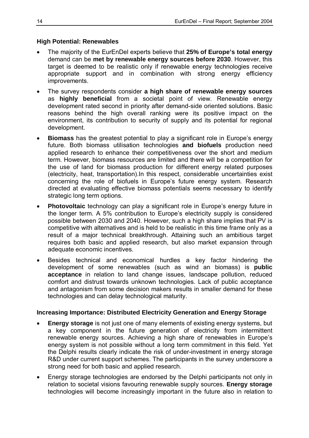#### **High Potential: Renewables**

- The majority of the EurEnDel experts believe that **25% of Europe's total energy** demand can be **met by renewable energy sources before 2030**. However, this target is deemed to be realistic only if renewable energy technologies receive appropriate support and in combination with strong energy efficiency improvements.
- The survey respondents consider **a high share of renewable energy sources**  as **highly beneficial** from a societal point of view. Renewable energy development rated second in priority after demand-side oriented solutions. Basic reasons behind the high overall ranking were its positive impact on the environment, its contribution to security of supply and its potential for regional development.
- **Biomass** has the greatest potential to play a significant role in Europe's energy future. Both biomass utilisation technologies **and biofuels** production need applied research to enhance their competitiveness over the short and medium term. However, biomass resources are limited and there will be a competition for the use of land for biomass production for different energy related purposes (electricity, heat, transportation).In this respect, considerable uncertainties exist concerning the role of biofuels in Europe's future energy system. Research directed at evaluating effective biomass potentials seems necessary to identify strategic long term options.
- **Photovoltaic** technology can play a significant role in Europe's energy future in the longer term. A 5% contribution to Europe's electricity supply is considered possible between 2030 and 2040. However, such a high share implies that PV is competitive with alternatives and is held to be realistic in this time frame only as a result of a major technical breakthrough. Attaining such an ambitious target requires both basic and applied research, but also market expansion through adequate economic incentives.
- Besides technical and economical hurdles a key factor hindering the development of some renewables (such as wind an biomass) is **public acceptance** in relation to land change issues, landscape pollution, reduced comfort and distrust towards unknown technologies. Lack of public acceptance and antagonism from some decision makers results in smaller demand for these technologies and can delay technological maturity.

#### **Increasing Importance: Distributed Electricity Generation and Energy Storage**

- **Energy storage** is not just one of many elements of existing energy systems, but a key component in the future generation of electricity from intermittent renewable energy sources. Achieving a high share of renewables in Europe's energy system is not possible without a long term commitment in this field. Yet the Delphi results clearly indicate the risk of under-investment in energy storage R&D under current support schemes. The participants in the survey underscore a strong need for both basic and applied research.
- Energy storage technologies are endorsed by the Delphi participants not only in relation to societal visions favouring renewable supply sources. **Energy storage** technologies will become increasingly important in the future also in relation to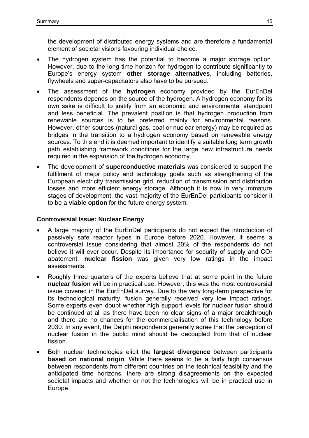the development of distributed energy systems and are therefore a fundamental element of societal visions favouring individual choice.

- The hydrogen system has the potential to become a major storage option. However, due to the long time horizon for hydrogen to contribute significantly to Europeís energy system **other storage alternatives**, including batteries, flywheels and super-capacitators also have to be pursued.
- The assessment of the **hydrogen** economy provided by the EurEnDel respondents depends on the source of the hydrogen. A hydrogen economy for its own sake is difficult to justify from an economic and environmental standpoint and less beneficial. The prevalent position is that hydrogen production from renewable sources is to be preferred mainly for environmental reasons. However, other sources (natural gas, coal or nuclear energy) may be required as bridges in the transition to a hydrogen economy based on renewable energy sources. To this end it is deemed important to identify a suitable long term growth path establishing framework conditions for the large new infrastructure needs required in the expansion of the hydrogen economy.
- The development of **superconductive materials** was considered to support the fulfilment of major policy and technology goals such as strengthening of the European electricity transmission grid, reduction of transmission and distribution losses and more efficient energy storage. Although it is now in very immature stages of development, the vast majority of the EurEnDel participants consider it to be a **viable option** for the future energy system.

#### **Controversial Issue: Nuclear Energy**

- A large majority of the EurEnDel participants do not expect the introduction of passively safe reactor types in Europe before 2020. However, it seems a controversial issue considering that almost 20% of the respondents do not believe it will ever occur. Despite its importance for security of supply and  $CO<sub>2</sub>$ abatement, **nuclear fission** was given very low ratings in the impact assessments.
- Roughly three quarters of the experts believe that at some point in the future **nuclear fusion** will be in practical use. However, this was the most controversial issue covered in the EurEnDel survey. Due to the very long-term perspective for its technological maturity, fusion generally received very low impact ratings. Some experts even doubt whether high support levels for nuclear fusion should be continued at all as there have been no clear signs of a major breakthrough and there are no chances for the commercialisation of this technology before 2030. In any event, the Delphi respondents generally agree that the perception of nuclear fusion in the public mind should be decoupled from that of nuclear fission.
- Both nuclear technologies elicit the **largest divergence** between participants **based on national origin**. While there seems to be a fairly high consensus between respondents from different countries on the technical feasibility and the anticipated time horizons, there are strong disagreements on the expected societal impacts and whether or not the technologies will be in practical use in Europe.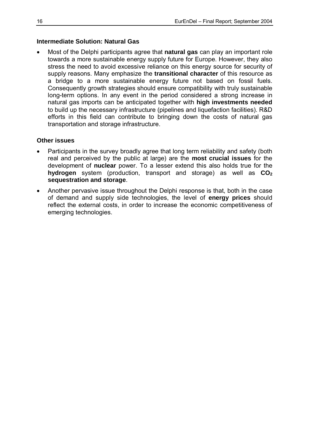#### **Intermediate Solution: Natural Gas**

• Most of the Delphi participants agree that **natural gas** can play an important role towards a more sustainable energy supply future for Europe. However, they also stress the need to avoid excessive reliance on this energy source for security of supply reasons. Many emphasize the **transitional character** of this resource as a bridge to a more sustainable energy future not based on fossil fuels. Consequently growth strategies should ensure compatibility with truly sustainable long-term options. In any event in the period considered a strong increase in natural gas imports can be anticipated together with **high investments needed**  to build up the necessary infrastructure (pipelines and liquefaction facilities). R&D efforts in this field can contribute to bringing down the costs of natural gas transportation and storage infrastructure.

#### **Other issues**

- Participants in the survey broadly agree that long term reliability and safety (both real and perceived by the public at large) are the **most crucial issues** for the development of **nuclear** power. To a lesser extend this also holds true for the **hydrogen** system (production, transport and storage) as well as  $CO<sub>2</sub>$ **sequestration and storage**.
- Another pervasive issue throughout the Delphi response is that, both in the case of demand and supply side technologies, the level of **energy prices** should reflect the external costs, in order to increase the economic competitiveness of emerging technologies.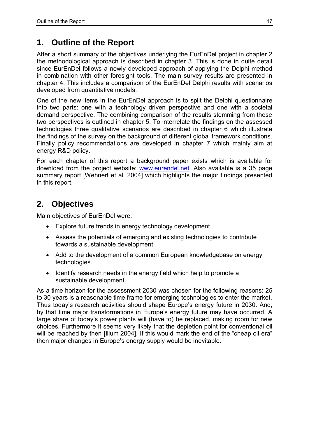# **1. Outline of the Report**

After a short summary of the objectives underlying the EurEnDel project in chapter 2 the methodological approach is described in chapter 3. This is done in quite detail since EurEnDel follows a newly developed approach of applying the Delphi method in combination with other foresight tools. The main survey results are presented in chapter 4. This includes a comparison of the EurEnDel Delphi results with scenarios developed from quantitative models.

One of the new items in the EurEnDel approach is to split the Delphi questionnaire into two parts: one with a technology driven perspective and one with a societal demand perspective. The combining comparison of the results stemming from these two perspectives is outlined in chapter 5. To interrelate the findings on the assessed technologies three qualitative scenarios are described in chapter 6 which illustrate the findings of the survey on the background of different global framework conditions. Finally policy recommendations are developed in chapter 7 which mainly aim at energy R&D policy.

For each chapter of this report a background paper exists which is available for download from the project website: www.eurendel.net. Also available is a 35 page summary report [Wehnert et al. 2004] which highlights the major findings presented in this report.

# **2. Objectives**

Main objectives of EurEnDel were:

- Explore future trends in energy technology development.
- Assess the potentials of emerging and existing technologies to contribute towards a sustainable development.
- Add to the development of a common European knowledgebase on energy technologies.
- Identify research needs in the energy field which help to promote a sustainable development.

As a time horizon for the assessment 2030 was chosen for the following reasons: 25 to 30 years is a reasonable time frame for emerging technologies to enter the market. Thus today's research activities should shape Europe's energy future in 2030. And, by that time major transformations in Europe's energy future may have occurred. A large share of today's power plants will (have to) be replaced, making room for new choices. Furthermore it seems very likely that the depletion point for conventional oil will be reached by then [Illum 2004]. If this would mark the end of the "cheap oil era" then major changes in Europe's energy supply would be inevitable.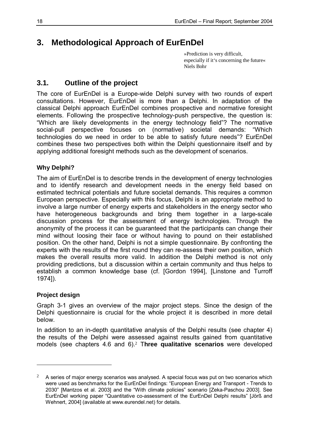# **3. Methodological Approach of EurEnDel**

»Prediction is very difficult, especially if it's concerning the future« Niels Bohr

# **3.1. Outline of the project**

The core of EurEnDel is a Europe-wide Delphi survey with two rounds of expert consultations. However, EurEnDel is more than a Delphi. In adaptation of the classical Delphi approach EurEnDel combines prospective and normative foresight elements. Following the prospective technology-push perspective, the question is: ìWhich are likely developments in the energy technology fieldî? The normative social-pull perspective focuses on (normative) societal demands: "Which technologies do we need in order to be able to satisfy future needs"? EurEnDel combines these two perspectives both within the Delphi questionnaire itself and by applying additional foresight methods such as the development of scenarios.

#### **Why Delphi?**

The aim of EurEnDel is to describe trends in the development of energy technologies and to identify research and development needs in the energy field based on estimated technical potentials and future societal demands. This requires a common European perspective. Especially with this focus, Delphi is an appropriate method to involve a large number of energy experts and stakeholders in the energy sector who have heterogeneous backgrounds and bring them together in a large-scale discussion process for the assessment of energy technologies. Through the anonymity of the process it can be guaranteed that the participants can change their mind without loosing their face or without having to pound on their established position. On the other hand, Delphi is not a simple questionnaire. By confronting the experts with the results of the first round they can re-assess their own position, which makes the overall results more valid. In addition the Delphi method is not only providing predictions, but a discussion within a certain community and thus helps to establish a common knowledge base (cf. [Gordon 1994], [Linstone and Turroff 1974]).

#### **Project design**

 $\overline{a}$ 

Graph 3-1 gives an overview of the major project steps. Since the design of the Delphi questionnaire is crucial for the whole project it is described in more detail below.

In addition to an in-depth quantitative analysis of the Delphi results (see chapter 4) the results of the Delphi were assessed against results gained from quantitative models (see chapters 4.6 and 6).2 T**hree qualitative scenarios** were developed

<sup>2</sup> A series of major energy scenarios was analysed. A special focus was put on two scenarios which were used as benchmarks for the EurEnDel findings: "European Energy and Transport - Trends to 2030" [Mantzos et al. 2003] and the "With climate policies" scenario [Zeka-Paschou 2003]. See EurEnDel working paper "Quantitative co-assessment of the EurEnDel Delphi results" [Jörß and Wehnert, 2004] (available at www.eurendel.net) for details.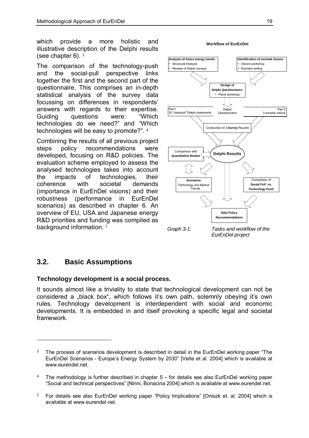which provide a more holistic and illustrative description of the Delphi results (see chapter 6). <sup>3</sup>

The comparison of the technology-push and the social-pull perspective links together the first and the second part of the questionnaire. This comprises an in-depth statistical analysis of the survey data focussing on differences in respondents' answers with regards to their expertise. Guiding questions were: "Which technologies do we need?" and "Which technologies will be easy to promote?". 4

Combining the results of all previous project steps policy recommendations were developed, focusing on R&D policies. The evaluation scheme employed to assess the analysed technologies takes into account the impacts of technologies, their coherence with societal demands (importance in EurEnDel visions) and their robustness (performance in EurEnDel scenarios) as described in chapter 6. An overview of EU, USA and Japanese energy R&D priorities and funding was compiled as background information. <sup>5</sup>

# **3.2. Basic Assumptions**

l

#### **Technology development is a social process.**

It sounds almost like a triviality to state that technological development can not be considered a "black box", which follows it's own path, solemnly obeying it's own rules. Technology development is interdependent with social and economic developments. It is embedded in and itself provoking a specific legal and societal framework.

# **Workflow of EurEnDel**



 $3$  The process of scenarios development is described in detail in the EurEnDel working paper "The EurEnDel Scenarios - Europe's Energy System by 2030" [Velte et al. 2004] which is available at www.eurendel.net.

<sup>&</sup>lt;sup>4</sup> The methodology is further described in chapter  $5 -$  for details see also EurEnDel working paper ìSocial and technical perspectivesî [Ninni, Bonacina 2004] which is available at www.eurendel.net.

 $5$  For details see also EurEnDel working paper "Policy Implications" [Oniszk et. al. 2004] which is available at www.eurendel.net.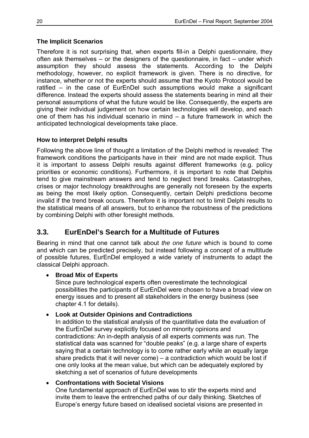### **The Implicit Scenarios**

Therefore it is not surprising that, when experts fill-in a Delphi questionnaire, they often ask themselves  $-$  or the designers of the questionnaire, in fact  $-$  under which assumption they should assess the statements. According to the Delphi methodology, however, no explicit framework is given. There is no directive, for instance, whether or not the experts should assume that the Kyoto Protocol would be ratified  $-$  in the case of EurEnDel such assumptions would make a significant difference. Instead the experts should assess the statements bearing in mind all their personal assumptions of what the future would be like. Consequently, the experts are giving their individual judgement on how certain technologies will develop, and each one of them has his individual scenario in mind  $-$  a future framework in which the anticipated technological developments take place.

#### **How to interpret Delphi results**

Following the above line of thought a limitation of the Delphi method is revealed: The framework conditions the participants have in their mind are not made explicit. Thus it is important to assess Delphi results against different frameworks (e.g. policy priorities or economic conditions). Furthermore, it is important to note that Delphis tend to give mainstream answers and tend to neglect trend breaks. Catastrophes, crises or major technology breakthroughs are generally not foreseen by the experts as being the most likely option. Consequently, certain Delphi predictions become invalid if the trend break occurs. Therefore it is important not to limit Delphi results to the statistical means of all answers, but to enhance the robustness of the predictions by combining Delphi with other foresight methods.

# **3.3. EurEnDel's Search for a Multitude of Futures**

Bearing in mind that one cannot talk about *the one future* which is bound to come and which can be predicted precisely, but instead following a concept of a multitude of possible futures, EurEnDel employed a wide variety of instruments to adapt the classical Delphi approach.

#### • **Broad Mix of Experts**

Since pure technological experts often overestimate the technological possibilities the participants of EurEnDel were chosen to have a broad view on energy issues and to present all stakeholders in the energy business (see chapter 4.1 for details).

#### • **Look at Outsider Opinions and Contradictions**

In addition to the statistical analysis of the quantitative data the evaluation of the EurEnDel survey explicitly focused on minority opinions and contradictions: An in-depth analysis of all experts comments was run. The statistical data was scanned for "double peaks" (e.g. a large share of experts saying that a certain technology is to come rather early while an equally large share predicts that it will never come)  $-$  a contradiction which would be lost if one only looks at the mean value, but which can be adequately explored by sketching a set of scenarios of future developments

#### • **Confrontations with Societal Visions**

One fundamental approach of EurEnDel was to stir the experts mind and invite them to leave the entrenched paths of our daily thinking. Sketches of Europe's energy future based on idealised societal visions are presented in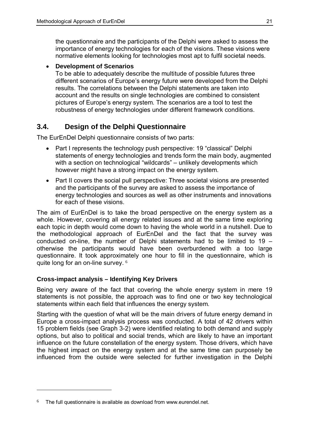the questionnaire and the participants of the Delphi were asked to assess the importance of energy technologies for each of the visions. These visions were normative elements looking for technologies most apt to fulfil societal needs.

#### • **Development of Scenarios**

To be able to adequately describe the multitude of possible futures three different scenarios of Europe's energy future were developed from the Delphi results. The correlations between the Delphi statements are taken into account and the results on single technologies are combined to consistent pictures of Europe's energy system. The scenarios are a tool to test the robustness of energy technologies under different framework conditions.

# **3.4. Design of the Delphi Questionnaire**

The EurEnDel Delphi questionnaire consists of two parts:

- Part I represents the technology push perspective: 19 "classical" Delphi statements of energy technologies and trends form the main body, augmented with a section on technological "wildcards" – unlikely developments which however might have a strong impact on the energy system.
- Part II covers the social pull perspective: Three societal visions are presented and the participants of the survey are asked to assess the importance of energy technologies and sources as well as other instruments and innovations for each of these visions.

The aim of EurEnDel is to take the broad perspective on the energy system as a whole. However, covering all energy related issues and at the same time exploring each topic in depth would come down to having the whole world in a nutshell. Due to the methodological approach of EurEnDel and the fact that the survey was conducted on-line, the number of Delphi statements had to be limited to  $19$ otherwise the participants would have been overburdened with a too large questionnaire. It took approximately one hour to fill in the questionnaire, which is quite long for an on-line survey. <sup>6</sup>

#### **Cross-impact analysis – Identifying Key Drivers**

Being very aware of the fact that covering the whole energy system in mere 19 statements is not possible, the approach was to find one or two key technological statements within each field that influences the energy system.

Starting with the question of what will be the main drivers of future energy demand in Europe a cross-impact analysis process was conducted. A total of 42 drivers within 15 problem fields (see Graph 3-2) were identified relating to both demand and supply options, but also to political and social trends, which are likely to have an important influence on the future constellation of the energy system. Those drivers, which have the highest impact on the energy system and at the same time can purposely be influenced from the outside were selected for further investigation in the Delphi

 $\overline{a}$ 

 $6$  The full questionnaire is available as download from www.eurendel.net.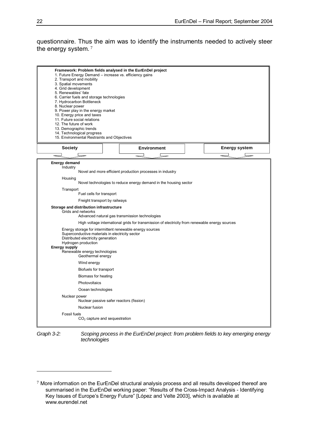questionnaire. Thus the aim was to identify the instruments needed to actively steer the energy system.<sup>7</sup>



 $\overline{a}$ 

*Graph 3-2: Scoping process in the EurEnDel project: from problem fields to key emerging energy technologies* 

 $7$  More information on the EurEnDel structural analysis process and all results developed thereof are summarised in the EurEnDel working paper: "Results of the Cross-Impact Analysis - Identifying Key Issues of Europe's Energy Future" [López and Velte 2003], which is available at www.eurendel.net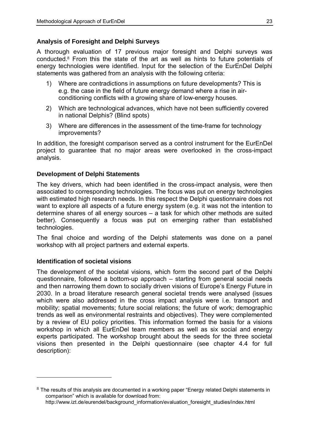### **Analysis of Foresight and Delphi Surveys**

A thorough evaluation of 17 previous major foresight and Delphi surveys was conducted.8 From this the state of the art as well as hints to future potentials of energy technologies were identified. Input for the selection of the EurEnDel Delphi statements was gathered from an analysis with the following criteria:

- 1) Where are contradictions in assumptions on future developments? This is e.g. the case in the field of future energy demand where a rise in airconditioning conflicts with a growing share of low-energy houses.
- 2) Which are technological advances, which have not been sufficiently covered in national Delphis? (Blind spots)
- 3) Where are differences in the assessment of the time-frame for technology improvements?

In addition, the foresight comparison served as a control instrument for the EurEnDel project to guarantee that no major areas were overlooked in the cross-impact analysis.

#### **Development of Delphi Statements**

The key drivers, which had been identified in the cross-impact analysis, were then associated to corresponding technologies. The focus was put on energy technologies with estimated high research needs. In this respect the Delphi questionnaire does not want to explore all aspects of a future energy system (e.g. it was not the intention to determine shares of all energy sources  $-$  a task for which other methods are suited better). Consequently a focus was put on emerging rather than established technologies.

The final choice and wording of the Delphi statements was done on a panel workshop with all project partners and external experts.

#### **Identification of societal visions**

 $\overline{a}$ 

The development of the societal visions, which form the second part of the Delphi questionnaire, followed a bottom-up approach - starting from general social needs and then narrowing them down to socially driven visions of Europe's Energy Future in 2030. In a broad literature research general societal trends were analysed (issues which were also addressed in the cross impact analysis were i.e. transport and mobility; spatial movements; future social relations; the future of work; demographic trends as well as environmental restraints and objectives). They were complemented by a review of EU policy priorities. This information formed the basis for a visions workshop in which all EurEnDel team members as well as six social and energy experts participated. The workshop brought about the seeds for the three societal visions then presented in the Delphi questionnaire (see chapter 4.4 for full description):

 $8$  The results of this analysis are documented in a working paper "Energy related Delphi statements in comparisonî which is available for download from: http://www.izt.de/eurendel/background\_information/evaluation\_foresight\_studies/index.html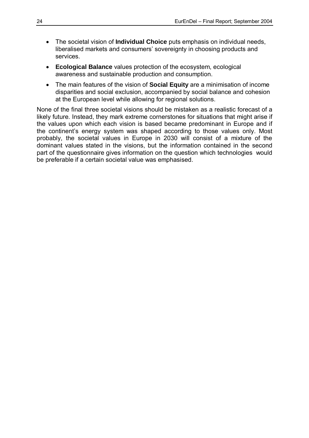- The societal vision of **Individual Choice** puts emphasis on individual needs, liberalised markets and consumers' sovereignty in choosing products and services.
- **Ecological Balance** values protection of the ecosystem, ecological awareness and sustainable production and consumption.
- The main features of the vision of **Social Equity** are a minimisation of income disparities and social exclusion, accompanied by social balance and cohesion at the European level while allowing for regional solutions.

None of the final three societal visions should be mistaken as a realistic forecast of a likely future. Instead, they mark extreme cornerstones for situations that might arise if the values upon which each vision is based became predominant in Europe and if the continent's energy system was shaped according to those values only. Most probably, the societal values in Europe in 2030 will consist of a mixture of the dominant values stated in the visions, but the information contained in the second part of the questionnaire gives information on the question which technologies would be preferable if a certain societal value was emphasised.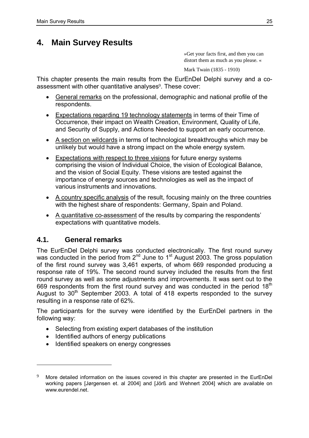# **4. Main Survey Results**

»Get your facts first, and then you can distort them as much as you please. «

Mark Twain (1835 - 1910)

This chapter presents the main results from the EurEnDel Delphi survey and a coassessment with other quantitative analyses<sup>9</sup>. These cover:

- General remarks on the professional, demographic and national profile of the respondents.
- Expectations regarding 19 technology statements in terms of their Time of Occurrence, their impact on Wealth Creation, Environment, Quality of Life, and Security of Supply, and Actions Needed to support an early occurrence.
- A section on wildcards in terms of technological breakthroughs which may be unlikely but would have a strong impact on the whole energy system.
- Expectations with respect to three visions for future energy systems comprising the vision of Individual Choice, the vision of Ecological Balance, and the vision of Social Equity. These visions are tested against the importance of energy sources and technologies as well as the impact of various instruments and innovations.
- A country specific analysis of the result, focusing mainly on the three countries with the highest share of respondents: Germany, Spain and Poland.
- A quantitative co-assessment of the results by comparing the respondents' expectations with quantitative models.

# **4.1. General remarks**

 $\overline{a}$ 

The EurEnDel Delphi survey was conducted electronically. The first round survey was conducted in the period from  $2^{nd}$  June to 1<sup>st</sup> August 2003. The gross population of the first round survey was 3,461 experts, of whom 669 responded producing a response rate of 19%. The second round survey included the results from the first round survey as well as some adjustments and improvements. It was sent out to the 669 respondents from the first round survey and was conducted in the period  $18<sup>th</sup>$ August to  $30<sup>th</sup>$  September 2003. A total of 418 experts responded to the survey resulting in a response rate of 62%.

The participants for the survey were identified by the EurEnDel partners in the following way:

- Selecting from existing expert databases of the institution
- Identified authors of energy publications
- Identified speakers on energy congresses

More detailed information on the issues covered in this chapter are presented in the EurEnDel working papers [Jørgensen et. al 2004] and [Jörß and Wehnert 2004] which are available on www.eurendel.net.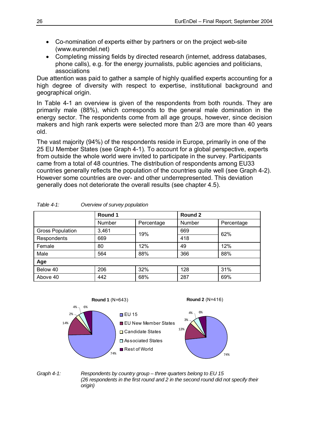- Co-nomination of experts either by partners or on the project web-site (www.eurendel.net)
- Completing missing fields by directed research (internet, address databases, phone calls), e.g. for the energy journalists, public agencies and politicians, associations

Due attention was paid to gather a sample of highly qualified experts accounting for a high degree of diversity with respect to expertise, institutional background and geographical origin.

In Table 4-1 an overview is given of the respondents from both rounds. They are primarily male (88%), which corresponds to the general male domination in the energy sector. The respondents come from all age groups, however, since decision makers and high rank experts were selected more than 2/3 are more than 40 years old.

The vast majority (94%) of the respondents reside in Europe, primarily in one of the 25 EU Member States (see Graph 4-1). To account for a global perspective, experts from outside the whole world were invited to participate in the survey. Participants came from a total of 48 countries. The distribution of respondents among EU33 countries generally reflects the population of the countries quite well (see Graph 4-2). However some countries are over- and other underrepresented. This deviation generally does not deteriorate the overall results (see chapter 4.5).

|                         | Round 1 |            | Round 2 |            |  |
|-------------------------|---------|------------|---------|------------|--|
|                         | Number  | Percentage | Number  | Percentage |  |
| <b>Gross Population</b> | 3,461   | 19%        | 669     | 62%        |  |
| Respondents             | 669     |            | 418     |            |  |
| Female                  | 80      | 12%        | 49      | 12%        |  |
| Male                    | 564     | 88%        | 366     | 88%        |  |
| Age                     |         |            |         |            |  |
| Below 40                | 206     | 32%        | 128     | 31%        |  |
| Above 40                | 442     | 68%        | 287     | 69%        |  |

| Table $4-1$ : | Overview of survey population |
|---------------|-------------------------------|
|---------------|-------------------------------|



14%

2%

 $6<sup>9</sup>$ 

74%

 $EU$  15





*Graph 4-1: Respondents by country group – three quarters belong to EU 15 (26 respondents in the first round and 2 in the second round did not specify their origin)*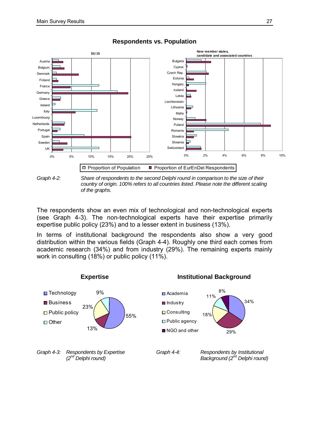





*Graph 4-2: Share of respondents to the second Delphi round in comparison to the size of their country of origin. 100% refers to all countries listed. Please note the different scaling of the graphs.* 

The respondents show an even mix of technological and non-technological experts (see Graph 4-3). The non-technological experts have their expertise primarily expertise public policy (23%) and to a lesser extent in business (13%).

In terms of institutional background the respondents also show a very good distribution within the various fields (Graph 4-4). Roughly one third each comes from academic research (34%) and from industry (29%). The remaining experts mainly work in consulting (18%) or public policy (11%).

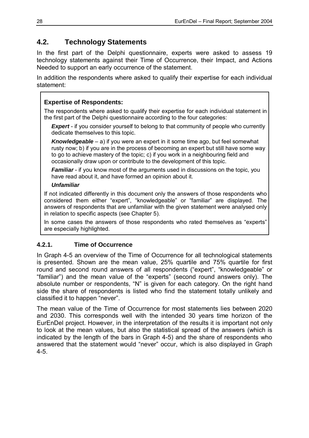# **4.2. Technology Statements**

In the first part of the Delphi questionnaire, experts were asked to assess 19 technology statements against their Time of Occurrence, their Impact, and Actions Needed to support an early occurrence of the statement.

In addition the respondents where asked to qualify their expertise for each individual statement:

# **Expertise of Respondents:**

The respondents where asked to qualify their expertise for each individual statement in the first part of the Delphi questionnaire according to the four categories:

**Expert** - if you consider yourself to belong to that community of people who currently dedicate themselves to this topic.

*Knowledgeable* – a) if you were an expert in it some time ago, but feel somewhat rusty now; b) if you are in the process of becoming an expert but still have some way to go to achieve mastery of the topic; c) if you work in a neighbouring field and occasionally draw upon or contribute to the development of this topic.

*Familiar* - if you know most of the arguments used in discussions on the topic, you have read about it, and have formed an opinion about it.

#### *Unfamiliar*

If not indicated differently in this document only the answers of those respondents who considered them either "expert", "knowledgeable" or "familiar" are displayed. The answers of respondents that are unfamiliar with the given statement were analysed only in relation to specific aspects (see Chapter 5).

In some cases the answers of those respondents who rated themselves as "experts" are especially highlighted.

# **4.2.1. Time of Occurrence**

In Graph 4-5 an overview of the Time of Occurrence for all technological statements is presented. Shown are the mean value, 25% quartile and 75% quartile for first round and second round answers of all respondents ("expert", "knowledgeable" or "familiar") and the mean value of the "experts" (second round answers only). The absolute number or respondents, "N" is given for each category. On the right hand side the share of respondents is listed who find the statement totally unlikely and classified it to happen "never".

The mean value of the Time of Occurrence for most statements lies between 2020 and 2030. This corresponds well with the intended 30 years time horizon of the EurEnDel project. However, in the interpretation of the results it is important not only to look at the mean values, but also the statistical spread of the answers (which is indicated by the length of the bars in Graph 4-5) and the share of respondents who answered that the statement would "never" occur, which is also displayed in Graph 4-5.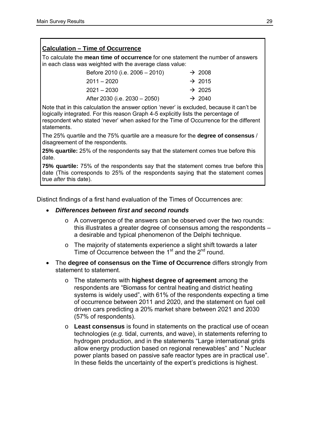### **Calculation – Time of Occurrence**

To calculate the **mean time of occurrence** for one statement the number of answers in each class was weighted with the average class value:

Before 2010 (i.e. 2006 – 2010)  $\rightarrow$  2008

- $2011 2020$   $\rightarrow$  2015
- $2021 2030$   $\rightarrow$  2025
	-
- After 2030 (i.e. 2030 2050)  $\rightarrow$  2040

Note that in this calculation the answer option 'never' is excluded, because it can't be logically integrated. For this reason Graph 4-5 explicitly lists the percentage of respondent who stated 'never' when asked for the Time of Occurrence for the different statements.

The 25% quartile and the 75% quartile are a measure for the **degree of consensus** / disagreement of the respondents.

**25% quartile:** 25% of the respondents say that the statement comes true before this date.

**75% quartile:** 75% of the respondents say that the statement comes true before this date (This corresponds to 25% of the respondents saying that the statement comes true *after* this date).

Distinct findings of a first hand evaluation of the Times of Occurrences are:

#### • *Differences between first and second rounds*

- o A convergence of the answers can be observed over the two rounds: this illustrates a greater degree of consensus among the respondents  $$ a desirable and typical phenomenon of the Delphi technique.
- o The majority of statements experience a slight shift towards a later Time of Occurrence between the 1<sup>st</sup> and the 2<sup>nd</sup> round.
- The **degree of consensus on the Time of Occurrence** differs strongly from statement to statement.
	- o The statements with **highest degree of agreement** among the respondents are "Biomass for central heating and district heating systems is widely used", with 61% of the respondents expecting a time of occurrence between 2011 and 2020, and the statement on fuel cell driven cars predicting a 20% market share between 2021 and 2030 (57% of respondents).
	- o **Least consensus** is found in statements on the practical use of ocean technologies (*e.g.* tidal, currents, and wave), in statements referring to hydrogen production, and in the statements "Large international grids allow energy production based on regional renewables" and "Nuclear power plants based on passive safe reactor types are in practical use". In these fields the uncertainty of the expert's predictions is highest.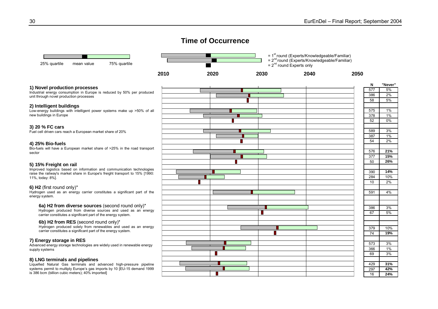# **Time of Occurrence**

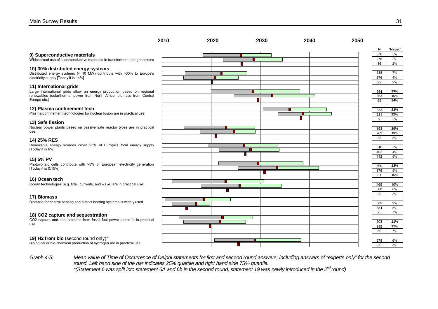|                                                                             | 2010 | 2020 | 2030 | 2040 | 2050 |            |          |
|-----------------------------------------------------------------------------|------|------|------|------|------|------------|----------|
|                                                                             |      |      |      |      |      | N          | "Never"  |
| 9) Superconductive materials                                                |      |      |      |      |      | 376        | 5%       |
| Widespread use of superconductive materials in transformers and generators  |      |      |      |      |      | 276        | 2%       |
|                                                                             |      |      |      |      |      | 16         | 2%       |
| 10) 30% distributed energy systems                                          |      |      |      |      |      |            |          |
| Distributed energy systems (< 10 MW) contribute with >30% to Europe's       |      |      |      |      |      | 588        | 7%       |
| electricity supply [Today it is 14%]                                        |      |      |      |      |      | 376        | 4%       |
|                                                                             |      |      |      |      |      | 99         | 2%       |
| 11) International grids                                                     |      |      |      |      |      |            |          |
| Large international grids allow an energy production based on regional      |      |      |      |      |      | 554        | 19%      |
| renewables (solarthermal power from North Africa, biomass from Central      |      |      |      |      |      | 363        | 16%      |
| Europe etc.)                                                                |      |      |      |      |      | 55         | 14%      |
|                                                                             |      |      |      |      |      |            |          |
| 12) Plasma confinement tech                                                 |      |      |      |      |      | 333        | 23%      |
| Plasma confinement technologies for nuclear fusion are in practical use     |      |      |      |      |      | 231        | 22%      |
| 13) Safe fission                                                            |      |      |      |      |      | 9          | 5%       |
| Nuclear power plants based on passive safe reactor types are in practical   |      |      |      |      |      |            |          |
| use                                                                         |      |      |      |      |      | 353        | 20%      |
|                                                                             |      |      |      |      |      | 263        | 19%      |
| 14) 25% RES                                                                 |      |      |      |      |      | 28         | 5%       |
| Renewable energy sources cover 25% of Europe's total energy supply          |      |      |      |      |      |            |          |
| [Today it is 6%]                                                            |      |      |      |      |      | 616        | 5%       |
|                                                                             |      |      |      |      |      | 402<br>142 | 4%<br>9% |
| 15) 5% PV                                                                   |      |      |      |      |      |            |          |
| Photovoltaic cells contribute with >5% of European electricity generation   |      |      |      |      |      | 569        | 13%      |
| [Today it is 0.15%]                                                         |      |      |      |      |      | 376        | 9%       |
|                                                                             |      |      |      |      |      | 61         | 16%      |
| 16) Ocean tech                                                              |      |      |      |      |      |            |          |
| Ocean technologies (e.g. tidal, currents, and wave) are in practical use    |      |      |      |      |      | 465        | 10%      |
|                                                                             |      |      |      |      |      | 308        | 6%       |
|                                                                             |      |      |      |      |      | 20         | 3%       |
| 17) Biomass                                                                 |      |      |      |      |      |            |          |
| Biomass for central heating and district heating systems is widely used     |      |      |      |      |      | 589        | 9%       |
|                                                                             |      |      |      |      |      | 384        | 5%       |
|                                                                             |      |      |      |      |      | 95         | 7%       |
| 18) CO2 capture and sequestration                                           |      |      |      |      |      |            |          |
| CO2 capture and sequestration from fossil fuel power plants is in practical |      |      |      |      |      | 503        | 11%      |
| use                                                                         |      |      |      |      |      | 345        | 12%      |
|                                                                             |      |      |      |      |      | 50         | 7%       |
| 19) H2 from bio (second round only)*                                        |      |      |      |      |      |            |          |
| Biological or bio-chemical production of hydrogen are in practical use      |      |      |      |      |      | 278        | 6%       |
|                                                                             |      |      |      |      |      | 20         | 3%       |

*Graph 4-5: Mean value of Time of Occurrence of Delphi statements for first and second round answers, including answers of "experts only" for the second round. Left hand side of the bar indicates 25% quartile and right hand side 75% quartile.* 

*\*(Statement 6 was split into statement 6A and 6b in the second round, statement 19 was newly introduced in the 2nd round)*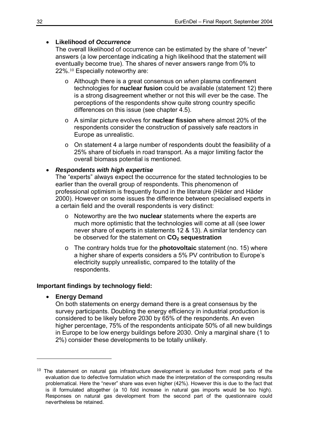#### • **Likelihood of** *Occurrence*

The overall likelihood of occurrence can be estimated by the share of "never" answers (a low percentage indicating a high likelihood that the statement will eventually become true). The shares of never answers range from 0% to 22%.10 Especially noteworthy are:

- o Although there is a great consensus on *when* plasma confinement technologies for **nuclear fusion** could be available (statement 12) there is a strong disagreement whether or not this will *ever* be the case. The perceptions of the respondents show quite strong country specific differences on this issue (see chapter 4.5).
- o A similar picture evolves for **nuclear fission** where almost 20% of the respondents consider the construction of passively safe reactors in Europe as unrealistic.
- o On statement 4 a large number of respondents doubt the feasibility of a 25% share of biofuels in road transport. As a major limiting factor the overall biomass potential is mentioned.

#### • *Respondents with high expertise*

The "experts" always expect the occurrence for the stated technologies to be earlier than the overall group of respondents. This phenomenon of professional optimism is frequently found in the literature (Häder and Häder 2000). However on some issues the difference between specialised experts in a certain field and the overall respondents is very distinct:

- o Noteworthy are the two **nuclear** statements where the experts are much more optimistic that the technologies will come at all (see lower never share of experts in statements 12 & 13). A similar tendency can be observed for the statement on **CO<sub>2</sub> sequestration**
- o The contrary holds true for the **photovoltaic** statement (no. 15) where a higher share of experts considers a 5% PV contribution to Europe's electricity supply unrealistic, compared to the totality of the respondents.

#### **Important findings by technology field:**

#### • **Energy Demand**

 $\overline{a}$ 

On both statements on energy demand there is a great consensus by the survey participants. Doubling the energy efficiency in industrial production is considered to be likely before 2030 by 65% of the respondents. An even higher percentage, 75% of the respondents anticipate 50% of all new buildings in Europe to be low energy buildings before 2030. Only a marginal share (1 to 2%) consider these developments to be totally unlikely.

 $10$  The statement on natural gas infrastructure development is excluded from most parts of the evaluation due to defective formulation which made the interpretation of the corresponding results problematical. Here the "never" share was even higher (42%). However this is due to the fact that is ill formulated altogether (a 10 fold increase in natural gas imports would be too high). Responses on natural gas development from the second part of the questionnaire could nevertheless be retained.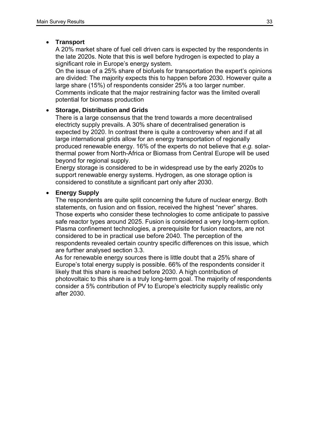#### • **Transport**

A 20% market share of fuel cell driven cars is expected by the respondents in the late 2020s. Note that this is well before hydrogen is expected to play a significant role in Europe's energy system.

On the issue of a 25% share of biofuels for transportation the expert's opinions are divided: The majority expects this to happen before 2030. However quite a large share (15%) of respondents consider 25% a too larger number. Comments indicate that the major restraining factor was the limited overall potential for biomass production

#### • **Storage, Distribution and Grids**

There is a large consensus that the trend towards a more decentralised electricty supply prevails. A 30% share of decentralised generation is expected by 2020. In contrast there is quite a controversy when and if at all large international grids allow for an energy transportation of regionally produced renewable energy. 16% of the experts do not believe that *e.g.* solarthermal power from North-Africa or Biomass from Central Europe will be used beyond for regional supply.

Energy storage is considered to be in widespread use by the early 2020s to support renewable energy systems. Hydrogen, as one storage option is considered to constitute a significant part only after 2030.

#### • **Energy Supply**

The respondents are quite split concerning the future of nuclear energy. Both statements, on fusion and on fission, received the highest "never" shares. Those experts who consider these technologies to come anticipate to passive safe reactor types around 2025. Fusion is considered a very long-term option. Plasma confinement technologies, a prerequisite for fusion reactors, are not considered to be in practical use before 2040. The perception of the respondents revealed certain country specific differences on this issue, which are further analysed section 3.3.

As for renewable energy sources there is little doubt that a 25% share of Europe's total energy supply is possible. 66% of the respondents consider it likely that this share is reached before 2030. A high contribution of photovoltaic to this share is a truly long-term goal. The majority of respondents consider a 5% contribution of PV to Europe's electricity supply realistic only after 2030.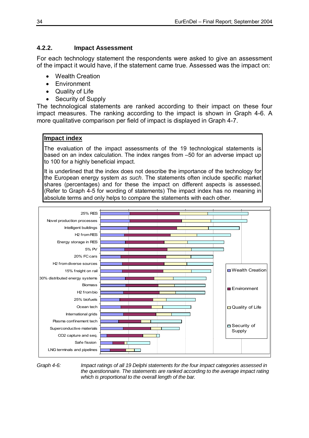#### **4.2.2. Impact Assessment**

For each technology statement the respondents were asked to give an assessment of the impact it would have, if the statement came true. Assessed was the impact on:

- Wealth Creation
- Environment
- Quality of Life
- Security of Supply

The technological statements are ranked according to their impact on these four impact measures. The ranking according to the impact is shown in Graph 4-6. A more qualitative comparison per field of impact is displayed in Graph 4-7.

#### **Impact index**

The evaluation of the impact assessments of the 19 technological statements is based on an index calculation. The index ranges from -50 for an adverse impact up to 100 for a highly beneficial impact.

It is underlined that the index does not describe the importance of the technology for the European energy system *as such*. The statements often include specific market shares (percentages) and for these the impact on different aspects is assessed. (Refer to Graph 4-5 for wording of statements) The impact index has no meaning in absolute terms and only helps to compare the statements with each other.



*Graph 4-6: Impact ratings of all 19 Delphi statements for the four impact categories assessed in the questionnaire. The statements are ranked according to the average impact rating which is proportional to the overall length of the bar.*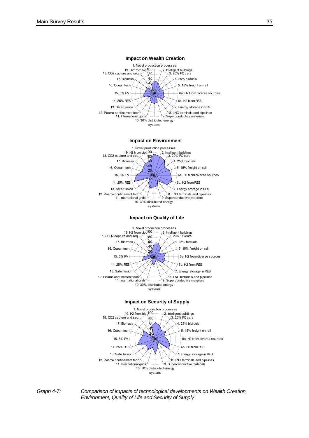

*Graph 4-7: Comparison of impacts of technological developments on Wealth Creation, Environment, Quality of Life and Security of Supply*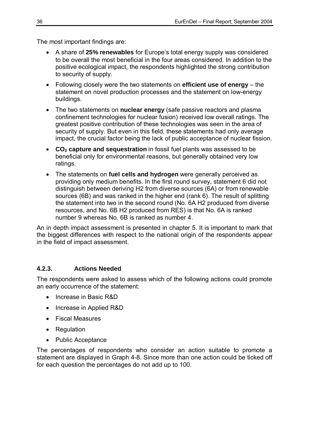The most important findings are:

- A share of 25% renewables for Europe's total energy supply was considered to be overall the most beneficial in the four areas considered. In addition to the positive ecological impact, the respondents highlighted the strong contribution to security of supply.
- Following closely were the two statements on **efficient use of energy** the statement on novel production processes and the statement on low-energy buildings.
- The two statements on **nuclear energy** (safe passive reactors and plasma confinement technologies for nuclear fusion) received low overall ratings. The greatest positive contribution of these technologies was seen in the area of security of supply. But even in this field, these statements had only average impact, the crucial factor being the lack of public acceptance of nuclear fission.
- CO<sub>2</sub> capture and sequestration in fossil fuel plants was assessed to be beneficial only for environmental reasons, but generally obtained very low ratings.
- The statements on **fuel cells and hydrogen** were generally perceived as providing only medium benefits. In the first round survey, statement 6 did not distinguish between deriving H2 from diverse sources (6A) or from renewable sources (6B) and was ranked in the higher end (rank 6). The result of splitting the statement into two in the second round (No. 6A H2 produced from diverse resources, and No. 6B H2 produced from RES) is that No. 6A is ranked number 9 whereas No. 6B is ranked as number 4.

An in depth impact assessment is presented in chapter 5. It is important to mark that the biggest differences with respect to the national origin of the respondents appear in the field of impact assessment.

#### **4.2.3. Actions Needed**

The respondents were asked to assess which of the following actions could promote an early occurrence of the statement:

- Increase in Basic R&D
- Increase in Applied R&D
- Fiscal Measures
- Regulation
- Public Acceptance

The percentages of respondents who consider an action suitable to promote a statement are displayed in Graph 4-8. Since more than one action could be ticked off for each question the percentages do not add up to 100.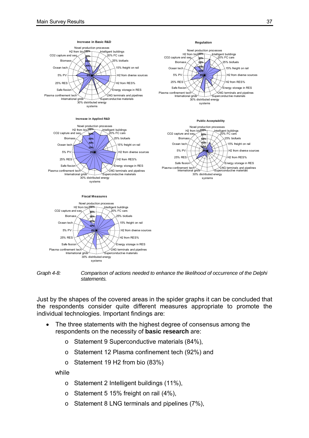



*Graph 4-8: Comparison of actions needed to enhance the likelihood of occurrence of the Delphi statements.* 

Just by the shapes of the covered areas in the spider graphs it can be concluded that the respondents consider quite different measures appropriate to promote the individual technologies. Important findings are:

- The three statements with the highest degree of consensus among the respondents on the necessity of **basic research** are:
	- o Statement 9 Superconductive materials (84%),
	- o Statement 12 Plasma confinement tech (92%) and
	- o Statement 19 H2 from bio (83%)

while

- o Statement 2 Intelligent buildings (11%),
- o Statement 5 15% freight on rail (4%),
- o Statement 8 LNG terminals and pipelines (7%),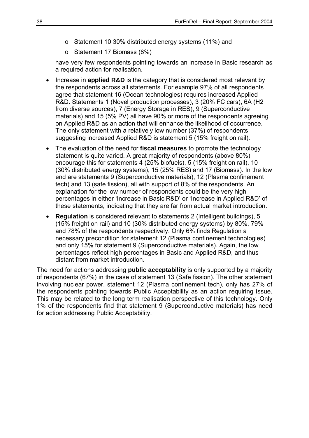- o Statement 10 30% distributed energy systems (11%) and
- o Statement 17 Biomass (8%)

have very few respondents pointing towards an increase in Basic research as a required action for realisation.

- Increase in **applied R&D** is the category that is considered most relevant by the respondents across all statements. For example 97% of all respondents agree that statement 16 (Ocean technologies) requires increased Applied R&D. Statements 1 (Novel production processes), 3 (20% FC cars), 6A (H2 from diverse sources), 7 (Energy Storage in RES), 9 (Superconductive materials) and 15 (5% PV) all have 90% or more of the respondents agreeing on Applied R&D as an action that will enhance the likelihood of occurrence. The only statement with a relatively low number (37%) of respondents suggesting increased Applied R&D is statement 5 (15% freight on rail).
- The evaluation of the need for **fiscal measures** to promote the technology statement is quite varied. A great majority of respondents (above 80%) encourage this for statements 4 (25% biofuels), 5 (15% freight on rail), 10 (30% distributed energy systems), 15 (25% RES) and 17 (Biomass). In the low end are statements 9 (Superconductive materials), 12 (Plasma confinement tech) and 13 (safe fission), all with support of 8% of the respondents. An explanation for the low number of respondents could be the very high percentages in either 'Increase in Basic R&D' or 'Increase in Applied R&D' of these statements, indicating that they are far from actual market introduction.
- **Regulation** is considered relevant to statements 2 (Intelligent buildings), 5 (15% freight on rail) and 10 (30% distributed energy systems) by 80%, 79% and 78% of the respondents respectively. Only 6% finds Regulation a necessary precondition for statement 12 (Plasma confinement technologies) and only 15% for statement 9 (Superconductive materials). Again, the low percentages reflect high percentages in Basic and Applied R&D, and thus distant from market introduction.

The need for actions addressing **public acceptability** is only supported by a majority of respondents (67%) in the case of statement 13 (Safe fission). The other statement involving nuclear power, statement 12 (Plasma confinement tech), only has 27% of the respondents pointing towards Public Acceptability as an action requiring issue. This may be related to the long term realisation perspective of this technology. Only 1% of the respondents find that statement 9 (Superconductive materials) has need for action addressing Public Acceptability.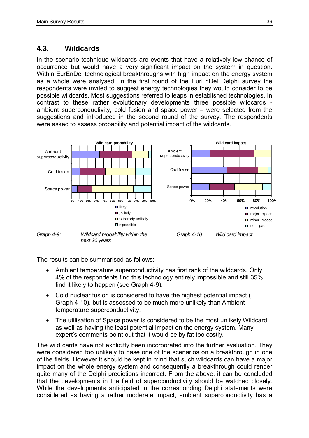### **4.3. Wildcards**

In the scenario technique wildcards are events that have a relatively low chance of occurrence but would have a very significant impact on the system in question. Within EurEnDel technological breakthroughs with high impact on the energy system as a whole were analysed. In the first round of the EurEnDel Delphi survey the respondents were invited to suggest energy technologies they would consider to be possible wildcards. Most suggestions referred to leaps in established technologies. In contrast to these rather evolutionary developments three possible wildcards ambient superconductivity, cold fusion and space power  $-$  were selected from the suggestions and introduced in the second round of the survey. The respondents were asked to assess probability and potential impact of the wildcards.



*next 20 years* 



The results can be summarised as follows:

- Ambient temperature superconductivity has first rank of the wildcards. Only 4% of the respondents find this technology entirely impossible and still 35% find it likely to happen (see Graph 4-9).
- Cold nuclear fusion is considered to have the highest potential impact ( Graph 4-10), but is assessed to be much more unlikely than Ambient temperature superconductivity.
- The utilisation of Space power is considered to be the most unlikely Wildcard as well as having the least potential impact on the energy system. Many expert's comments point out that it would be by fat too costly.

The wild cards have not explicitly been incorporated into the further evaluation. They were considered too unlikely to base one of the scenarios on a breakthrough in one of the fields. However it should be kept in mind that such wildcards can have a major impact on the whole energy system and consequently a breakthrough could render quite many of the Delphi predictions incorrect. From the above, it can be concluded that the developments in the field of superconductivity should be watched closely. While the developments anticipated in the corresponding Delphi statements were considered as having a rather moderate impact, ambient superconductivity has a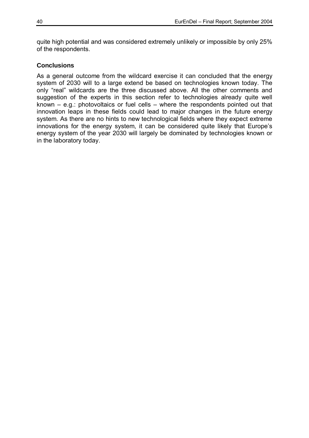quite high potential and was considered extremely unlikely or impossible by only 25% of the respondents.

### **Conclusions**

As a general outcome from the wildcard exercise it can concluded that the energy system of 2030 will to a large extend be based on technologies known today. The only "real" wildcards are the three discussed above. All the other comments and suggestion of the experts in this section refer to technologies already quite well known  $-$  e.g.: photovoltaics or fuel cells  $-$  where the respondents pointed out that innovation leaps in these fields could lead to major changes in the future energy system. As there are no hints to new technological fields where they expect extreme innovations for the energy system, it can be considered quite likely that Europe's energy system of the year 2030 will largely be dominated by technologies known or in the laboratory today.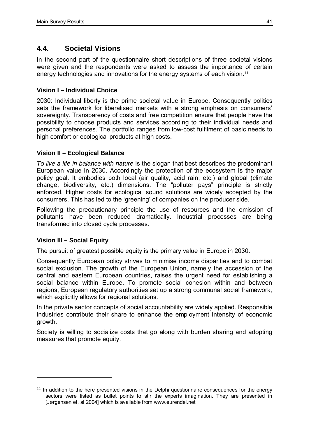### **4.4. Societal Visions**

In the second part of the questionnaire short descriptions of three societal visions were given and the respondents were asked to assess the importance of certain energy technologies and innovations for the energy systems of each vision.<sup>11</sup>

### **Vision I – Individual Choice**

2030: Individual liberty is the prime societal value in Europe. Consequently politics sets the framework for liberalised markets with a strong emphasis on consumers' sovereignty. Transparency of costs and free competition ensure that people have the possibility to choose products and services according to their individual needs and personal preferences. The portfolio ranges from low-cost fulfilment of basic needs to high comfort or ecological products at high costs.

#### **Vision II – Ecological Balance**

*To live a life in balance with nature* is the slogan that best describes the predominant European value in 2030. Accordingly the protection of the ecosystem is the major policy goal. It embodies both local (air quality, acid rain, etc.) and global (climate change, biodiversity, etc.) dimensions. The "polluter pays" principle is strictly enforced. Higher costs for ecological sound solutions are widely accepted by the consumers. This has led to the 'greening' of companies on the producer side.

Following the precautionary principle the use of resources and the emission of pollutants have been reduced dramatically. Industrial processes are being transformed into closed cycle processes.

### **Vision III – Social Equity**

 $\overline{a}$ 

The pursuit of greatest possible equity is the primary value in Europe in 2030.

Consequently European policy strives to minimise income disparities and to combat social exclusion. The growth of the European Union, namely the accession of the central and eastern European countries, raises the urgent need for establishing a social balance within Europe. To promote social cohesion within and between regions, European regulatory authorities set up a strong communal social framework, which explicitly allows for regional solutions.

In the private sector concepts of social accountability are widely applied. Responsible industries contribute their share to enhance the employment intensity of economic growth.

Society is willing to socialize costs that go along with burden sharing and adopting measures that promote equity.

 $11$  In addition to the here presented visions in the Delphi questionnaire consequences for the energy sectors were listed as bullet points to stir the experts imagination. They are presented in [Jørgensen et. al 2004] which is available from www.eurendel.net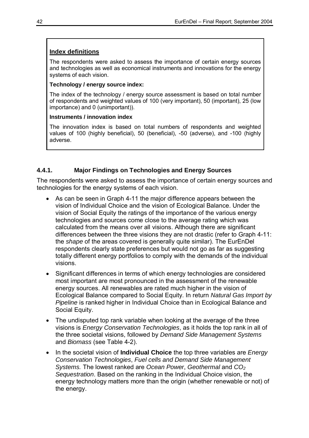### **Index definitions**

The respondents were asked to assess the importance of certain energy sources and technologies as well as economical instruments and innovations for the energy systems of each vision.

#### **Technology / energy source index:**

The index of the technology / energy source assessment is based on total number of respondents and weighted values of 100 (very important), 50 (important), 25 (low importance) and 0 (unimportant)).

#### **Instruments / innovation index**

The innovation index is based on total numbers of respondents and weighted values of 100 (highly beneficial), 50 (beneficial), -50 (adverse), and -100 (highly adverse.

### **4.4.1. Major Findings on Technologies and Energy Sources**

The respondents were asked to assess the importance of certain energy sources and technologies for the energy systems of each vision.

- As can be seen in Graph 4-11 the major difference appears between the vision of Individual Choice and the vision of Ecological Balance. Under the vision of Social Equity the ratings of the importance of the various energy technologies and sources come close to the average rating which was calculated from the means over all visions. Although there are significant differences between the three visions they are not drastic (refer to Graph 4-11: the *shape* of the areas covered is generally quite similar). The EurEnDel respondents clearly state preferences but would not go as far as suggesting totally different energy portfolios to comply with the demands of the individual visions.
- Significant differences in terms of which energy technologies are considered most important are most pronounced in the assessment of the renewable energy sources. All renewables are rated much higher in the vision of Ecological Balance compared to Social Equity. In return *Natural Gas Import by Pipeline* is ranked higher in Individual Choice than in Ecological Balance and Social Equity.
- The undisputed top rank variable when looking at the average of the three visions is *Energy Conservation Technologies*, as it holds the top rank in all of the three societal visions, followed by *Demand Side Management Systems*  and *Biomass* (see Table 4-2).
- In the societal vision of **Individual Choice** the top three variables are *Energy Conservation Technologies*, *Fuel cells and Demand Side Management Systems.* The lowest ranked are *Ocean Power*, *Geothermal* and *CO<sub>2</sub> Sequestration*. Based on the ranking in the Individual Choice vision, the energy technology matters more than the origin (whether renewable or not) of the energy.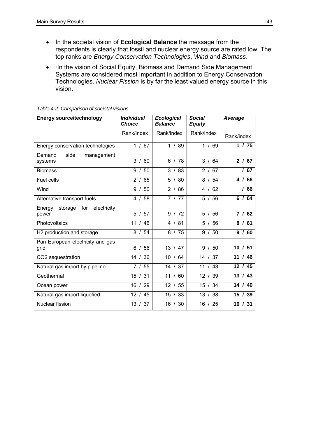- In the societal vision of **Ecological Balance** the message from the respondents is clearly that fossil and nuclear energy source are rated low. The top ranks are *Energy Conservation Technologies*, *Wind* and *Biomass*.
- In the vision of Social Equity, Biomass and Demand Side Management Systems are considered most important in addition to Energy Conservation Technologies. *Nuclear Fission* is by far the least valued energy source in this vision.

| <b>Energy source/technology</b>                  | <b>Individual</b><br><b>Choice</b> | <b>Ecological</b><br><b>Balance</b>    | <b>Social</b><br><b>Equity</b> | Average               |
|--------------------------------------------------|------------------------------------|----------------------------------------|--------------------------------|-----------------------|
|                                                  | Rank/index                         | Rank/index                             | Rank/index                     | Rank/index            |
| Energy conservation technologies                 | 1 / 67                             | 1 / 89                                 | 1/69                           | 1/75                  |
| Demand<br>side<br>management<br>systems          | 3<br>60<br>$\sqrt{ }$              | 6 / 78                                 | 3 / 64                         | 2/67                  |
| <b>Biomass</b>                                   | 50<br>9                            | 3<br>83<br>$\overline{I}$              | 2/67                           | 67                    |
| <b>Fuel cells</b>                                | 65<br>2 <sub>1</sub>               | $\overline{80}$<br>5<br>$\overline{I}$ | 54<br>8/                       | 66<br>4/              |
| Wind                                             | 50<br>9                            | 2/<br>86                               | 62<br>4/                       | 66                    |
| Alternative transport fuels                      | 4 / 58                             | 7 / 77                                 | 56<br>5/                       | 64<br>6 /             |
| for<br>electricity<br>Energy<br>storage<br>power | /57<br>5                           | 9/72                                   | 5/56                           | 7 / 62                |
| Photovoltaics                                    | 11<br>46<br>$\sqrt{ }$             | 81<br>4/                               | 56<br>5/                       | 61<br>8<br>$\prime$   |
| H2 production and storage                        | 8 / 54                             | 8 / 75                                 | 9 / 50                         | 60<br>9/              |
| Pan European electricity and gas<br>grid         | /56<br>6                           | 13/47                                  | /50<br>9                       | 10/51                 |
| CO2 sequestration                                | 36<br>14<br>$\overline{I}$         | 10/<br>64                              | 14<br>37<br>$\overline{1}$     | 11 <sub>l</sub><br>46 |
| Natural gas import by pipeline                   | 7/55                               | 14 / 37                                | 43<br>11/                      | 12 <sub>l</sub><br>45 |
| Geothermal                                       | 15/31                              | 11<br>60<br>$\sqrt{ }$                 | 39<br>12/                      | 13/<br>43             |
| Ocean power                                      | 16 / 29                            | 12 / 55                                | 15 / 34                        | 14/<br>40             |
| Natural gas import liquefied                     | 12 / 45                            | 15 / 33                                | 13 / 38                        | 15/39                 |
| Nuclear fission                                  | 13<br>/37                          | 16 / 30                                | 16 / 25                        | 16/31                 |

*Table 4-2: Comparison of societal visions*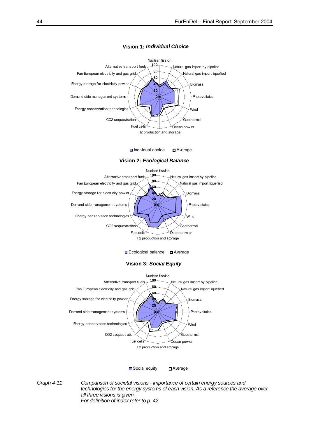

#### **Vision 1:** *Individual Choice*



Individual choice **I** Average









**□** Social equity □ Average

*Graph 4-11 Comparison of societal visions - importance of certain energy sources and technologies for the energy systems of each vision. As a reference the average over all three visions is given. For definition of index refer to p. 42*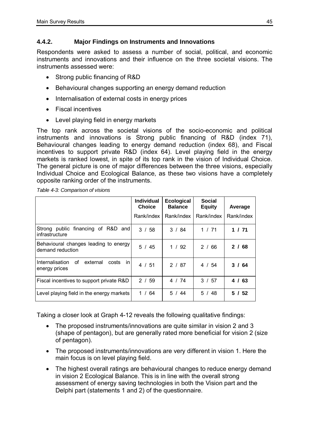### **4.4.2. Major Findings on Instruments and Innovations**

Respondents were asked to assess a number of social, political, and economic instruments and innovations and their influence on the three societal visions. The instruments assessed were:

- Strong public financing of R&D
- Behavioural changes supporting an energy demand reduction
- Internalisation of external costs in energy prices
- Fiscal incentives
- Level playing field in energy markets

The top rank across the societal visions of the socio-economic and political instruments and innovations is Strong public financing of R&D (index 71), Behavioural changes leading to energy demand reduction (index 68), and Fiscal incentives to support private R&D (index 64). Level playing field in the energy markets is ranked lowest, in spite of its top rank in the vision of Individual Choice. The general picture is one of major differences between the three visions, especially Individual Choice and Ecological Balance, as these two visions have a completely opposite ranking order of the instruments.

**Individual Choice**  Rank/index **Ecological Balance**  Rank/index **Social Equity**  Rank/index **Average**  Rank/index Strong public financing of R&D and infrastructure 3 / 58 3 / 84 1 / 71 **1 / 71**  Behavioural changes leading to energy demand reduction 5 / 45 1 / 92 2 / 66 **2 / 68**  Internalisation of external costs in energy prices **6. Experiment COSIS 11** 4 / 51 2 / 87 4 / 54 3 / 64 Fiscal incentives to support private R&D | 2 / 59 | 4 / 74 | 3 / 57 | **4 / 63** Level playing field in the energy markets 1 / 64 5 / 44 5 / 48 **5 / 52** 

*Table 4-3: Comparison of visions* 

Taking a closer look at Graph 4-12 reveals the following qualitative findings:

- The proposed instruments/innovations are quite similar in vision 2 and 3 (shape of pentagon), but are generally rated more beneficial for vision 2 (size of pentagon).
- The proposed instruments/innovations are very different in vision 1. Here the main focus is on level playing field.
- The highest overall ratings are behavioural changes to reduce energy demand in vision 2 Ecological Balance. This is in line with the overall strong assessment of energy saving technologies in both the Vision part and the Delphi part (statements 1 and 2) of the questionnaire.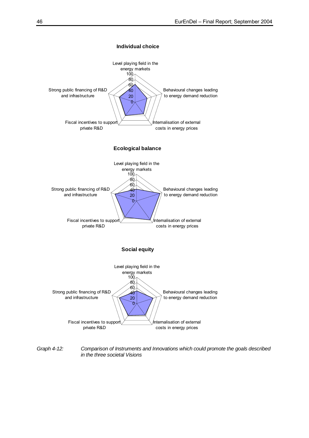

*Graph 4-12: Comparison of Instruments and Innovations which could promote the goals described in the three societal Visions*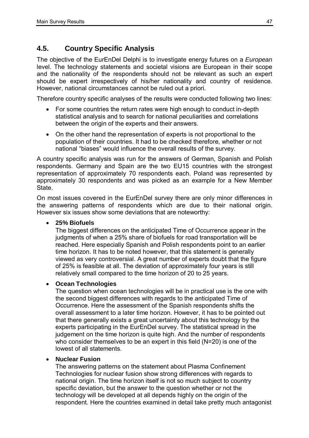## **4.5. Country Specific Analysis**

The objective of the EurEnDel Delphi is to investigate energy futures on a *European* level. The technology statements and societal visions are European in their scope and the nationality of the respondents should not be relevant as such an expert should be expert irrespectively of his/her nationality and country of residence. However, national circumstances cannot be ruled out a priori.

Therefore country specific analyses of the results were conducted following two lines:

- For some countries the return rates were high enough to conduct in-depth statistical analysis and to search for national peculiarities and correlations between the origin of the experts and their answers.
- On the other hand the representation of experts is not proportional to the population of their countries. It had to be checked therefore, whether or not national "biases" would influence the overall results of the survey.

A country specific analysis was run for the answers of German, Spanish and Polish respondents. Germany and Spain are the two EU15 countries with the strongest representation of approximately 70 respondents each. Poland was represented by approximately 30 respondents and was picked as an example for a New Member State.

On most issues covered in the EurEnDel survey there are only minor differences in the answering patterns of respondents which are due to their national origin. However six issues show some deviations that are noteworthy:

### • **25% Biofuels**

The biggest differences on the anticipated Time of Occurrence appear in the judgments of when a 25% share of biofuels for road transportation will be reached. Here especially Spanish and Polish respondents point to an earlier time horizon. It has to be noted however, that this statement is generally viewed as very controversial. A great number of experts doubt that the figure of 25% is feasible at all. The deviation of approximately four years is still relatively small compared to the time horizon of 20 to 25 years.

### • **Ocean Technologies**

The question when ocean technologies will be in practical use is the one with the second biggest differences with regards to the anticipated Time of Occurrence. Here the assessment of the Spanish respondents shifts the overall assessment to a later time horizon. However, it has to be pointed out that there generally exists a great uncertainty about this technology by the experts participating in the EurEnDel survey. The statistical spread in the judgement on the time horizon is quite high. And the number of respondents who consider themselves to be an expert in this field (N=20) is one of the lowest of all statements.

#### • **Nuclear Fusion**

The answering patterns on the statement about Plasma Confinement Technologies for nuclear fusion show strong differences with regards to national origin. The time horizon itself is not so much subject to country specific deviation, but the answer to the question whether or not the technology will be developed at all depends highly on the origin of the respondent. Here the countries examined in detail take pretty much antagonist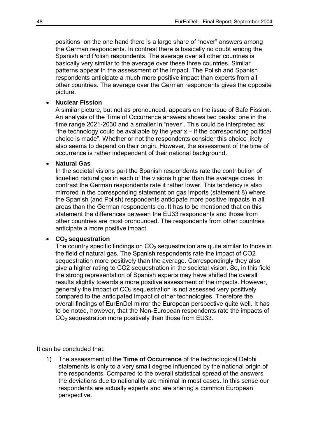positions: on the one hand there is a large share of "never" answers among the German respondents. In contrast there is basically no doubt among the Spanish and Polish respondents. The average over all other countries is basically very similar to the average over these three countries. Similar patterns appear in the assessment of the impact. The Polish and Spanish respondents anticipate a much more positive impact than experts from all other countries. The average over the German respondents gives the opposite picture.

#### • **Nuclear Fission**

A similar picture, but not as pronounced, appears on the issue of Safe Fission. An analysis of the Time of Occurrence answers shows two peaks: one in the time range 2021-2030 and a smaller in "never". This could be interpreted as: "the technology could be available by the year  $x - i f$  the corresponding political choice is made". Whether or not the respondents consider this choice likely also seems to depend on their origin. However, the assessment of the time of occurrence is rather independent of their national background.

#### • **Natural Gas**

In the societal visions part the Spanish respondents rate the contribution of liquefied natural gas in each of the visions higher than the average does. In contrast the German respondents rate it rather lower. This tendency is also mirrored in the corresponding statement on gas imports (statement 8) where the Spanish (and Polish) respondents anticipate more positive impacts in all areas than the German respondents do. It has to be mentioned that on this statement the differences between the EU33 respondents and those from other countries are most pronounced. The respondents from other countries anticipate a more positive impact.

#### • **CO2 sequestration**

The country specific findings on  $CO<sub>2</sub>$  sequestration are quite similar to those in the field of natural gas. The Spanish respondents rate the impact of CO2 sequestration more positively than the average. Correspondingly they also give a higher rating to CO2 sequestration in the societal vision. So, in this field the strong representation of Spanish experts may have shifted the overall results slightly towards a more positive assessment of the impacts. However, generally the impact of  $CO<sub>2</sub>$  sequestration is not assessed very positively compared to the anticipated impact of other technologies. Therefore the overall findings of EurEnDel mirror the European perspective quite well. It has to be noted, however, that the Non-European respondents rate the impacts of CO2 sequestration more positively than those from EU33.

It can be concluded that:

1) The assessment of the **Time of Occurrence** of the technological Delphi statements is only to a very small degree influenced by the national origin of the respondents. Compared to the overall statistical spread of the answers the deviations due to nationality are minimal in most cases. In this sense our respondents are actually experts and are sharing a common European perspective.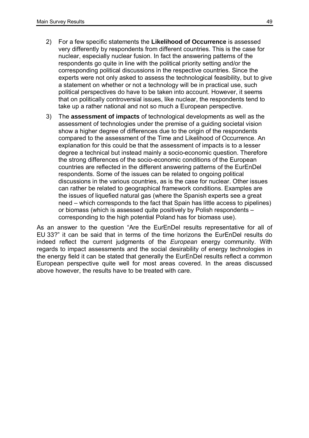- 2) For a few specific statements the **Likelihood of Occurrence** is assessed very differently by respondents from different countries. This is the case for nuclear, especially nuclear fusion. In fact the answering patterns of the respondents go quite in line with the political priority setting and/or the corresponding political discussions in the respective countries. Since the experts were not only asked to assess the technological feasibility, but to give a statement on whether or not a technology will be in practical use, such political perspectives do have to be taken into account. However, it seems that on politically controversial issues, like nuclear, the respondents tend to take up a rather national and not so much a European perspective.
- 3) The **assessment of impacts** of technological developments as well as the assessment of technologies under the premise of a guiding societal vision show a higher degree of differences due to the origin of the respondents compared to the assessment of the Time and Likelihood of Occurrence. An explanation for this could be that the assessment of impacts is to a lesser degree a technical but instead mainly a socio-economic question. Therefore the strong differences of the socio-economic conditions of the European countries are reflected in the different answering patterns of the EurEnDel respondents. Some of the issues can be related to ongoing political discussions in the various countries, as is the case for nuclear. Other issues can rather be related to geographical framework conditions. Examples are the issues of liquefied natural gas (where the Spanish experts see a great need – which corresponds to the fact that Spain has little access to pipelines) or biomass (which is assessed quite positively by Polish respondents – corresponding to the high potential Poland has for biomass use).

As an answer to the question "Are the EurEnDel results representative for all of EU 33?" it can be said that in terms of the time horizons the EurEnDel results do indeed reflect the current judgments of the *European* energy community. With regards to impact assessments and the social desirability of energy technologies in the energy field it can be stated that generally the EurEnDel results reflect a common European perspective quite well for most areas covered. In the areas discussed above however, the results have to be treated with care.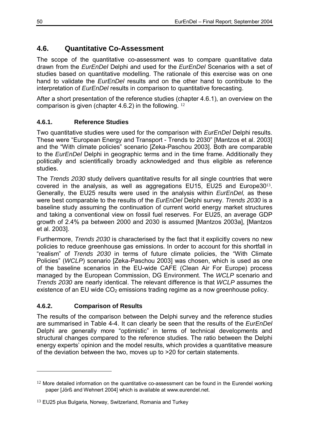## **4.6. Quantitative Co-Assessment**

The scope of the quantitative co-assessment was to compare quantitative data drawn from the *EurEnDel* Delphi and used for the *EurEnDel* Scenarios with a set of studies based on quantitative modelling. The rationale of this exercise was on one hand to validate the *EurEnDel* results and on the other hand to contribute to the interpretation of *EurEnDel* results in comparison to quantitative forecasting.

After a short presentation of the reference studies (chapter 4.6.1), an overview on the comparison is given (chapter 4.6.2) in the following. <sup>12</sup>

### **4.6.1. Reference Studies**

Two quantitative studies were used for the comparison with *EurEnDel* Delphi results. These were "European Energy and Transport - Trends to 2030" [Mantzos et al. 2003] and the "With climate policies" scenario [Zeka-Paschou 2003]. Both are comparable to the *EurEnDel* Delphi in geographic terms and in the time frame. Additionally they politically and scientifically broadly acknowledged and thus eligible as reference studies.

The *Trends 2030* study delivers quantitative results for all single countries that were covered in the analysis, as well as aggregations EU15, EU25 and Europe3013. Generally, the EU25 results were used in the analysis within *EurEnDel,* as these were best comparable to the results of the *EurEnDel* Delphi survey. *Trends 2030* is a baseline study assuming the continuation of current world energy market structures and taking a conventional view on fossil fuel reserves. For EU25, an average GDP growth of 2.4% pa between 2000 and 2030 is assumed [Mantzos 2003a], [Mantzos et al. 2003].

Furthermore, *Trends 2030* is characterised by the fact that it explicitly covers no new policies to reduce greenhouse gas emissions. In order to account for this shortfall in "realism" of *Trends 2030* in terms of future climate policies, the "With Climate Policiesî (*WCLP*) scenario [Zeka-Paschou 2003] was chosen, which is used as one of the baseline scenarios in the EU-wide CAFE (Clean Air For Europe) process managed by the European Commission, DG Environment. The *WCLP* scenario and *Trends 2030* are nearly identical. The relevant difference is that *WCLP* assumes the existence of an EU wide  $CO<sub>2</sub>$  emissions trading regime as a now greenhouse policy.

## **4.6.2. Comparison of Results**

 $\overline{a}$ 

The results of the comparison between the Delphi survey and the reference studies are summarised in Table 4-4. It can clearly be seen that the results of the *EurEnDel* Delphi are generally more "optimistic" in terms of technical developments and structural changes compared to the reference studies. The ratio between the Delphi energy experts' opinion and the model results, which provides a quantitative measure of the deviation between the two, moves up to >20 for certain statements.

 $12$  More detailed information on the quantitative co-assessment can be found in the Eurendel working paper [Jörß and Wehnert 2004] which is available at www.eurendel.net.

 $13$  EU25 plus Bulgaria, Norway, Switzerland, Romania and Turkey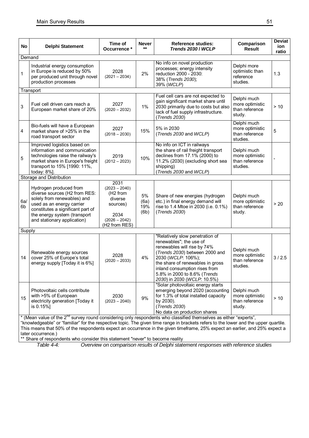| <b>No</b>             | Delphi Statement                                                                                                                                                                                                        | Time of<br>Occurrence *                                                                                            | <b>Never</b><br>$***$     | <b>Reference studies:</b><br>Trends 2030 / WCLP                                                                                                                                                                                                                                                                                                                                               | Comparison<br><b>Result</b>                                  | <b>Deviat</b><br>ion<br>ratio |
|-----------------------|-------------------------------------------------------------------------------------------------------------------------------------------------------------------------------------------------------------------------|--------------------------------------------------------------------------------------------------------------------|---------------------------|-----------------------------------------------------------------------------------------------------------------------------------------------------------------------------------------------------------------------------------------------------------------------------------------------------------------------------------------------------------------------------------------------|--------------------------------------------------------------|-------------------------------|
|                       | Demand                                                                                                                                                                                                                  |                                                                                                                    |                           |                                                                                                                                                                                                                                                                                                                                                                                               |                                                              |                               |
| 1                     | Industrial energy consumption<br>in Europe is reduced by 50%<br>per produced unit through novel<br>production processes                                                                                                 | 2028<br>$(2021 - 2034)$                                                                                            | 2%                        | No info on novel production<br>processes; energy intensity<br>reduction 2000 - 2030:<br>38% (Trends 2030);<br>39% (WCLP)                                                                                                                                                                                                                                                                      | Delphi more<br>optimistic than<br>reference<br>studies.      | 1.3                           |
|                       | Transport                                                                                                                                                                                                               |                                                                                                                    |                           |                                                                                                                                                                                                                                                                                                                                                                                               |                                                              |                               |
| 3                     | Fuel cell driven cars reach a<br>European market share of 20%                                                                                                                                                           | 2027<br>$(2020 - 2032)$                                                                                            | $1\%$                     | Fuel cell cars are not expected to<br>gain significant market share until<br>2030 primarily due to costs but also<br>lack of fuel supply infrastructure.<br>(Trends 2030)                                                                                                                                                                                                                     | Delphi much<br>more optimistic<br>than reference<br>study.   | > 10                          |
| 4                     | Bio-fuels will have a European<br>market share of >25% in the<br>road transport sector                                                                                                                                  | 2027<br>$(2018 - 2030)$                                                                                            | 15%                       | 5% in 2030<br>(Trends 2030 and WCLP)                                                                                                                                                                                                                                                                                                                                                          | Delphi much<br>more optimistic<br>than reference<br>studies. | 5                             |
| 5                     | Improved logistics based on<br>information and communication<br>technologies raise the railway's<br>market share in Europe's freight<br>transport to 15% [1990: 11%,<br>today: 8%].                                     | 2019<br>$(2012 - 2023)$                                                                                            | 10%                       | No info on ICT in railways<br>the share of rail freight transport<br>declines from 17.1% (2000) to<br>11.2% (2030) (excluding short sea<br>shipping)<br>(Trends 2030 and WCLP)                                                                                                                                                                                                                | Delphi much<br>more optimistic<br>than reference<br>studies. |                               |
|                       | Storage and Distribution                                                                                                                                                                                                |                                                                                                                    |                           |                                                                                                                                                                                                                                                                                                                                                                                               |                                                              |                               |
| 6a/<br>6 <sub>b</sub> | Hydrogen produced from<br>diverse sources (H2 from RES:<br>solely from renewables) and<br>used as an energy carrier<br>constitutes a significant part of<br>the energy system (transport<br>and stationary application) | 2031<br>$(2023 - 2040)$<br>(H <sub>2</sub> from<br>diverse<br>sources)<br>2034<br>$(2026 - 2042)$<br>(H2 from RES) | 5%<br>(6a)<br>19%<br>(6b) | Share of new energies (hydrogen<br>etc.) in final energy demand will<br>rise to 1.4 Mtoe in 2030 (i.e. 0.1%)<br>(Trends 2030)                                                                                                                                                                                                                                                                 | Delphi much<br>more optimistic<br>than reference<br>study.   | > 20                          |
| Supply                |                                                                                                                                                                                                                         |                                                                                                                    |                           |                                                                                                                                                                                                                                                                                                                                                                                               |                                                              |                               |
| 14                    | Renewable energy sources<br>cover 25% of Europe's total<br>energy supply [Today it is 6%]                                                                                                                               | 2028<br>$(2020 - 2033)$                                                                                            | 4%                        | "Relatively slow penetration of<br>renewables"; the use of<br>renewables will rise by 74%<br>(Trends 2030) between 2000 and<br>2030 (WCLP: 106%);<br>the share of renewables in gross<br>inland consumption rises from<br>5.8% in 2000 to 8.6% (Trends<br>2030) in 2030 (WCLP. 10.5%)                                                                                                         | Delphi much<br>more optimistic<br>than reference<br>studies. | 3/2.5                         |
| 15                    | Photovoltaic cells contribute<br>with >5% of European<br>electricity generation [Today it<br>is 0.15%]                                                                                                                  | 2030<br>$(2023 - 2040)$                                                                                            | $9\%$                     | "Solar photovoltaic energy starts<br>emerging beyond 2020 (accounting<br>for 1.3% of total installed capacity<br>by 2030).<br>(Trends 2030)<br>No data on production shares                                                                                                                                                                                                                   | Delphi much<br>more optimistic<br>than reference<br>study.   | $> 10$                        |
|                       |                                                                                                                                                                                                                         |                                                                                                                    |                           | * (Mean value of the $2^{nd}$ survey round considering only respondents who classified themselves as either "experts",<br>"knowledgeable" or "familiar" for the respective topic. The given time range in brackets refers to the lower and the upper quartile.<br>This means that 50% of the respondents expect an occurrence in the given timeframe, 25% expect an earlier, and 25% expect a |                                                              |                               |

later occurrence.) \*\* Share of respondents who consider this statement "never" to become reality

*Table 4-4: Overview on comparison results of Delphi statement responses with reference studies*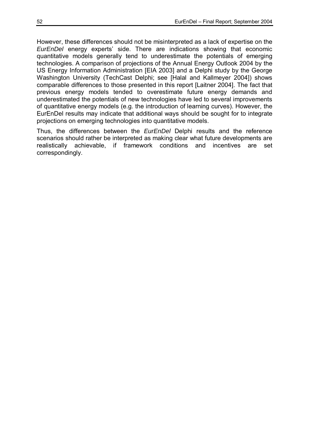However, these differences should not be misinterpreted as a lack of expertise on the *EurEnDel* energy experts' side. There are indications showing that economic quantitative models generally tend to underestimate the potentials of emerging technologies. A comparison of projections of the Annual Energy Outlook 2004 by the US Energy Information Administration [EIA 2003] and a Delphi study by the George Washington University (TechCast Delphi; see [Halal and Kallmeyer 2004]) shows comparable differences to those presented in this report [Laitner 2004]. The fact that previous energy models tended to overestimate future energy demands and underestimated the potentials of new technologies have led to several improvements of quantitative energy models (e.g. the introduction of learning curves). However, the EurEnDel results may indicate that additional ways should be sought for to integrate projections on emerging technologies into quantitative models.

Thus, the differences between the *EurEnDel* Delphi results and the reference scenarios should rather be interpreted as making clear what future developments are realistically achievable, if framework conditions and incentives are set correspondingly.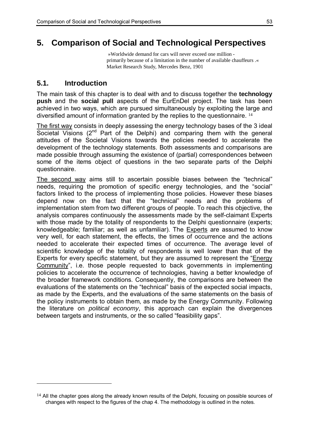# **5. Comparison of Social and Technological Perspectives**

 »Worldwide demand for cars will never exceed one million primarily because of a limitation in the number of available chauffeurs .« Market Research Study, Mercedes Benz, 1901

### **5.1. Introduction**

 $\overline{a}$ 

The main task of this chapter is to deal with and to discuss together the **technology push** and the **social pull** aspects of the EurEnDel project. The task has been achieved in two ways, which are pursued simultaneously by exploiting the large and diversified amount of information granted by the replies to the questionnaire. <sup>14</sup>

The first way consists in deeply assessing the energy technology bases of the 3 ideal Societal Visions  $(2^{nd}$  Part of the Delphi) and comparing them with the general attitudes of the Societal Visions towards the policies needed to accelerate the development of the technology statements. Both assessments and comparisons are made possible through assuming the existence of (partial) correspondences between some of the items object of questions in the two separate parts of the Delphi questionnaire.

The second way aims still to ascertain possible biases between the "technical" needs, requiring the promotion of specific energy technologies, and the "social" factors linked to the process of implementing those policies. However these biases depend now on the fact that the "technical" needs and the problems of implementation stem from two different groups of people. To reach this objective, the analysis compares continuously the assessments made by the self-claimant Experts with those made by the totality of respondents to the Delphi questionnaire (experts; knowledgeable; familiar; as well as unfamiliar). The Experts are assumed to know very well, for each statement, the effects, the times of occurrence and the actions needed to accelerate their expected times of occurrence. The average level of scientific knowledge of the totality of respondents is well lower than that of the Experts for every specific statement, but they are assumed to represent the "Energy Community", i.e. those people requested to back governments in implementing policies to accelerate the occurrence of technologies, having a better knowledge of the broader framework conditions. Consequently, the comparisons are between the evaluations of the statements on the "technical" basis of the expected social impacts, as made by the Experts, and the evaluations of the same statements on the basis of the policy instruments to obtain them, as made by the Energy Community. Following the literature on *political economy*, this approach can explain the divergences between targets and instruments, or the so called "feasibility gaps".

<sup>&</sup>lt;sup>14</sup> All the chapter goes along the already known results of the Delphi, focusing on possible sources of changes with respect to the figures of the chap 4. The methodology is outlined in the notes.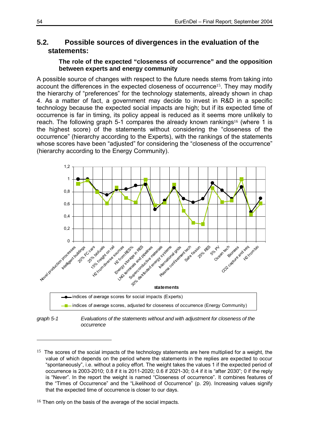### **5.2. Possible sources of divergences in the evaluation of the statements:**

### **The role of the expected "closeness of occurrence" and the opposition between experts and energy community**

A possible source of changes with respect to the future needs stems from taking into account the differences in the expected closeness of occurrence15. They may modify the hierarchy of "preferences" for the technology statements, already shown in chap 4. As a matter of fact, a government may decide to invest in R&D in a specific technology because the expected social impacts are high; but if its expected time of occurrence is far in timing, its policy appeal is reduced as it seems more unlikely to reach. The following graph 5-1 compares the already known rankings<sup>16</sup> (where 1 is the highest score) of the statements without considering the "closeness of the occurrenceî (hierarchy according to the Experts), with the rankings of the statements whose scores have been "adjusted" for considering the "closeness of the occurrence" (hierarchy according to the Energy Community).



l

*graph 5-1 Evaluations of the statements without and with adjustment for closeness of the occurrence* 

<sup>&</sup>lt;sup>15</sup> The scores of the social impacts of the technology statements are here multiplied for a weight, the value of which depends on the period where the statements in the replies are expected to occur "spontaneously", i.e. without a policy effort. The weight takes the values 1 if the expected period of occurrence is 2003-2010; 0.8 if it is 2011-2020; 0.6 if 2021-30; 0.4 if it is "after 2030"; 0 if the reply is "Never". In the report the weight is named "Closeness of occurrence". It combines features of the "Times of Occurrence" and the "Likelihood of Occurrence" (p. 29). Increasing values signify that the expected time of occurrence is closer to our days.

<sup>&</sup>lt;sup>16</sup> Then only on the basis of the average of the social impacts.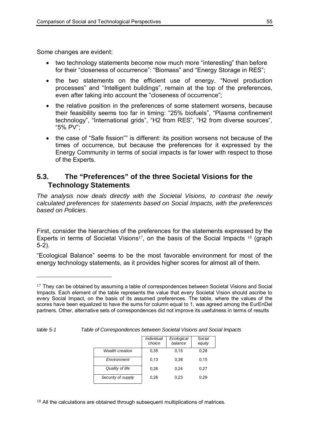Some changes are evident:

- two technology statements become now much more "interesting" than before for their "closeness of occurrence": "Biomass" and "Energy Storage in RES";
- the two statements on the efficient use of energy, "Novel production processes" and "Intelligent buildings", remain at the top of the preferences, even after taking into account the "closeness of occurrence":
- the relative position in the preferences of some statement worsens, because their feasibility seems too far in timing: "25% biofuels", "Plasma confinement technology", "International grids", "H2 from RES", "H2 from diverse sources", " $5\%$  PV";
- the case of "Safe fission"" is different: its position worsens not because of the times of occurrence, but because the preferences for it expressed by the Energy Community in terms of social impacts is far lower with respect to those of the Experts.

### **5.3. The "Preferences" of the three Societal Visions for the Technology Statements**

*The analysis now deals directly with the Societal Visions, to contrast the newly calculated preferences for statements based on Social Impacts, with the preferences based on Policies*.

First, consider the hierarchies of the preferences for the statements expressed by the Experts in terms of Societal Visions<sup>17</sup>, on the basis of the Social Impacts  $18$  (graph 5-2).

ìEcological Balanceî seems to be the most favorable environment for most of the energy technology statements, as it provides higher scores for almost all of them.

 $17$  They can be obtained by assuming a table of correspondences between Societal Visions and Social Impacts. Each element of the table represents the value that every Societal Vision should ascribe to every Social Impact, on the basis of its assumed preferences. The table, where the values of the scores have been equalized to have the sums for column equal to 1, was agreed among the EurEnDel partners. Other, alternative sets of correspondences did not improve its usefulness in terms of results

l

*table 5-1 Table of Correspondences between Societal Visions and Social Impacts* 

|                    | Individual<br>choice | Ecological<br>balance | Social<br>equity |
|--------------------|----------------------|-----------------------|------------------|
| Wealth creation    | 0.35                 | 0,15                  | 0.28             |
| Environment        | 0,13                 | 0.38                  | 0.15             |
| Quality of life    | 0.26                 | 0.24                  | 0,27             |
| Security of supply | 0.26                 | 0,23                  | 0.29             |

 $18$  All the calculations are obtained through subsequent multiplications of matrices.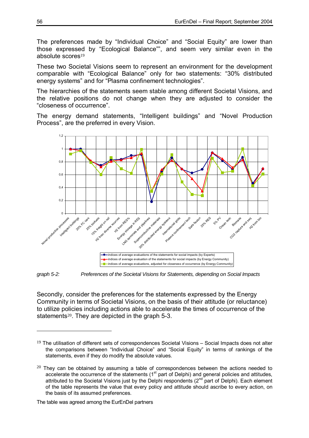The preferences made by "Individual Choice" and "Social Equity" are lower than those expressed by "Ecological Balance"", and seem very similar even in the absolute scores<sup>19</sup>

These two Societal Visions seem to represent an environment for the development comparable with "Ecological Balance" only for two statements: "30% distributed energy systems" and for "Plasma confinement technologies".

The hierarchies of the statements seem stable among different Societal Visions, and the relative positions do not change when they are adjusted to consider the "closeness of occurrence".

The energy demand statements, "Intelligent buildings" and "Novel Production Process", are the preferred in every Vision.





l

*graph 5-2: Preferences of the Societal Visions for Statements, depending on Social Impacts* 

Secondly, consider the preferences for the statements expressed by the Energy Community in terms of Societal Visions, on the basis of their attitude (or reluctance) to utilize policies including actions able to accelerate the times of occurrence of the statements<sup>20</sup>. They are depicted in the graph 5-3.

 $19$  The utilisation of different sets of correspondences Societal Visions  $-$  Social Impacts does not alter the comparisons between "Individual Choice" and "Social Equity" in terms of rankings of the statements, even if they do modify the absolute values.

 $20$  They can be obtained by assuming a table of correspondences between the actions needed to accelerate the occurrence of the statements ( $1<sup>st</sup>$  part of Delphi) and general policies and attitudes, attributed to the Societal Visions just by the Delphi respondents  $(2^{nd}$  part of Delphi). Each element of the table represents the value that every policy and attitude should ascribe to every action, on the basis of its assumed preferences.

The table was agreed among the EurEnDel partners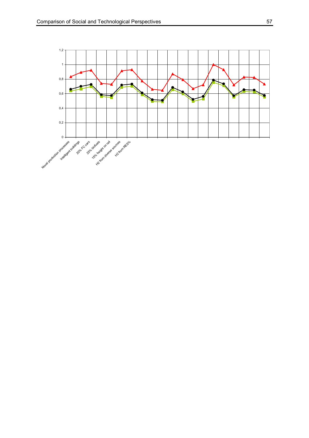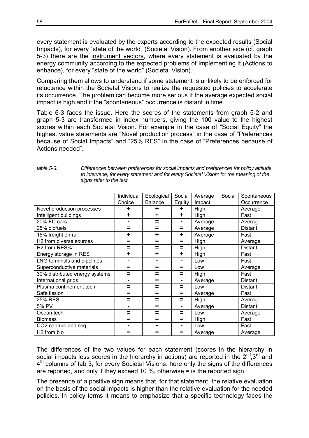every statement is evaluated by the experts according to the expected results (Social Impacts), for every "state of the world" (Societal Vision). From another side (cf. graph 5-3) there are the instrument vectors, where every statement is evaluated by the energy community according to the expected problems of implementing it (Actions to enhance), for every "state of the world" (Societal Vision).

Comparing them allows to understand if some statement is unlikely to be enforced for reluctance within the Societal Visions to realize the requested policies to accelerate its occurrence. The problem can become more serious if the average expected social impact is high and if the "spontaneous" occurrence is distant in time.

Table 6-3 faces the issue. Here the scores of the statements from graph 5-2 and graph 5-3 are transformed in index numbers, giving the 100 value to the highest scores within each Societal Vision. For example in the case of "Social Equity" the highest value statements are "Novel production process" in the case of "Preferences" because of Social Impacts" and "25% RES" in the case of "Preferences because of Actions needed".

|                                | Individual<br>Choice | Ecological<br><b>Balance</b> | Social<br>Equity | Social<br>Average<br>Impact | Spontaneous<br>Occurrence |
|--------------------------------|----------------------|------------------------------|------------------|-----------------------------|---------------------------|
| Novel production processes     | ٠                    | ÷                            | ٠                | High                        | Average                   |
| Intelligent buildings          | ٠                    | ٠                            | ٠                | High                        | Fast                      |
| 20% FC cars                    |                      | $\equiv$                     |                  | Average                     | Average                   |
| 25% biofuels                   | $=$                  | $=$                          | $\equiv$         | Average                     | Distant                   |
| 15% freight on rail            | ٠                    | ٠                            | ٠                | Average                     | Fast                      |
| H2 from diverse sources        | $\equiv$             | $=$                          | $=$              | High                        | Average                   |
| H <sub>2</sub> from RES%       | $=$                  | $=$                          | $=$              | High                        | <b>Distant</b>            |
| Energy storage in RES          | ٠                    | ٠                            | ٠                | High                        | Fast                      |
| LNG terminals and pipelines    | -                    | $\blacksquare$               | ۰.               | Low                         | Fast                      |
| Superconductive materials      | =                    | $=$                          | $=$              | Low                         | Average                   |
| 30% distributed energy systems | $=$                  | $\equiv$                     | $=$              | High                        | Fast                      |
| International grids            | Ξ.                   | $=$                          | ۰                | Average                     | <b>Distant</b>            |
| Plasma confinement tech        | =                    | $\equiv$                     | $\equiv$         | Low                         | Distant                   |
| Safe fission                   | $=$                  | =                            | $=$              | Average                     | Fast                      |
| <b>25% RES</b>                 | =                    | $=$                          | =                | High                        | Average                   |
| 5% PV                          | -                    | $=$                          | ۰                | Average                     | <b>Distant</b>            |
| Ocean tech                     | =                    | $=$                          | $=$              | Low                         | Average                   |
| <b>Biomass</b>                 | =                    | $\equiv$                     | $=$              | High                        | Fast                      |
| CO2 capture and seq            | -                    | $\blacksquare$               | ۰                | Low                         | Fast                      |
| H <sub>2</sub> from bio        |                      | =                            | $=$              | Average                     | Average                   |

*table 5-3: Differences between preferences for social impacts and preferences for policy attitude to intervene, for every statement and for every Societal Vision: for the meaning of the signs refer to the text* 

The differences of the two values for each statement (scores in the hierarchy in social impacts less scores in the hierarchy in actions) are reported in the 2<sup>nd</sup>,3<sup>rd</sup> and 4<sup>th</sup> columns of tab 3, for every Societal Visions: here only the signs of the differences are reported, and only if they exceed 10 %, otherwise = is the reported sign.

The presence of a positive sign means that, for that statement, the relative evaluation on the basis of the social impacts is higher than the relative evaluation for the needed policies. In policy terms it means to emphasize that a specific technology faces the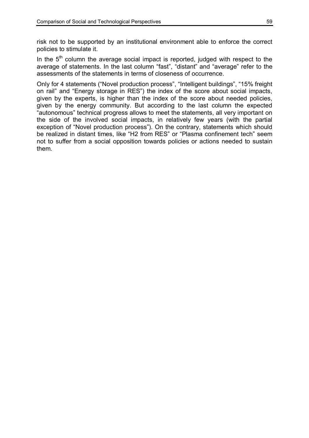risk not to be supported by an institutional environment able to enforce the correct policies to stimulate it.

In the  $5<sup>th</sup>$  column the average social impact is reported, judged with respect to the average of statements. In the last column "fast", "distant" and "average" refer to the assessments of the statements in terms of closeness of occurrence.

Only for 4 statements ("Novel production process", "Intelligent buildings", "15% freight on rail" and "Energy storage in RES") the index of the score about social impacts, given by the experts, is higher than the index of the score about needed policies, given by the energy community. But according to the last column the expected "autonomous" technical progress allows to meet the statements, all very important on the side of the involved social impacts, in relatively few years (with the partial exception of "Novel production process"). On the contrary, statements which should be realized in distant times, like "H2 from RES" or "Plasma confinement tech" seem not to suffer from a social opposition towards policies or actions needed to sustain them.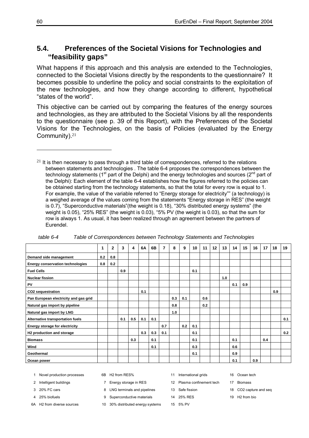### **5.4. Preferences of the Societal Visions for Technologies and "feasibility gaps"**

What happens if this approach and this analysis are extended to the Technologies, connected to the Societal Visions directly by the respondents to the questionnaire? It becomes possible to underline the policy and social constraints to the exploitation of the new technologies, and how they change according to different, hypothetical "states of the world".

This objective can be carried out by comparing the features of the energy sources and technologies, as they are attributed to the Societal Visions by all the respondents to the questionnaire (see p. 39 of this Report), with the Preferences of the Societal Visions for the Technologies, on the basis of Policies (evaluated by the Energy Community).<sup>21</sup>

 $21$  It is then necessary to pass through a third table of correspondences, referred to the relations between statements and technologies . The table 6-4 proposes the correspondences between the technology statements ( $1<sup>st</sup>$  part of the Delphi) and the energy technologies and sources ( $2<sup>nd</sup>$  part of the Delphi): Each element of the table 6-4 establishes how the figures referred to the policies can be obtained starting from the technology statements, so that the total for every row is equal to 1. For example, the value of the variable referred to "Energy storage for electricity"" (a technology) is a weighed average of the values coming from the statements "Energy storage in RES" (the weight is 0.7), "Superconductive materials" (the weight is  $0.18$ ), " $30\%$  distributed energy systems" (the weight is 0.05), "25% RES" (the weight is 0.03), "5% PV (the weight is 0.03), so that the sum for row is always 1. As usual, it has been realized through an agreement between the partners of Eurendel.

|                                         | 1   | $\mathbf{2}$ | 3   | 4   | 6A  | 6B  | 7   | 8   | 9   | 10  | 11  | 12 | 13  | 14  | 15  | 16  | 17  | 18  | 19  |
|-----------------------------------------|-----|--------------|-----|-----|-----|-----|-----|-----|-----|-----|-----|----|-----|-----|-----|-----|-----|-----|-----|
| Demand side management                  | 0.2 | 0.8          |     |     |     |     |     |     |     |     |     |    |     |     |     |     |     |     |     |
| <b>Energy conservation technologies</b> | 0.8 | 0.2          |     |     |     |     |     |     |     |     |     |    |     |     |     |     |     |     |     |
| <b>Fuel Cells</b>                       |     |              | 0.9 |     |     |     |     |     |     | 0.1 |     |    |     |     |     |     |     |     |     |
| <b>Nuclear fission</b>                  |     |              |     |     |     |     |     |     |     |     |     |    | 1.0 |     |     |     |     |     |     |
| PV                                      |     |              |     |     |     |     |     |     |     |     |     |    |     | 0.1 | 0.9 |     |     |     |     |
| CO2 sequestration                       |     |              |     |     | 0.1 |     |     |     |     |     |     |    |     |     |     |     |     | 0.9 |     |
| Pan European electricity and gas grid   |     |              |     |     |     |     |     | 0.3 | 0.1 |     | 0.6 |    |     |     |     |     |     |     |     |
| Natural gas import by pipeline          |     |              |     |     |     |     |     | 0.8 |     |     | 0.2 |    |     |     |     |     |     |     |     |
| Natural gas import by LNG               |     |              |     |     |     |     |     | 1.0 |     |     |     |    |     |     |     |     |     |     |     |
| Alternative transportation fuels        |     |              | 0.1 | 0.5 | 0.1 | 0.1 |     |     |     |     |     |    |     |     |     |     |     |     | 0.1 |
| Energy storage for electricity          |     |              |     |     |     |     | 0.7 |     | 0.2 | 0.1 |     |    |     |     |     |     |     |     |     |
| H2 production and storage               |     |              |     |     | 0.3 | 0.3 | 0.1 |     |     | 0.1 |     |    |     |     |     |     |     |     | 0.2 |
| <b>Biomass</b>                          |     |              |     | 0.3 |     | 0.1 |     |     |     | 0.1 |     |    |     | 0.1 |     |     | 0.4 |     |     |
| Wind                                    |     |              |     |     |     | 0.1 |     |     |     | 0.3 |     |    |     | 0.6 |     |     |     |     |     |
| Geothermal                              |     |              |     |     |     |     |     |     |     | 0.1 |     |    |     | 0.9 |     |     |     |     |     |
| Ocean power                             |     |              |     |     |     |     |     |     |     |     |     |    |     | 0.1 |     | 0.9 |     |     |     |

*table 6-4 Table of Correspondences between Technology Statements and Technologies* 

1 Novel production processes 6B H2 from RES% 11 International grids 16 Ocean tech

- 
- 4 25% biofuels **14 PM** 9 Superconductive materials 14 25% RES 19 H2 from bio
- 6A H2 from diverse sources 10 30% distributed energy systems 15 5% PV
- 

2 Intelligent buildings Theorgy storage in RES 12 Plasma confinement tech 17 Biomass

3 20% FC cars **8 LNG terminals and pipelines** 13 Safe fission 18 CO2 capture and seq

- 
- 
- 

- 
- 
- 
- 

l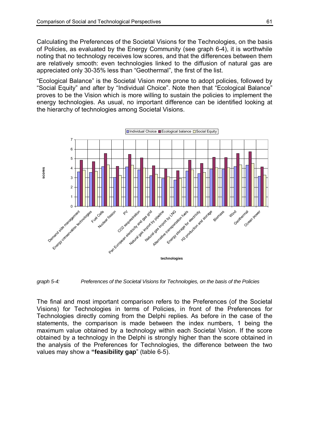Calculating the Preferences of the Societal Visions for the Technologies, on the basis of Policies, as evaluated by the Energy Community (see graph 6-4), it is worthwhile noting that no technology receives low scores, and that the differences between them are relatively smooth: even technologies linked to the diffusion of natural gas are appreciated only 30-35% less than "Geothermal", the first of the list.

ìEcological Balanceî is the Societal Vision more prone to adopt policies, followed by "Social Equity" and after by "Individual Choice". Note then that "Ecological Balance" proves to be the Vision which is more willing to sustain the policies to implement the energy technologies. As usual, no important difference can be identified looking at the hierarchy of technologies among Societal Visions.



*graph 5-4: Preferences of the Societal Visions for Technologies, on the basis of the Policies* 

The final and most important comparison refers to the Preferences (of the Societal Visions) for Technologies in terms of Policies, in front of the Preferences for Technologies directly coming from the Delphi replies. As before in the case of the statements, the comparison is made between the index numbers, 1 being the maximum value obtained by a technology within each Societal Vision. If the score obtained by a technology in the Delphi is strongly higher than the score obtained in the analysis of the Preferences for Technologies, the difference between the two values may show a **"feasibility gap**î (table 6-5).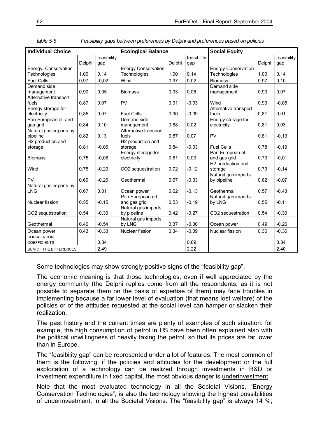| <b>Individual Choice</b>      |        |             | <b>Ecological Balance</b>     |        |             | <b>Social Equity</b>          |        |             |
|-------------------------------|--------|-------------|-------------------------------|--------|-------------|-------------------------------|--------|-------------|
|                               |        | feasibility |                               |        | feasibility |                               |        | feasibility |
|                               | Delphi | gap         |                               | Delphi | gap         |                               | Delphi | gap         |
| Energy Conservation           |        |             | <b>Energy Conservation</b>    |        |             | <b>Energy Conservation</b>    |        |             |
| Technologies                  | 1,00   | 0,14        | Technologies                  | 1,00   | 0,14        | Technologies                  | 1,00   | 0,14        |
| <b>Fuel Cells</b>             | 0,97   | $-0,02$     | Wind                          | 0,97   | 0,02        | <b>Biomass</b>                | 0,97   | 0, 10       |
| Demand side                   |        |             |                               |        |             | Demand side                   |        |             |
| management                    | 0,90   | 0,05        | <b>Biomass</b>                | 0,93   | 0,06        | management                    | 0,93   | 0,07        |
| Alternative transport         |        |             |                               |        |             |                               |        |             |
| fuels                         | 0,87   | 0,07        | PV                            | 0,91   | $-0,03$     | Wind                          | 0,90   | $-0,05$     |
| Energy storage for            |        |             |                               |        |             | Alternative transport         |        |             |
| electricity                   | 0,85   | 0,07        | <b>Fuel Cells</b>             | 0,90   | $-0,09$     | fuels                         | 0,81   | 0,01        |
| Pan European el. and          |        |             | Demand side                   |        |             | Energy storage for            |        |             |
| gas grid                      | 0,84   | 0, 10       | management                    | 0,88   | 0,02        | electricity                   | 0,81   | 0,03        |
| Natural gas imports by        |        |             | Alternative transport         |        |             |                               |        |             |
| pipeline                      | 0,82   | 0,13        | fuels                         | 0,87   | 0,07        | PV                            | 0,81   | $-0, 13$    |
| H <sub>2</sub> production and |        |             | H <sub>2</sub> production and |        |             |                               |        |             |
| storage                       | 0,81   | $-0,06$     | storage                       | 0,84   | $-0,03$     | <b>Fuel Cells</b>             | 0,78   | $-0,19$     |
|                               |        |             | Energy storage for            |        |             | Pan European el.              |        |             |
| <b>Biomass</b>                | 0,75   | $-0,08$     | electricity                   | 0,81   | 0,03        | and gas grid                  | 0,73   | $-0,01$     |
|                               |        |             |                               |        |             | H <sub>2</sub> production and |        |             |
| Wind                          | 0,75   | $-0,20$     | CO2 sequestration             | 0,72   | $-0, 12$    | storage                       | 0,73   | $-0, 14$    |
|                               |        |             |                               |        |             | Natural gas imports           |        |             |
| PV                            | 0,69   | $-0,26$     | Geothermal                    | 0,67   | $-0,33$     | by pipeline                   | 0,62   | $-0,07$     |
| Natural gas imports by        |        |             |                               |        |             |                               |        |             |
| <b>LNG</b>                    | 0,67   | 0,01        | Ocean power                   | 0,62   | $-0, 13$    | Geothermal                    | 0,57   | $-0,43$     |
|                               |        |             | Pan European e.l              |        |             | Natural gas imports           |        |             |
| Nuclear fission               | 0,55   | $-0, 15$    | and gas grid                  | 0,53   | $-0, 19$    | by LNG                        | 0,55   | $-0, 11$    |
|                               |        |             | Natural gas imports           |        |             |                               |        |             |
| CO2 sequestration             | 0,54   | $-0,30$     | by pipeline                   | 0,42   | $-0,27$     | CO2 sequestration             | 0,54   | $-0,30$     |
|                               |        |             | Natural gas imports           |        |             |                               |        |             |
| Geothermal                    | 0,46   | $-0,54$     | by LNG                        | 0,37   | $-0,30$     | Ocean power                   | 0,49   | $-0,26$     |
| Ocean power                   | 0,43   | $-0,33$     | Nuclear fission               | 0,34   | $-0,39$     | Nuclear fission               | 0,36   | $-0,36$     |
| <b>CORRELATION</b>            |        |             |                               |        |             |                               |        |             |
| <b>COEFFICIENTS</b>           |        | 0,84        |                               |        | 0,89        |                               |        | 0,84        |
| SUM OF THE DIFFERENCES        |        | 2,49        |                               |        | 2,22        |                               |        | 2,40        |

| table 5-5 | Feasibility gaps between preferences by Delphi and preferences based on policies |  |  |  |
|-----------|----------------------------------------------------------------------------------|--|--|--|
|           |                                                                                  |  |  |  |

Some technologies may show strongly positive signs of the "feasibility gap".

The economic meaning is that those technologies, even if well appreciated by the energy community (the Delphi replies come from all the respondents, as it is not possible to separate them on the basis of expertise of them) may face troubles in implementing because a far lower level of evaluation (that means lost welfare) of the policies or of the attitudes requested at the social level can hamper or slacken their realization.

The past history and the current times are plenty of examples of such situation: for example, the high consumption of petrol in US have been often explained also with the political unwillingness of heavily taxing the petrol, so that its prices are far lower than in Europe.

The "feasibility gap" can be represented under a lot of features. The most common of them is the following: if the policies and attitudes for the development or the full exploitation of a technology can be realized through investments in R&D or investment expenditure in fixed capital, the most obvious danger is underinvestment.

Note that the most evaluated technology in all the Societal Visions, "Energy Conservation Technologies", is also the technology showing the highest possibilities of underinvestment, in all the Societal Visions. The "feasibility gap" is always 14 %;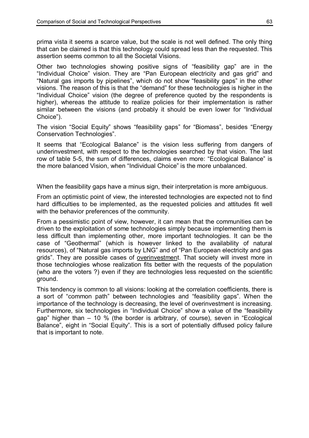prima vista it seems a scarce value, but the scale is not well defined. The only thing that can be claimed is that this technology could spread less than the requested. This assertion seems common to all the Societal Visions.

Other two technologies showing positive signs of "feasibility gap" are in the "Individual Choice" vision. They are "Pan European electricity and gas grid" and "Natural gas imports by pipelines", which do not show "feasibility gaps" in the other visions. The reason of this is that the "demand" for these technologies is higher in the "Individual Choice" vision (the degree of preference quoted by the respondents is higher), whereas the attitude to realize policies for their implementation is rather similar between the visions (and probably it should be even lower for "Individual Choice").

The vision "Social Equity" shows "feasibility gaps" for "Biomass", besides "Energy Conservation Technologies<sup>"</sup>.

It seems that "Ecological Balance" is the vision less suffering from dangers of underinvestment, with respect to the technologies searched by that vision. The last row of table 5-5, the sum of differences, claims even more: "Ecological Balance" is the more balanced Vision, when "Individual Choice" is the more unbalanced.

When the feasibility gaps have a minus sign, their interpretation is more ambiguous.

From an optimistic point of view, the interested technologies are expected not to find hard difficulties to be implemented, as the requested policies and attitudes fit well with the behavior preferences of the community.

From a pessimistic point of view, however, it can mean that the communities can be driven to the exploitation of some technologies simply because implementing them is less difficult than implementing other, more important technologies. It can be the case of "Geothermal" (which is however linked to the availability of natural resources), of "Natural gas imports by LNG" and of "Pan European electricity and gas grids". They are possible cases of overinvestment. That society will invest more in those technologies whose realization fits better with the requests of the population (who are the voters ?) even if they are technologies less requested on the scientific ground.

This tendency is common to all visions: looking at the correlation coefficients, there is a sort of "common path" between technologies and "feasibility gaps". When the importance of the technology is decreasing, the level of overinvestment is increasing. Furthermore, six technologies in "Individual Choice" show a value of the "feasibility gap" higher than  $-10\%$  (the border is arbitrary, of course), seven in "Ecological Balance", eight in "Social Equity". This is a sort of potentially diffused policy failure that is important to note.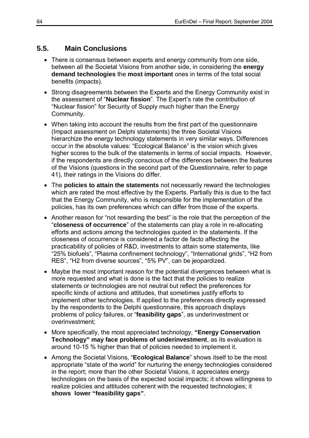### **5.5. Main Conclusions**

- There is consensus between experts and energy community from one side, between all the Societal Visions from another side, in considering the **energy demand technologies** the **most important** ones in terms of the total social benefits (impacts).
- Strong disagreements between the Experts and the Energy Community exist in the assessment of "**Nuclear fission**". The Expert's rate the contribution of "Nuclear fission" for Security of Supply much higher than the Energy Community.
- When taking into account the results from the first part of the questionnaire (Impact assessment on Delphi statements) the three Societal Visions hierarchize the energy technology statements in very similar ways. Differences occur in the absolute values: "Ecological Balance" is the vision which gives higher scores to the bulk of the statements in terms of social impacts. However, if the respondents are directly conscious of the differences between the features of the Visions (questions in the second part of the Questionnaire, refer to page 41), their ratings in the Visions do differ.
- The **policies to attain the statements** not necessarily reward the technologies which are rated the most effective by the Experts. Partially this is due to the fact that the Energy Community, who is responsible for the implementation of the policies, has its own preferences which can differ from those of the experts.
- Another reason for "not rewarding the best" is the role that the perception of the ì**closeness of occurrence**î of the statements can play a role in re-allocating efforts and actions among the technologies quoted in the statements. If the closeness of occurrence is considered a factor de facto affecting the practicability of policies of R&D, investments to attain some statements, like "25% biofuels", "Plasma confinement technology", "International grids", "H2 from RES", "H2 from diverse sources", "5% PV", can be jeopardized.
- Maybe the most important reason for the potential divergences between what is more requested and what is done is the fact that the policies to realize statements or technologies are not neutral but reflect the preferences for specific kinds of actions and attitudes, that sometimes justify efforts to implement other technologies. If applied to the preferences directly expressed by the respondents to the Delphi questionnaire, this approach displays problems of policy failures, or "**feasibility gaps**", as underinvestment or overinvestment;
- More specifically, the most appreciated technology, **"Energy Conservation Technology" may face problems of underinvestment**, as its evaluation is around 10-15 % higher than that of policies needed to implement it.
- Among the Societal Visions, "**Ecological Balance**" shows itself to be the most appropriate "state of the world" for nurturing the energy technologies considered in the report; more than the other Societal Visions, it appreciates energy technologies on the basis of the expected social impacts; it shows willingness to realize policies and attitudes coherent with the requested technologies; it **shows lower "feasibility gaps"**.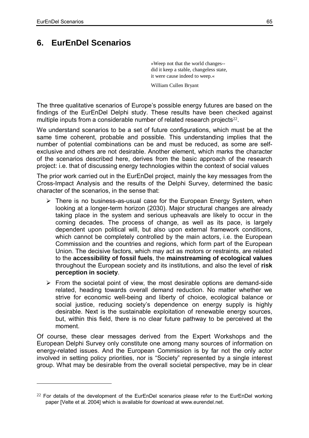$\overline{a}$ 

# **6. EurEnDel Scenarios**

»Weep not that the world changes- did it keep a stable, changeless state, it were cause indeed to weep.«

William Cullen Bryant

The three qualitative scenarios of Europe's possible energy futures are based on the findings of the EurEnDel Delphi study. These results have been checked against multiple inputs from a considerable number of related research projects<sup>22</sup>.

We understand scenarios to be a set of future configurations, which must be at the same time coherent, probable and possible. This understanding implies that the number of potential combinations can be and must be reduced, as some are selfexclusive and others are not desirable. Another element, which marks the character of the scenarios described here, derives from the basic approach of the research project: i.e. that of discussing energy technologies within the context of social values

The prior work carried out in the EurEnDel project, mainly the key messages from the Cross-Impact Analysis and the results of the Delphi Survey, determined the basic character of the scenarios, in the sense that:

- $\triangleright$  There is no business-as-usual case for the European Energy System, when looking at a longer-term horizon (2030). Major structural changes are already taking place in the system and serious upheavals are likely to occur in the coming decades. The process of change, as well as its pace, is largely dependent upon political will, but also upon external framework conditions, which cannot be completely controlled by the main actors, i.e. the European Commission and the countries and regions, which form part of the European Union. The decisive factors, which may act as motors or restraints, are related to the **accessibility of fossil fuels**, the **mainstreaming of ecological values** throughout the European society and its institutions, and also the level of **risk perception in society**.
- $\triangleright$  From the societal point of view, the most desirable options are demand-side related, heading towards overall demand reduction. No matter whether we strive for economic well-being and liberty of choice, ecological balance or social justice, reducing society's dependence on energy supply is highly desirable. Next is the sustainable exploitation of renewable energy sources, but, within this field, there is no clear future pathway to be perceived at the moment.

Of course, these clear messages derived from the Expert Workshops and the European Delphi Survey only constitute one among many sources of information on energy-related issues. And the European Commission is by far not the only actor involved in setting policy priorities, nor is "Society" represented by a single interest group. What may be desirable from the overall societal perspective, may be in clear

 $22$  For details of the development of the EurEnDel scenarios please refer to the EurEnDel working paper [Velte et al. 2004] which is available for download at www.eurendel.net.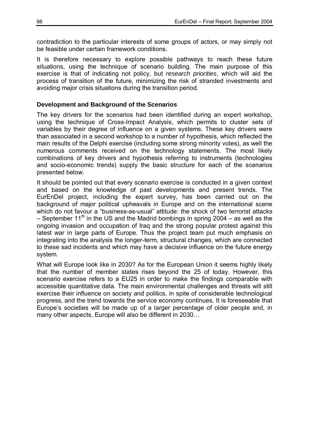contradiction to the particular interests of some groups of actors, or may simply not be feasible under certain framework conditions.

It is therefore necessary to explore possible pathways to reach these future situations, using the technique of scenario building. The main purpose of this exercise is that of indicating not policy, but *research priorities*, which will aid the process of transition of the future, minimizing the risk of stranded investments and avoiding major crisis situations during the transition period.

#### **Development and Background of the Scenarios**

The key drivers for the scenarios had been identified during an expert workshop, using the technique of Cross-Impact Analysis, which permits to cluster sets of variables by their degree of influence on a given systems. These key drivers were than associated in a second workshop to a number of hypothesis, which reflected the main results of the Delphi exercise (including some strong minority votes), as well the numerous comments received on the technology statements. The most likely combinations of key drivers and hypothesis referring to instruments (technologies and socio-economic trends) supply the basic structure for each of the scenarios presented below.

It should be pointed out that every scenario exercise is conducted in a given context and based on the knowledge of past developments and present trends. The EurEnDel project, including the expert survey, has been carried out on the background of major political upheavals in Europe and on the international scene which do not favour a "business-as-usual" attitude: the shock of two terrorist attacks – September 11<sup>th</sup> in the US and the Madrid bombings in spring 2004 – as well as the ongoing invasion and occupation of Iraq and the strong popular protest against this latest war in large parts of Europe. Thus the project team put much emphasis on integrating into the analysis the longer-term, structural changes, which are connected to these sad incidents and which may have a decisive influence on the future energy system.

What will Europe look like in 2030? As for the European Union it seems highly likely that the number of member states rises beyond the 25 of today. However, this scenario exercise refers to a EU25 in order to make the findings comparable with accessible quantitative data. The main environmental challenges and threats will still exercise their influence on society and politics, in spite of considerable technological progress, and the trend towards the service economy continues. It is foreseeable that Europe's societies will be made up of a larger percentage of older people and, in many other aspects, Europe will also be different in 2030...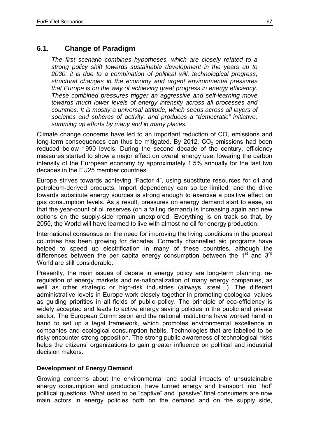### **6.1. Change of Paradigm**

*The first scenario combines hypotheses, which are closely related to a strong policy shift towards sustainable development in the years up to 2030: it is due to a combination of political will, technological progress, structural changes in the economy and urgent environmental pressures that Europe is on the way of achieving great progress in energy efficiency. These combined pressures trigger an aggressive and self-learning move towards much lower levels of energy intensity across all processes and countries. It is mostly a universal attitude, which seeps across all layers of societies and spheres of activity, and produces a "democratic" initiative, summing up efforts by many and in many places.* 

Climate change concerns have led to an important reduction of  $CO<sub>2</sub>$  emissions and long-term consequences can thus be mitigated. By 2012,  $CO<sub>2</sub>$  emissions had been reduced below 1990 levels. During the second decade of the century, efficiency measures started to show a major effect on overall energy use, lowering the carbon intensity of the European economy by approximately 1.5% annually for the last two decades in the EU25 member countries.

Europe strives towards achieving "Factor 4", using substitute resources for oil and petroleum-derived products. Import dependency can so be limited, and the drive towards substitute energy sources is strong enough to exercise a positive effect on gas consumption levels. As a result, pressures on energy demand start to ease, so that the year-count of oil reserves (on a falling demand) is increasing again and new options on the supply-side remain unexplored. Everything is on track so that, by 2050, the World will have learned to live with almost no oil for energy production.

International consensus on the need for improving the living conditions in the poorest countries has been growing for decades. Correctly channelled aid programs have helped to speed up electrification in many of these countries, although the differences between the per capita energy consumption between the  $1<sup>st</sup>$  and  $3<sup>rd</sup>$ World are still considerable.

Presently, the main issues of debate in energy policy are long-term planning, reregulation of energy markets and re-nationalization of many energy companies, as well as other strategic or high-risk industries (airways, steel...). The different administrative levels in Europe work closely together in promoting ecological values as guiding priorities in all fields of public policy. The principle of eco-efficiency is widely accepted and leads to active energy saving policies in the public and private sector. The European Commission and the national institutions have worked hand in hand to set up a legal framework, which promotes environmental excellence in companies and ecological consumption habits. Technologies that are labelled to be risky encounter strong opposition. The strong public awareness of technological risks helps the citizens' organizations to gain greater influence on political and industrial decision makers.

#### **Development of Energy Demand**

Growing concerns about the environmental and social impacts of unsustainable energy consumption and production, have turned energy and transport into "hot" political questions. What used to be "captive" and "passive" final consumers are now main actors in energy policies both on the demand and on the supply side,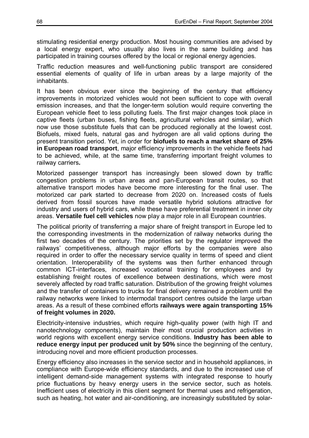stimulating residential energy production. Most housing communities are advised by a local energy expert, who usually also lives in the same building and has participated in training courses offered by the local or regional energy agencies.

Traffic reduction measures and well-functioning public transport are considered essential elements of quality of life in urban areas by a large majority of the inhabitants.

It has been obvious ever since the beginning of the century that efficiency improvements in motorized vehicles would not been sufficient to cope with overall emission increases, and that the longer-term solution would require converting the European vehicle fleet to less polluting fuels. The first major changes took place in captive fleets (urban buses, fishing fleets, agricultural vehicles and similar), which now use those substitute fuels that can be produced regionally at the lowest cost. Biofuels, mixed fuels, natural gas and hydrogen are all valid options during the present transition period. Yet, in order for **biofuels to reach a market share of 25% in European road transport**, major efficiency improvements in the vehicle fleets had to be achieved, while, at the same time, transferring important freight volumes to railway carriers**.** 

Motorized passenger transport has increasingly been slowed down by traffic congestion problems in urban areas and pan-European transit routes, so that alternative transport modes have become more interesting for the final user. The motorized car park started to decrease from 2020 on. Increased costs of fuels derived from fossil sources have made versatile hybrid solutions attractive for industry and users of hybrid cars, while these have preferential treatment in inner city areas. **Versatile fuel cell vehicles** now play a major role in all European countries.

The political priority of transferring a major share of freight transport in Europe led to the corresponding investments in the modernization of railway networks during the first two decades of the century. The priorities set by the regulator improved the railways' competitiveness, although major efforts by the companies were also required in order to offer the necessary service quality in terms of speed and client orientation. Interoperability of the systems was then further enhanced through common ICT-interfaces, increased vocational training for employees and by establishing freight routes of excellence between destinations, which were most severely affected by road traffic saturation. Distribution of the growing freight volumes and the transfer of containers to trucks for final delivery remained a problem until the railway networks were linked to intermodal transport centres outside the large urban areas. As a result of these combined efforts **railways were again transporting 15% of freight volumes in 2020.**

Electricity-intensive industries, which require high-quality power (with high IT and nanotechnology components), maintain their most crucial production activities in world regions with excellent energy service conditions. **Industry has been able to reduce energy input per produced unit by 50%** since the beginning of the century, introducing novel and more efficient production processes.

Energy efficiency also increases in the service sector and in household appliances, in compliance with Europe-wide efficiency standards, and due to the increased use of intelligent demand-side management systems with integrated response to hourly price fluctuations by heavy energy users in the service sector, such as hotels. Inefficient uses of electricity in this client segment for thermal uses and refrigeration, such as heating, hot water and air-conditioning, are increasingly substituted by solar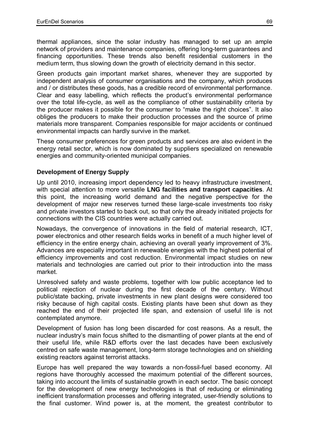thermal appliances, since the solar industry has managed to set up an ample network of providers and maintenance companies, offering long-term guarantees and financing opportunities. These trends also benefit residential customers in the medium term, thus slowing down the growth of electricity demand in this sector.

Green products gain important market shares, whenever they are supported by independent analysis of consumer organisations and the company, which produces and / or distributes these goods, has a credible record of environmental performance. Clear and easy labelling, which reflects the product's environmental performance over the total life-cycle, as well as the compliance of other sustainability criteria by the producer makes it possible for the consumer to "make the right choices". It also obliges the producers to make their production processes and the source of prime materials more transparent. Companies responsible for major accidents or continued environmental impacts can hardly survive in the market.

These consumer preferences for green products and services are also evident in the energy retail sector, which is now dominated by suppliers specialized on renewable energies and community-oriented municipal companies.

#### **Development of Energy Supply**

Up until 2010, increasing import dependency led to heavy infrastructure investment, with special attention to more versatile **LNG facilities and transport capacities**. At this point, the increasing world demand and the negative perspective for the development of major new reserves turned these large-scale investments too risky and private investors started to back out, so that only the already initiated projects for connections with the CIS countries were actually carried out.

Nowadays, the convergence of innovations in the field of material research, ICT, power electronics and other research fields works in benefit of a much higher level of efficiency in the entire energy chain, achieving an overall yearly improvement of 3%. Advances are especially important in renewable energies with the highest potential of efficiency improvements and cost reduction. Environmental impact studies on new materials and technologies are carried out prior to their introduction into the mass market.

Unresolved safety and waste problems, together with low public acceptance led to political rejection of nuclear during the first decade of the century. Without public/state backing, private investments in new plant designs were considered too risky because of high capital costs. Existing plants have been shut down as they reached the end of their projected life span, and extension of useful life is not contemplated anymore.

Development of fusion has long been discarded for cost reasons. As a result, the nuclear industryís main focus shifted to the dismantling of power plants at the end of their useful life, while R&D efforts over the last decades have been exclusively centred on safe waste management, long-term storage technologies and on shielding existing reactors against terrorist attacks.

Europe has well prepared the way towards a non-fossil-fuel based economy. All regions have thoroughly accessed the maximum potential of the different sources, taking into account the limits of sustainable growth in each sector. The basic concept for the development of new energy technologies is that of reducing or eliminating inefficient transformation processes and offering integrated, user-friendly solutions to the final customer. Wind power is, at the moment, the greatest contributor to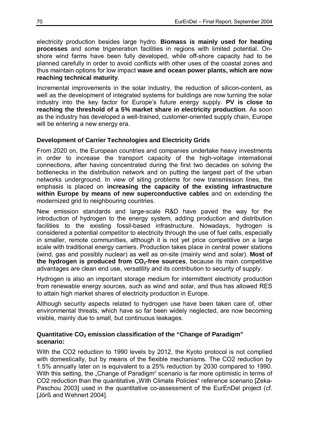electricity production besides large hydro. **Biomass is mainly used for heating processes** and some trigeneration facilities in regions with limited potential. Onshore wind farms have been fully developed, while off-shore capacity had to be planned carefully in order to avoid conflicts with other uses of the coastal zones and thus maintain options for low impact **wave and ocean power plants, which are now reaching technical maturity**.

Incremental improvements in the solar industry, the reduction of silicon-content, as well as the development of integrated systems for buildings are now turning the solar industry into the key factor for Europe's future energy supply. PV is close to **reaching the threshold of a 5% market share in electricity production**. As soon as the industry has developed a well-trained, customer-oriented supply chain, Europe will be entering a new energy era.

#### **Development of Carrier Technologies and Electricity Grids**

From 2020 on, the European countries and companies undertake heavy investments in order to increase the transport capacity of the high-voltage international connections, after having concentrated during the first two decades on solving the bottlenecks in the distribution network and on putting the largest part of the urban networks underground. In view of siting problems for new transmission lines, the emphasis is placed on **increasing the capacity of the existing infrastructure within Europe by means of new superconductive cables** and on extending the modernized grid to neighbouring countries.

New emission standards and large-scale R&D have paved the way for the introduction of hydrogen to the energy system, adding production and distribution facilities to the existing fossil-based infrastructure. Nowadays, hydrogen is considered a potential competitor to electricity through the use of fuel cells, especially in smaller, remote communities, although it is not yet price competitive on a large scale with traditional energy carriers. Production takes place in central power stations (wind, gas and possibly nuclear) as well as on-site (mainly wind and solar). **Most of**  the hydrogen is produced from CO<sub>2</sub>-free sources, because its main competitive advantages are clean end use, versatility and its contribution to security of supply.

Hydrogen is also an important storage medium for intermittent electricity production from renewable energy sources, such as wind and solar, and thus has allowed RES to attain high market shares of electricity production in Europe.

Although security aspects related to hydrogen use have been taken care of, other environmental threats, which have so far been widely neglected, are now becoming visible, mainly due to small, but continuous leakages.

#### **Quantitative CO<sub>2</sub> emission classification of the "Change of Paradigm" scenario:**

With the CO2 reduction to 1990 levels by 2012, the Kyoto protocol is not complied with domestically, but by means of the flexible mechanisms. The CO2 reduction by 1.5% annually later on is equivalent to a 25% reduction by 2030 compared to 1990. With this setting, the "Change of Paradigm" scenario is far more optimistic in terms of CO2 reduction than the quantitative "With Climate Policies" reference scenario [Zeka-Paschou 2003] used in the quantitative co-assessment of the EurEnDel project (cf. [Jörß and Wehnert 2004].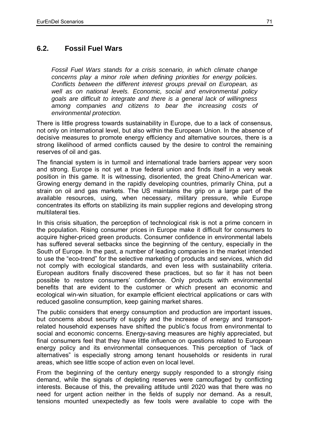### **6.2. Fossil Fuel Wars**

*Fossil Fuel Wars stands for a crisis scenario, in which climate change concerns play a minor role when defining priorities for energy policies. Conflicts between the different interest groups prevail on European, as well as on national levels. Economic, social and environmental policy goals are difficult to integrate and there is a general lack of willingness among companies and citizens to bear the increasing costs of environmental protection.* 

There is little progress towards sustainability in Europe, due to a lack of consensus, not only on international level, but also within the European Union. In the absence of decisive measures to promote energy efficiency and alternative sources, there is a strong likelihood of armed conflicts caused by the desire to control the remaining reserves of oil and gas.

The financial system is in turmoil and international trade barriers appear very soon and strong. Europe is not yet a true federal union and finds itself in a very weak position in this game. It is witnessing, disoriented, the great Chino-American war. Growing energy demand in the rapidly developing countries, primarily China, put a strain on oil and gas markets. The US maintains the grip on a large part of the available resources, using, when necessary, military pressure, while Europe concentrates its efforts on stabilizing its main supplier regions and developing strong multilateral ties.

In this crisis situation, the perception of technological risk is not a prime concern in the population. Rising consumer prices in Europe make it difficult for consumers to acquire higher-priced green products. Consumer confidence in environmental labels has suffered several setbacks since the beginning of the century, especially in the South of Europe. In the past, a number of leading companies in the market intended to use the "eco-trend" for the selective marketing of products and services, which did not comply with ecological standards, and even less with sustainability criteria. European auditors finally discovered these practices, but so far it has not been possible to restore consumers' confidence. Only products with environmental benefits that are evident to the customer or which present an economic and ecological win-win situation, for example efficient electrical applications or cars with reduced gasoline consumption, keep gaining market shares.

The public considers that energy consumption and production are important issues, but concerns about security of supply and the increase of energy and transportrelated household expenses have shifted the public's focus from environmental to social and economic concerns. Energy-saving measures are highly appreciated, but final consumers feel that they have little influence on questions related to European energy policy and its environmental consequences. This perception of "lack of alternatives" is especially strong among tenant households or residents in rural areas, which see little scope of action even on local level.

From the beginning of the century energy supply responded to a strongly rising demand, while the signals of depleting reserves were camouflaged by conflicting interests. Because of this, the prevailing attitude until 2020 was that there was no need for urgent action neither in the fields of supply nor demand. As a result, tensions mounted unexpectedly as few tools were available to cope with the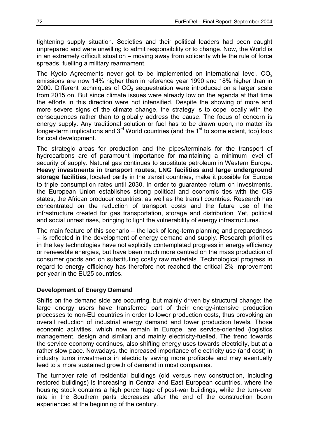tightening supply situation. Societies and their political leaders had been caught unprepared and were unwilling to admit responsibility or to change. Now, the World is in an extremely difficult situation  $-$  moving away from solidarity while the rule of force spreads, fuelling a military rearmament.

The Kyoto Agreements never got to be implemented on international level.  $CO<sub>2</sub>$ emissions are now 14% higher than in reference year 1990 and 18% higher than in 2000. Different techniques of  $CO<sub>2</sub>$  sequestration were introduced on a larger scale from 2015 on. But since climate issues were already low on the agenda at that time the efforts in this direction were not intensified. Despite the showing of more and more severe signs of the climate change, the strategy is to cope locally with the consequences rather than to globally address the cause. The focus of concern is energy supply. Any traditional solution or fuel has to be drawn upon, no matter its longer-term implications and  $3<sup>rd</sup>$  World countries (and the 1<sup>st</sup> to some extent, too) look for coal development.

The strategic areas for production and the pipes/terminals for the transport of hydrocarbons are of paramount importance for maintaining a minimum level of security of supply. Natural gas continues to substitute petroleum in Western Europe. **Heavy investments in transport routes, LNG facilities and large underground storage facilities**, located partly in the transit countries, make it possible for Europe to triple consumption rates until 2030. In order to guarantee return on investments, the European Union establishes strong political and economic ties with the CIS states, the African producer countries, as well as the transit countries. Research has concentrated on the reduction of transport costs and the future use of the infrastructure created for gas transportation, storage and distribution. Yet, political and social unrest rises, bringing to light the vulnerability of energy infrastructures.

The main feature of this scenario  $-$  the lack of long-term planning and preparedness  $-$  is reflected in the development of energy demand and supply. Research priorities in the key technologies have not explicitly contemplated progress in energy efficiency or renewable energies, but have been much more centred on the mass production of consumer goods and on substituting costly raw materials. Technological progress in regard to energy efficiency has therefore not reached the critical 2% improvement per year in the EU25 countries.

#### **Development of Energy Demand**

Shifts on the demand side are occurring, but mainly driven by structural change: the large energy users have transferred part of their energy-intensive production processes to non-EU countries in order to lower production costs, thus provoking an overall reduction of industrial energy demand and lower production levels. Those economic activities, which now remain in Europe, are service-oriented (logistics management, design and similar) and mainly electricity-fuelled. The trend towards the service economy continues, also shifting energy uses towards electricity, but at a rather slow pace. Nowadays, the increased importance of electricity use (and cost) in industry turns investments in electricity saving more profitable and may eventually lead to a more sustained growth of demand in most companies.

The turnover rate of residential buildings (old versus new construction, including restored buildings) is increasing in Central and East European countries, where the housing stock contains a high percentage of post-war buildings, while the turn-over rate in the Southern parts decreases after the end of the construction boom experienced at the beginning of the century.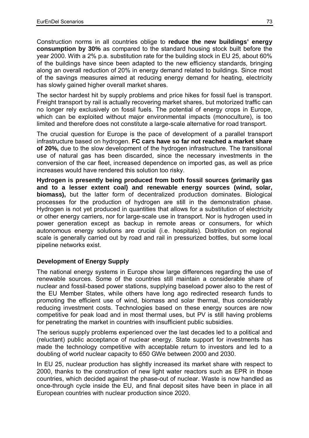Construction norms in all countries oblige to **reduce the new buildings' energy consumption by 30%** as compared to the standard housing stock built before the year 2000. With a 2% p.a. substitution rate for the building stock in EU 25, about 60% of the buildings have since been adapted to the new efficiency standards, bringing along an overall reduction of 20% in energy demand related to buildings. Since most of the savings measures aimed at reducing energy demand for heating, electricity has slowly gained higher overall market shares.

The sector hardest hit by supply problems and price hikes for fossil fuel is transport. Freight transport by rail is actually recovering market shares, but motorized traffic can no longer rely exclusively on fossil fuels. The potential of energy crops in Europe, which can be exploited without major environmental impacts (monoculture), is too limited and therefore does not constitute a large-scale alternative for road transport.

The crucial question for Europe is the pace of development of a parallel transport infrastructure based on hydrogen. **FC cars have so far not reached a market share of 20%,** due to the slow development of the hydrogen infrastructure. The transitional use of natural gas has been discarded, since the necessary investments in the conversion of the car fleet, increased dependence on imported gas, as well as price increases would have rendered this solution too risky.

**Hydrogen is presently being produced from both fossil sources (primarily gas and to a lesser extent coal) and renewable energy sources (wind, solar, biomass),** but the latter form of decentralized production dominates. Biological processes for the production of hydrogen are still in the demonstration phase. Hydrogen is not yet produced in quantities that allows for a substitution of electricity or other energy carriers, nor for large-scale use in transport. Nor is hydrogen used in power generation except as backup in remote areas or consumers, for which autonomous energy solutions are crucial (i.e. hospitals). Distribution on regional scale is generally carried out by road and rail in pressurized bottles, but some local pipeline networks exist.

#### **Development of Energy Supply**

The national energy systems in Europe show large differences regarding the use of renewable sources. Some of the countries still maintain a considerable share of nuclear and fossil-based power stations, supplying baseload power also to the rest of the EU Member States, while others have long ago redirected research funds to promoting the efficient use of wind, biomass and solar thermal, thus considerably reducing investment costs. Technologies based on these energy sources are now competitive for peak load and in most thermal uses, but PV is still having problems for penetrating the market in countries with insufficient public subsidies.

The serious supply problems experienced over the last decades led to a political and (reluctant) public acceptance of nuclear energy. State support for investments has made the technology competitive with acceptable return to investors and led to a doubling of world nuclear capacity to 650 GWe between 2000 and 2030.

In EU 25, nuclear production has slightly increased its market share with respect to 2000, thanks to the construction of new light water reactors such as EPR in those countries, which decided against the phase-out of nuclear. Waste is now handled as once-through cycle inside the EU, and final deposit sites have been in place in all European countries with nuclear production since 2020.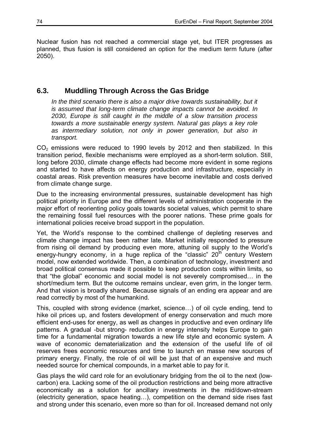Nuclear fusion has not reached a commercial stage yet, but ITER progresses as planned, thus fusion is still considered an option for the medium term future (after 2050).

# **6.3. Muddling Through Across the Gas Bridge**

In the third scenario there is also a major drive towards sustainability, but it *is assumed that long-term climate change impacts cannot be avoided. In 2030, Europe is still caught in the middle of a slow transition process towards a more sustainable energy system. Natural gas plays a key role as intermediary solution, not only in power generation, but also in transport.* 

 $CO<sub>2</sub>$  emissions were reduced to 1990 levels by 2012 and then stabilized. In this transition period, flexible mechanisms were employed as a short-term solution. Still, long before 2030, climate change effects had become more evident in some regions and started to have affects on energy production and infrastructure, especially in coastal areas. Risk prevention measures have become inevitable and costs derived from climate change surge.

Due to the increasing environmental pressures, sustainable development has high political priority in Europe and the different levels of administration cooperate in the major effort of reorienting policy goals towards societal values, which permit to share the remaining fossil fuel resources with the poorer nations. These prime goals for international policies receive broad support in the population.

Yet, the World's response to the combined challenge of depleting reserves and climate change impact has been rather late. Market initially responded to pressure from rising oil demand by producing even more, attuning oil supply to the World's energy-hungry economy, in a huge replica of the "classic"  $20<sup>th</sup>$  century Western model, now extended worldwide. Then, a combination of technology, investment and broad political consensus made it possible to keep production costs within limits, so that "the global" economic and social model is not severely compromised... in the short/medium term. But the outcome remains unclear, even grim, in the longer term. And that vision is broadly shared. Because signals of an ending era appear and are read correctly by most of the humankind.

This, coupled with strong evidence (market, science...) of oil cycle ending, tend to hike oil prices up, and fosters development of energy conservation and much more efficient end-uses for energy, as well as changes in productive and even ordinary life patterns. A gradual -but strong- reduction in energy intensity helps Europe to gain time for a fundamental migration towards a new life style and economic system. A wave of economic dematerialization and the extension of the useful life of oil reserves frees economic resources and time to launch en masse new sources of primary energy. Finally, the role of oil will be just that of an expensive and much needed source for chemical compounds, in a market able to pay for it.

Gas plays the wild card role for an evolutionary bridging from the oil to the next (lowcarbon) era. Lacking some of the oil production restrictions and being more attractive economically as a solution for ancillary investments in the mid/down-stream (electricity generation, space heating...), competition on the demand side rises fast and strong under this scenario, even more so than for oil. Increased demand not only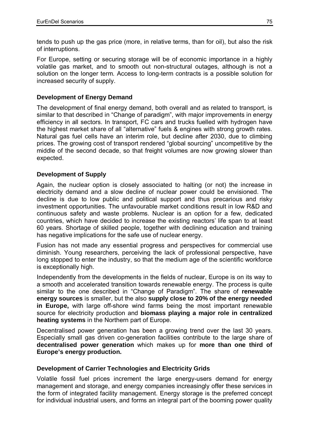tends to push up the gas price (more, in relative terms, than for oil), but also the risk of interruptions.

For Europe, setting or securing storage will be of economic importance in a highly volatile gas market, and to smooth out non-structural outages, although is not a solution on the longer term. Access to long-term contracts is a possible solution for increased security of supply.

#### **Development of Energy Demand**

The development of final energy demand, both overall and as related to transport, is similar to that described in "Change of paradigm", with major improvements in energy efficiency in all sectors. In transport, FC cars and trucks fuelled with hydrogen have the highest market share of all "alternative" fuels & engines with strong growth rates. Natural gas fuel cells have an interim role, but decline after 2030, due to climbing prices. The growing cost of transport rendered "global sourcing" uncompetitive by the middle of the second decade, so that freight volumes are now growing slower than expected.

#### **Development of Supply**

Again, the nuclear option is closely associated to halting (or not) the increase in electricity demand and a slow decline of nuclear power could be envisioned. The decline is due to low public and political support and thus precarious and risky investment opportunities. The unfavourable market conditions result in low R&D and continuous safety and waste problems. Nuclear is an option for a few, dedicated countries, which have decided to increase the existing reactors' life span to at least 60 years. Shortage of skilled people, together with declining education and training has negative implications for the safe use of nuclear energy.

Fusion has not made any essential progress and perspectives for commercial use diminish. Young researchers, perceiving the lack of professional perspective, have long stopped to enter the industry, so that the medium age of the scientific workforce is exceptionally high.

Independently from the developments in the fields of nuclear, Europe is on its way to a smooth and accelerated transition towards renewable energy. The process is quite similar to the one described in "Change of Paradigm". The share of **renewable energy sources** is smaller, but the also **supply close to 20% of the energy needed in Europe,** with large off-shore wind farms being the most important renewable source for electricity production and **biomass playing a major role in centralized heating systems** in the Northern part of Europe.

Decentralised power generation has been a growing trend over the last 30 years. Especially small gas driven co-generation facilities contribute to the large share of **decentralised power generation** which makes up for **more than one third of Europe's energy production.**

#### **Development of Carrier Technologies and Electricity Grids**

Volatile fossil fuel prices increment the large energy-users demand for energy management and storage, and energy companies increasingly offer these services in the form of integrated facility management. Energy storage is the preferred concept for individual industrial users, and forms an integral part of the booming power quality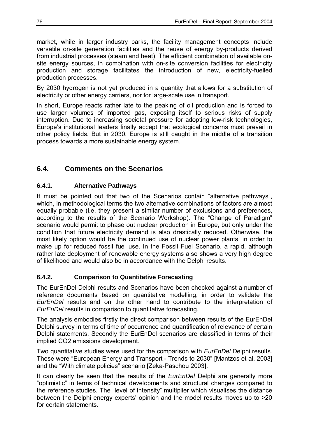market, while in larger industry parks, the facility management concepts include versatile on-site generation facilities and the reuse of energy by-products derived from industrial processes (steam and heat). The efficient combination of available onsite energy sources, in combination with on-site conversion facilities for electricity production and storage facilitates the introduction of new, electricity-fuelled production processes.

By 2030 hydrogen is not yet produced in a quantity that allows for a substitution of electricity or other energy carriers, nor for large-scale use in transport.

In short, Europe reacts rather late to the peaking of oil production and is forced to use larger volumes of imported gas, exposing itself to serious risks of supply interruption. Due to increasing societal pressure for adopting low-risk technologies, Europe's institutional leaders finally accept that ecological concerns must prevail in other policy fields. But in 2030, Europe is still caught in the middle of a transition process towards a more sustainable energy system.

# **6.4. Comments on the Scenarios**

# **6.4.1. Alternative Pathways**

It must be pointed out that two of the Scenarios contain "alternative pathways", which, in methodological terms the two alternative combinations of factors are almost equally probable (i.e. they present a similar number of exclusions and preferences, according to the results of the Scenario Workshop). The "Change of Paradigm" scenario would permit to phase out nuclear production in Europe, but only under the condition that future electricity demand is also drastically reduced. Otherwise, the most likely option would be the continued use of nuclear power plants, in order to make up for reduced fossil fuel use. In the Fossil Fuel Scenario, a rapid, although rather late deployment of renewable energy systems also shows a very high degree of likelihood and would also be in accordance with the Delphi results.

# **6.4.2. Comparison to Quantitative Forecasting**

The EurEnDel Delphi results and Scenarios have been checked against a number of reference documents based on quantitative modelling, in order to validate the *EurEnDel* results and on the other hand to contribute to the interpretation of *EurEnDel* results in comparison to quantitative forecasting.

The analysis embodies firstly the direct comparison between results of the EurEnDel Delphi survey in terms of time of occurrence and quantification of relevance of certain Delphi statements. Secondly the EurEnDel scenarios are classified in terms of their implied CO2 emissions development.

Two quantitative studies were used for the comparison with *EurEnDel* Delphi results. These were "European Energy and Transport - Trends to 2030" [Mantzos et al. 2003] and the "With climate policies" scenario [Zeka-Paschou 2003].

It can clearly be seen that the results of the *EurEnDel* Delphi are generally more ìoptimisticî in terms of technical developments and structural changes compared to the reference studies. The "level of intensity" multiplier which visualises the distance between the Delphi energy experts' opinion and the model results moves up to >20 for certain statements.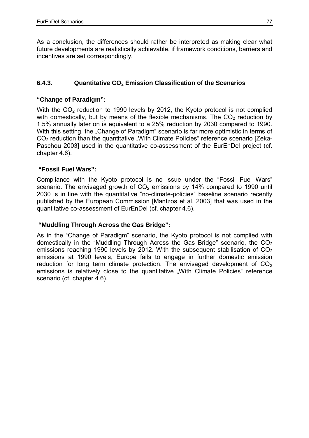As a conclusion, the differences should rather be interpreted as making clear what future developments are realistically achievable, if framework conditions, barriers and incentives are set correspondingly.

### **6.4.3. Quantitative CO2 Emission Classification of the Scenarios**

### **"Change of Paradigm":**

With the  $CO<sub>2</sub>$  reduction to 1990 levels by 2012, the Kyoto protocol is not complied with domestically, but by means of the flexible mechanisms. The  $CO<sub>2</sub>$  reduction by 1.5% annually later on is equivalent to a 25% reduction by 2030 compared to 1990. With this setting, the "Change of Paradigm" scenario is far more optimistic in terms of  $CO<sub>2</sub>$  reduction than the quantitative "With Climate Policies" reference scenario [Zeka-Paschou 2003] used in the quantitative co-assessment of the EurEnDel project (cf. chapter 4.6).

### **"Fossil Fuel Wars":**

Compliance with the Kyoto protocol is no issue under the "Fossil Fuel Wars" scenario. The envisaged growth of  $CO<sub>2</sub>$  emissions by 14% compared to 1990 until 2030 is in line with the quantitative "no-climate-policies" baseline scenario recently published by the European Commission [Mantzos et al. 2003] that was used in the quantitative co-assessment of EurEnDel (cf. chapter 4.6).

#### **"Muddling Through Across the Gas Bridge":**

As in the "Change of Paradigm" scenario, the Kyoto protocol is not complied with domestically in the "Muddling Through Across the Gas Bridge" scenario, the  $CO<sub>2</sub>$ emissions reaching 1990 levels by 2012. With the subsequent stabilisation of  $CO<sub>2</sub>$ emissions at 1990 levels, Europe fails to engage in further domestic emission reduction for long term climate protection. The envisaged development of  $CO<sub>2</sub>$ emissions is relatively close to the quantitative "With Climate Policies" reference scenario (cf. chapter 4.6).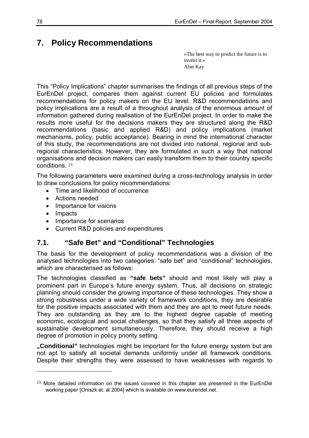# **7. Policy Recommendations**

»The best way to predict the future is to invent it « Alan Kay

This "Policy Implications" chapter summarises the findings of all previous steps of the EurEnDel project, compares them against current EU policies and formulates recommendations for policy makers on the EU level. R&D recommendations and policy implications are a result of a throughout analysis of the enormous amount of information gathered during realisation of the EurEnDel project. In order to make the results more useful for the decisions makers they are structured along the R&D recommendations (basic and applied R&D) and policy implications (market mechanisms, policy, public acceptance). Bearing in mind the international character of this study, the recommendations are not divided into national, regional and subregional characteristics. However, they are formulated in such a way that national organisations and decision makers can easily transform them to their country specific conditions. <sup>23</sup>

The following parameters were examined during a cross-technology analysis in order to draw conclusions for policy recommendations:

- Time and likelihood of occurrence
- Actions needed
- Importance for visions
- Impacts

 $\overline{a}$ 

- Importance for scenarios
- Current R&D policies and expenditures

# **7.1. "Safe Bet" and "Conditional" Technologies**

The basis for the development of policy recommendations was a division of the analysed technologies into two categories: "safe bet" and "conditional" technologies, which are characterised as follows:

The technologies classified as **"safe bets"** should and most likely will play a prominent part in Europe's future energy system. Thus, all decisions on strategic planning should consider the growing importance of these technologies. They show a strong robustness under a wide variety of framework conditions, they are desirable for the positive impacts associated with them and they are apt to meet future needs. They are outstanding as they are to the highest degree capable of meeting economic, ecological and social challenges, so that they satisfy all three aspects of sustainable development simultaneously. Therefore, they should receive a high degree of promotion in policy priority setting.

**"Conditional"** technologies might be important for the future energy system but are not apt to satisfy all societal demands uniformly under all framework conditions. Despite their strengths they were assessed to have weaknesses with regards to

 $23$  More detailed information on the issues covered in this chapter are presented in the EurEnDel working paper [Oniszk et. al 2004] which is available on www.eurendel.net.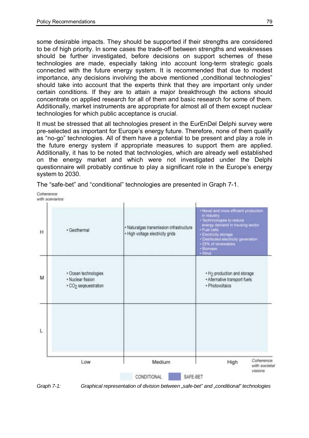Caberence

some desirable impacts. They should be supported if their strengths are considered to be of high priority. In some cases the trade-off between strengths and weaknesses should be further investigated, before decisions on support schemes of these technologies are made, especially taking into account long-term strategic goals connected with the future energy system. It is recommended that due to modest importance, any decisions involving the above mentioned "conditional technologies" should take into account that the experts think that they are important only under certain conditions. If they are to attain a major breakthrough the actions should concentrate on applied research for all of them and basic research for some of them. Additionally, market instruments are appropriate for almost all of them except nuclear technologies for which public acceptance is crucial.

It must be stressed that all technologies present in the EurEnDel Delphi survey were pre-selected as important for Europe's energy future. Therefore, none of them qualify as "no-go" technologies. All of them have a potential to be present and play a role in the future energy system if appropriate measures to support them are applied. Additionally, it has to be noted that technologies, which are already well established on the energy market and which were not investigated under the Delphi questionnaire will probably continue to play a significant role in the Europe's energy system to 2030.

The "safe-bet" and "conditional" technologies are presented in Graph 7-1.

with scenarios Novel and more efficient production - Novel and more efficient produ<br>in industry<br>- Technologies to reduce<br>- energy demand in housing sec<br>- Fuel cells<br>- Electricity storage · Naturalgas transmission infrastructure · Geothermal H uer cens<br>lectricity storage<br>liabilitated about the · High voltage electricity grids Distributed electricity general<br>25% of renewables · Ocean technologies . H<sub>2</sub> production and storage M + Alternative transport fuels · Nuclear fission · Photovoltaics . CO<sub>2</sub> seqeuestration L Coherence Low Medium High with societal visions CONDITIONAL SAFE-BET

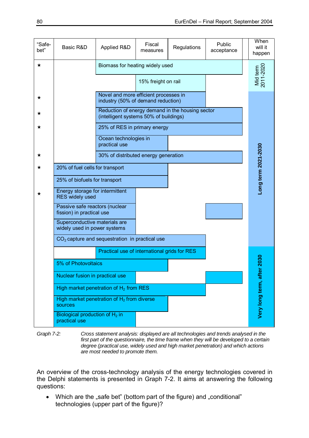| "Safe-<br>bet" | Basic R&D                                                     | Applied R&D                                                                                | Fiscal<br>measures  | Regulations | Public<br>acceptance |  | When<br>will it<br>happen |
|----------------|---------------------------------------------------------------|--------------------------------------------------------------------------------------------|---------------------|-------------|----------------------|--|---------------------------|
| ★              |                                                               | Biomass for heating widely used                                                            |                     |             |                      |  |                           |
|                |                                                               |                                                                                            | 15% freight on rail |             |                      |  | Mid term<br>2011-2020     |
|                |                                                               | Novel and more efficient processes in<br>industry (50% of demand reduction)                |                     |             |                      |  |                           |
|                |                                                               | Reduction of energy demand in the housing sector<br>(intelligent systems 50% of buildings) |                     |             |                      |  |                           |
|                |                                                               | 25% of RES in primary energy                                                               |                     |             |                      |  |                           |
|                |                                                               | Ocean technologies in<br>practical use                                                     |                     |             |                      |  |                           |
|                |                                                               | 30% of distributed energy generation                                                       |                     |             |                      |  | Long term 2021-2030       |
|                | 20% of fuel cells for transport                               |                                                                                            |                     |             |                      |  |                           |
|                | 25% of biofuels for transport                                 |                                                                                            |                     |             |                      |  |                           |
|                | Energy storage for intermittent<br><b>RES</b> widely used     |                                                                                            |                     |             |                      |  |                           |
|                | Passive safe reactors (nuclear<br>fission) in practical use   |                                                                                            |                     |             |                      |  |                           |
|                | Superconductive materials are<br>widely used in power systems |                                                                                            |                     |             |                      |  |                           |
|                | $CO2$ capture and sequestration in practical use              |                                                                                            |                     |             |                      |  |                           |
|                |                                                               | Practical use of international grids for RES                                               |                     |             |                      |  |                           |
|                | 5% of Photovoltaics                                           |                                                                                            |                     |             |                      |  |                           |
|                | Nuclear fusion in practical use                               |                                                                                            |                     |             |                      |  |                           |
|                | High market penetration of H <sub>2</sub> from RES            |                                                                                            |                     |             |                      |  |                           |
|                | High market penetration of $H_2$ from diverse<br>sources      |                                                                                            |                     |             |                      |  | Very long term, afte      |
|                | Biological production of H <sub>2</sub> in<br>practical use   |                                                                                            |                     |             |                      |  |                           |

*Graph 7-2: Cross statement analysis: displayed are all technologies and trends analysed in the first part of the questionnaire, the time frame when they will be developed to a certain degree (practical use, widely used and high market penetration) and which actions are most needed to promote them.* 

An overview of the cross-technology analysis of the energy technologies covered in the Delphi statements is presented in Graph 7-2. It aims at answering the following questions:

• Which are the "safe bet" (bottom part of the figure) and "conditional" technologies (upper part of the figure)?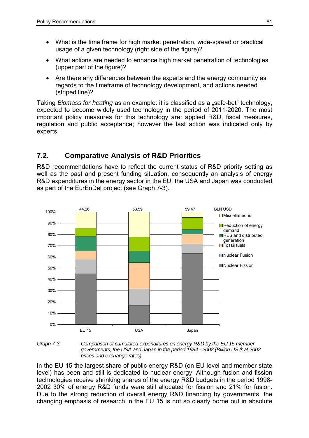- What is the time frame for high market penetration, wide-spread or practical usage of a given technology (right side of the figure)?
- What actions are needed to enhance high market penetration of technologies (upper part of the figure)?
- Are there any differences between the experts and the energy community as regards to the timeframe of technology development, and actions needed (striped line)?

Taking *Biomass for heating* as an example: it is classified as a "safe-bet" technology, expected to become widely used technology in the period of 2011-2020. The most important policy measures for this technology are: applied R&D, fiscal measures, regulation and public acceptance; however the last action was indicated only by experts.

# **7.2. Comparative Analysis of R&D Priorities**

R&D recommendations have to reflect the current status of R&D priority setting as well as the past and present funding situation, consequently an analysis of energy R&D expenditures in the energy sector in the EU, the USA and Japan was conducted as part of the EurEnDel project (see Graph 7-3).





In the EU 15 the largest share of public energy R&D (on EU level and member state level) has been and still is dedicated to nuclear energy. Although fusion and fission technologies receive shrinking shares of the energy R&D budgets in the period 1998- 2002 30% of energy R&D funds were still allocated for fission and 21% for fusion. Due to the strong reduction of overall energy R&D financing by governments, the changing emphasis of research in the EU 15 is not so clearly borne out in absolute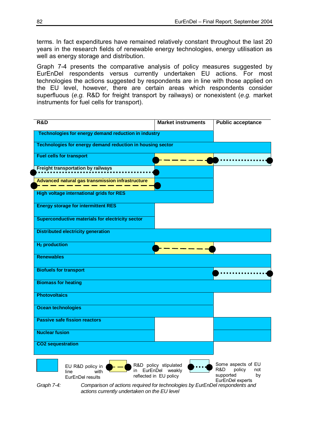terms. In fact expenditures have remained relatively constant throughout the last 20 years in the research fields of renewable energy technologies, energy utilisation as well as energy storage and distribution.

Graph 7-4 presents the comparative analysis of policy measures suggested by EurEnDel respondents versus currently undertaken EU actions. For most technologies the actions suggested by respondents are in line with those applied on the EU level, however, there are certain areas which respondents consider superfluous (*e.g.* R&D for freight transport by railways) or nonexistent (*e.g.* market instruments for fuel cells for transport).



*Graph 7-4: Comparison of actions required for technologies by EurEnDel respondents and actions currently undertaken on the EU level*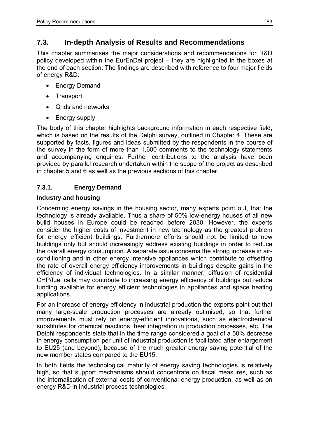# **7.3. In-depth Analysis of Results and Recommendations**

This chapter summarises the major considerations and recommendations for R&D policy developed within the EurEnDel project  $-$  they are highlighted in the boxes at the end of each section. The findings are described with reference to four major fields of energy R&D:

- Energy Demand
- Transport
- Grids and networks
- Energy supply

The body of this chapter highlights background information in each respective field, which is based on the results of the Delphi survey, outlined in Chapter 4. These are supported by facts, figures and ideas submitted by the respondents in the course of the survey in the form of more than 1,600 comments to the technology statements and accompanying enquiries. Further contributions to the analysis have been provided by parallel research undertaken within the scope of the project as described in chapter 5 and 6 as well as the previous sections of this chapter.

# **7.3.1. Energy Demand**

# **Industry and housing**

Concerning energy savings in the housing sector, many experts point out, that the technology is already available. Thus a share of 50% low-energy houses of all new build houses in Europe could be reached before 2030. However, the experts consider the higher costs of investment in new technology as the greatest problem for energy efficient buildings. Furthermore efforts should not be limited to new buildings only but should increasingly address existing buildings in order to reduce the overall energy consumption. A separate issue concerns the strong increase in airconditioning and in other energy intensive appliances which contribute to offsetting the rate of overall energy efficiency improvements in buildings despite gains in the efficiency of individual technologies. In a similar manner, diffusion of residential CHP/fuel cells may contribute to increasing energy efficiency of buildings but reduce funding available for energy efficient technologies in appliances and space heating applications.

For an increase of energy efficiency in industrial production the experts point out that many large-scale production processes are already optimised, so that further improvements must rely on energy-efficient innovations, such as electrochemical substitutes for chemical reactions, heat integration in production processes, etc. The Delphi respondents state that in the time range considered a goal of a 50% decrease in energy consumption per unit of industrial production is facilitated after enlargement to EU25 (and beyond), because of the much greater energy saving potential of the new member states compared to the EU15.

In both fields the technological maturity of energy saving technologies is relatively high, so that support mechanisms should concentrate on fiscal measures, such as the internalisation of external costs of conventional energy production, as well as on energy R&D in industrial process technologies.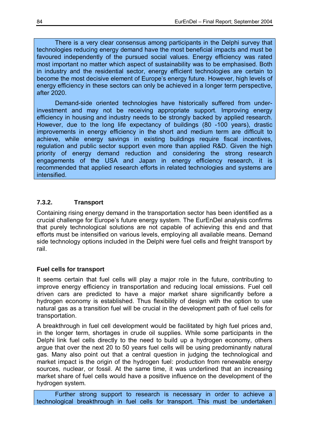There is a very clear consensus among participants in the Delphi survey that technologies reducing energy demand have the most beneficial impacts and must be favoured independently of the pursued social values. Energy efficiency was rated most important no matter which aspect of sustainability was to be emphasised. Both in industry and the residential sector, energy efficient technologies are certain to become the most decisive element of Europe's energy future. However, high levels of energy efficiency in these sectors can only be achieved in a longer term perspective, after 2020.

Demand-side oriented technologies have historically suffered from underinvestment and may not be receiving appropriate support. Improving energy efficiency in housing and industry needs to be strongly backed by applied research. However, due to the long life expectancy of buildings (80 -100 years), drastic improvements in energy efficiency in the short and medium term are difficult to achieve, while energy savings in existing buildings require fiscal incentives, regulation and public sector support even more than applied R&D. Given the high priority of energy demand reduction and considering the strong research engagements of the USA and Japan in energy efficiency research, it is recommended that applied research efforts in related technologies and systems are intensified.

# **7.3.2. Transport**

Containing rising energy demand in the transportation sector has been identified as a crucial challenge for Europe's future energy system. The EurEnDel analysis confirms that purely technological solutions are not capable of achieving this end and that efforts must be intensified on various levels, employing all available means. Demand side technology options included in the Delphi were fuel cells and freight transport by rail.

# **Fuel cells for transport**

It seems certain that fuel cells will play a major role in the future, contributing to improve energy efficiency in transportation and reducing local emissions. Fuel cell driven cars are predicted to have a major market share significantly before a hydrogen economy is established. Thus flexibility of design with the option to use natural gas as a transition fuel will be crucial in the development path of fuel cells for transportation.

A breakthrough in fuel cell development would be facilitated by high fuel prices and, in the longer term, shortages in crude oil supplies. While some participants in the Delphi link fuel cells directly to the need to build up a hydrogen economy, others argue that over the next 20 to 50 years fuel cells will be using predominantly natural gas. Many also point out that a central question in judging the technological and market impact is the origin of the hydrogen fuel: production from renewable energy sources, nuclear, or fossil. At the same time, it was underlined that an increasing market share of fuel cells would have a positive influence on the development of the hydrogen system.

Further strong support to research is necessary in order to achieve a technological breakthrough in fuel cells for transport. This must be undertaken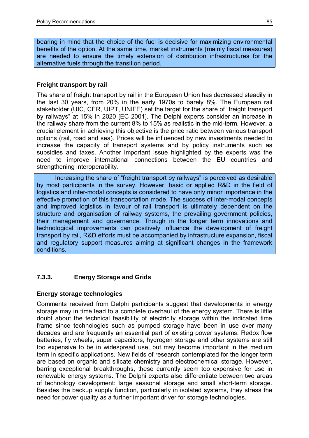bearing in mind that the choice of the fuel is decisive for maximizing environmental benefits of the option. At the same time, market instruments (mainly fiscal measures) are needed to ensure the timely extension of distribution infrastructures for the alternative fuels through the transition period.

### **Freight transport by rail**

The share of freight transport by rail in the European Union has decreased steadily in the last 30 years, from 20% in the early 1970s to barely 8%. The European rail stakeholder (UIC, CER, UIPT, UNIFE) set the target for the share of "freight transport by railways" at 15% in 2020 [EC 2001]. The Delphi experts consider an increase in the railway share from the current 8% to 15% as realistic in the mid-term. However, a crucial element in achieving this objective is the price ratio between various transport options (rail, road and sea). Prices will be influenced by new investments needed to increase the capacity of transport systems and by policy instruments such as subsidies and taxes. Another important issue highlighted by the experts was the need to improve international connections between the EU countries and strengthening interoperability.

Increasing the share of "freight transport by railways" is perceived as desirable by most participants in the survey. However, basic or applied R&D in the field of logistics and inter-modal concepts is considered to have only minor importance in the effective promotion of this transportation mode. The success of inter-modal concepts and improved logistics in favour of rail transport is ultimately dependent on the structure and organisation of railway systems, the prevailing government policies, their management and governance. Though in the longer term innovations and technological improvements can positively influence the development of freight transport by rail, R&D efforts must be accompanied by infrastructure expansion, fiscal and regulatory support measures aiming at significant changes in the framework conditions.

# **7.3.3. Energy Storage and Grids**

#### **Energy storage technologies**

Comments received from Delphi participants suggest that developments in energy storage may in time lead to a complete overhaul of the energy system. There is little doubt about the technical feasibility of electricity storage within the indicated time frame since technologies such as pumped storage have been in use over many decades and are frequently an essential part of existing power systems. Redox flow batteries, fly wheels, super capacitors, hydrogen storage and other systems are still too expensive to be in widespread use, but may become important in the medium term in specific applications. New fields of research contemplated for the longer term are based on organic and silicate chemistry and electrochemical storage. However, barring exceptional breakthroughs, these currently seem too expensive for use in renewable energy systems. The Delphi experts also differentiate between two areas of technology development: large seasonal storage and small short-term storage. Besides the backup supply function, particularly in isolated systems, they stress the need for power quality as a further important driver for storage technologies.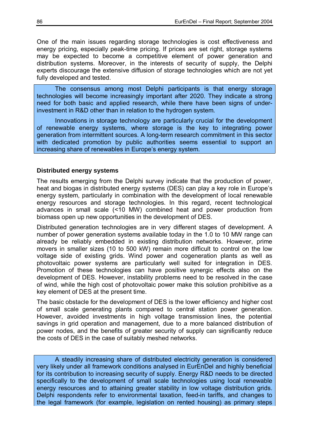One of the main issues regarding storage technologies is cost effectiveness and energy pricing, especially peak-time pricing. If prices are set right, storage systems may be expected to become a competitive element of power generation and distribution systems. Moreover, in the interests of security of supply, the Delphi experts discourage the extensive diffusion of storage technologies which are not yet fully developed and tested.

The consensus among most Delphi participants is that energy storage technologies will become increasingly important after 2020. They indicate a strong need for both basic and applied research, while there have been signs of underinvestment in R&D other than in relation to the hydrogen system.

Innovations in storage technology are particularly crucial for the development of renewable energy systems, where storage is the key to integrating power generation from intermittent sources. A long-term research commitment in this sector with dedicated promotion by public authorities seems essential to support an increasing share of renewables in Europe's energy system.

#### **Distributed energy systems**

The results emerging from the Delphi survey indicate that the production of power, heat and biogas in distributed energy systems (DES) can play a key role in Europe's energy system, particularly in combination with the development of local renewable energy resources and storage technologies. In this regard, recent technological advances in small scale (<10 MW) combined heat and power production from biomass open up new opportunities in the development of DES.

Distributed generation technologies are in very different stages of development. A number of power generation systems available today in the 1.0 to 10 MW range can already be reliably embedded in existing distribution networks. However, prime movers in smaller sizes (10 to 500 kW) remain more difficult to control on the low voltage side of existing grids. Wind power and cogeneration plants as well as photovoltaic power systems are particularly well suited for integration in DES. Promotion of these technologies can have positive synergic effects also on the development of DES. However, instability problems need to be resolved in the case of wind, while the high cost of photovoltaic power make this solution prohibitive as a key element of DES at the present time.

The basic obstacle for the development of DES is the lower efficiency and higher cost of small scale generating plants compared to central station power generation. However, avoided investments in high voltage transmission lines, the potential savings in grid operation and management, due to a more balanced distribution of power nodes, and the benefits of greater security of supply can significantly reduce the costs of DES in the case of suitably meshed networks.

A steadily increasing share of distributed electricity generation is considered very likely under all framework conditions analysed in EurEnDel and highly beneficial for its contribution to increasing security of supply. Energy R&D needs to be directed specifically to the development of small scale technologies using local renewable energy resources and to attaining greater stability in low voltage distribution grids. Delphi respondents refer to environmental taxation, feed-in tariffs, and changes to the legal framework (for example, legislation on rented housing) as primary steps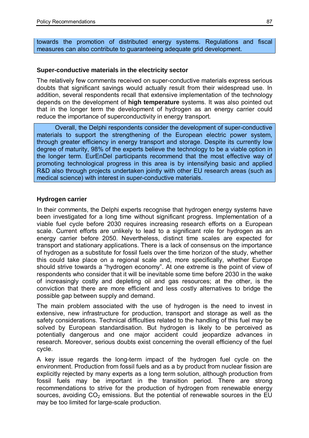towards the promotion of distributed energy systems. Regulations and fiscal measures can also contribute to guaranteeing adequate grid development.

#### **Super-conductive materials in the electricity sector**

The relatively few comments received on super-conductive materials express serious doubts that significant savings would actually result from their widespread use. In addition, several respondents recall that extensive implementation of the technology depends on the development of **high temperature** systems. It was also pointed out that in the longer term the development of hydrogen as an energy carrier could reduce the importance of superconductivity in energy transport*.* 

Overall, the Delphi respondents consider the development of super-conductive materials to support the strengthening of the European electric power system, through greater efficiency in energy transport and storage. Despite its currently low degree of maturity, 98% of the experts believe the technology to be a viable option in the longer term. EurEnDel participants recommend that the most effective way of promoting technological progress in this area is by intensifying basic and applied R&D also through projects undertaken jointly with other EU research areas (such as medical science) with interest in super-conductive materials.

#### **Hydrogen carrier**

In their comments, the Delphi experts recognise that hydrogen energy systems have been investigated for a long time without significant progress. Implementation of a viable fuel cycle before 2030 requires increasing research efforts on a European scale. Current efforts are unlikely to lead to a significant role for hydrogen as an energy carrier before 2050. Nevertheless, distinct time scales are expected for transport and stationary applications. There is a lack of consensus on the importance of hydrogen as a substitute for fossil fuels over the time horizon of the study, whether this could take place on a regional scale and, more specifically, whether Europe should strive towards a "hydrogen economy". At one extreme is the point of view of respondents who consider that it will be inevitable some time before 2030 in the wake of increasingly costly and depleting oil and gas resources; at the other, is the conviction that there are more efficient and less costly alternatives to bridge the possible gap between supply and demand.

The main problem associated with the use of hydrogen is the need to invest in extensive, new infrastructure for production, transport and storage as well as the safety considerations. Technical difficulties related to the handling of this fuel may be solved by European standardisation. But hydrogen is likely to be perceived as potentially dangerous and one major accident could jeopardize advances in research. Moreover, serious doubts exist concerning the overall efficiency of the fuel cycle.

A key issue regards the long-term impact of the hydrogen fuel cycle on the environment. Production from fossil fuels and as a by product from nuclear fission are explicitly rejected by many experts as a long term solution, although production from fossil fuels may be important in the transition period. There are strong recommendations to strive for the production of hydrogen from renewable energy sources, avoiding  $CO<sub>2</sub>$  emissions. But the potential of renewable sources in the EU may be too limited for large-scale production.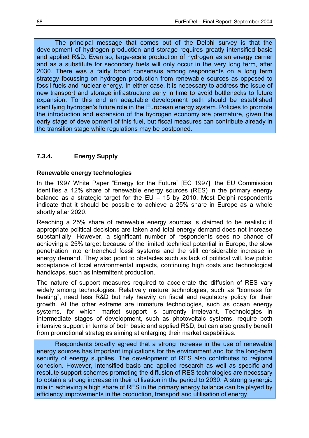The principal message that comes out of the Delphi survey is that the development of hydrogen production and storage requires greatly intensified basic and applied R&D. Even so, large-scale production of hydrogen as an energy carrier and as a substitute for secondary fuels will only occur in the very long term, after 2030. There was a fairly broad consensus among respondents on a long term strategy focussing on hydrogen production from renewable sources as opposed to fossil fuels and nuclear energy. In either case, it is necessary to address the issue of new transport and storage infrastructure early in time to avoid bottlenecks to future expansion. To this end an adaptable development path should be established identifying hydrogen's future role in the European energy system. Policies to promote the introduction and expansion of the hydrogen economy are premature, given the early stage of development of this fuel, but fiscal measures can contribute already in the transition stage while regulations may be postponed.

# **7.3.4. Energy Supply**

# **Renewable energy technologies**

In the 1997 White Paper "Energy for the Future" [EC 1997], the EU Commission identifies a 12% share of renewable energy sources (RES) in the primary energy balance as a strategic target for the  $EU - 15$  by 2010. Most Delphi respondents indicate that it should be possible to achieve a 25% share in Europe as a whole shortly after 2020.

Reaching a 25% share of renewable energy sources is claimed to be realistic if appropriate political decisions are taken and total energy demand does not increase substantially. However, a significant number of respondents sees no chance of achieving a 25% target because of the limited technical potential in Europe, the slow penetration into entrenched fossil systems and the still considerable increase in energy demand. They also point to obstacles such as lack of political will, low public acceptance of local environmental impacts, continuing high costs and technological handicaps, such as intermittent production.

The nature of support measures required to accelerate the diffusion of RES vary widely among technologies. Relatively mature technologies, such as "biomass for heating", need less R&D but rely heavily on fiscal and regulatory policy for their growth. At the other extreme are immature technologies, such as ocean energy systems, for which market support is currently irrelevant. Technologies in intermediate stages of development, such as photovoltaic systems, require both intensive support in terms of both basic and applied R&D, but can also greatly benefit from promotional strategies aiming at enlarging their market capabilities.

Respondents broadly agreed that a strong increase in the use of renewable energy sources has important implications for the environment and for the long-term security of energy supplies. The development of RES also contributes to regional cohesion. However, intensified basic and applied research as well as specific and resolute support schemes promoting the diffusion of RES technologies are necessary to obtain a strong increase in their utilisation in the period to 2030. A strong synergic role in achieving a high share of RES in the primary energy balance can be played by efficiency improvements in the production, transport and utilisation of energy.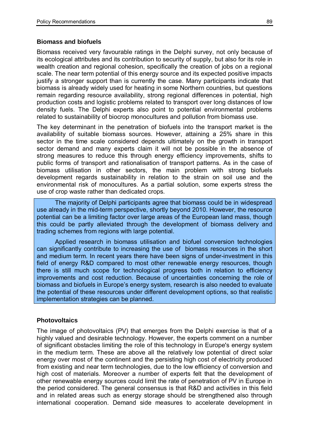#### **Biomass and biofuels**

Biomass received very favourable ratings in the Delphi survey, not only because of its ecological attributes and its contribution to security of supply, but also for its role in wealth creation and regional cohesion, specifically the creation of jobs on a regional scale. The near term potential of this energy source and its expected positive impacts justify a stronger support than is currently the case. Many participants indicate that biomass is already widely used for heating in some Northern countries, but questions remain regarding resource availability, strong regional differences in potential, high production costs and logistic problems related to transport over long distances of low density fuels. The Delphi experts also point to potential environmental problems related to sustainability of biocrop monocultures and pollution from biomass use.

The key determinant in the penetration of biofuels into the transport market is the availability of suitable biomass sources. However, attaining a 25% share in this sector in the time scale considered depends ultimately on the growth in transport sector demand and many experts claim it will not be possible in the absence of strong measures to reduce this through energy efficiency improvements, shifts to public forms of transport and rationalisation of transport patterns. As in the case of biomass utilisation in other sectors, the main problem with strong biofuels development regards sustainability in relation to the strain on soil use and the environmental risk of monocultures. As a partial solution, some experts stress the use of crop waste rather than dedicated crops.

The majority of Delphi participants agree that biomass could be in widespread use already in the mid-term perspective, shortly beyond 2010. However, the resource potential can be a limiting factor over large areas of the European land mass, though this could be partly alleviated through the development of biomass delivery and trading schemes from regions with large potential.

Applied research in biomass utilisation and biofuel conversion technologies can significantly contribute to increasing the use of biomass resources in the short and medium term. In recent years there have been signs of under-investment in this field of energy R&D compared to most other renewable energy resources, though there is still much scope for technological progress both in relation to efficiency improvements and cost reduction. Because of uncertainties concerning the role of biomass and biofuels in Europe's energy system, research is also needed to evaluate the potential of these resources under different development options, so that realistic implementation strategies can be planned.

#### **Photovoltaics**

The image of photovoltaics (PV) that emerges from the Delphi exercise is that of a highly valued and desirable technology. However, the experts comment on a number of significant obstacles limiting the role of this technology in Europe's energy system in the medium term. These are above all the relatively low potential of direct solar energy over most of the continent and the persisting high cost of electricity produced from existing and near term technologies, due to the low efficiency of conversion and high cost of materials. Moreover a number of experts felt that the development of other renewable energy sources could limit the rate of penetration of PV in Europe in the period considered. The general consensus is that R&D and activities in this field and in related areas such as energy storage should be strengthened also through international cooperation. Demand side measures to accelerate development in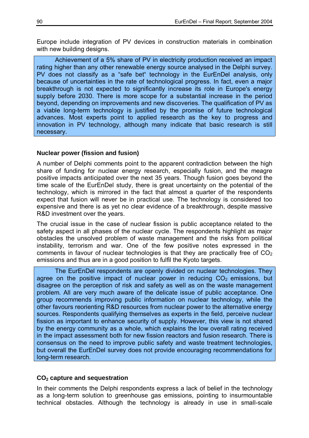Europe include integration of PV devices in construction materials in combination with new building designs.

Achievement of a 5% share of PV in electricity production received an impact rating higher than any other renewable energy source analysed in the Delphi survey. PV does not classify as a "safe bet" technology in the EurEnDel analysis, only because of uncertainties in the rate of technological progress. In fact, even a major breakthrough is not expected to significantly increase its role in Europe's energy supply before 2030. There is more scope for a substantial increase in the period beyond, depending on improvements and new discoveries. The qualification of PV as a viable long-term technology is justified by the promise of future technological advances. Most experts point to applied research as the key to progress and innovation in PV technology, although many indicate that basic research is still necessary.

### **Nuclear power (fission and fusion)**

A number of Delphi comments point to the apparent contradiction between the high share of funding for nuclear energy research, especially fusion, and the meagre positive impacts anticipated over the next 35 years. Though fusion goes beyond the time scale of the EurEnDel study, there is great uncertainty on the potential of the technology, which is mirrored in the fact that almost a quarter of the respondents expect that fusion will never be in practical use. The technology is considered too expensive and there is as yet no clear evidence of a breakthrough, despite massive R&D investment over the years.

The crucial issue in the case of nuclear fission is public acceptance related to the safety aspect in all phases of the nuclear cycle. The respondents highlight as major obstacles the unsolved problem of waste management and the risks from political instability, terrorism and war. One of the few positive notes expressed in the comments in favour of nuclear technologies is that they are practically free of  $CO<sub>2</sub>$ emissions and thus are in a good position to fulfil the Kyoto targets.

The EurEnDel respondents are openly divided on nuclear technologies. They agree on the positive impact of nuclear power in reducing  $CO<sub>2</sub>$  emissions, but disagree on the perception of risk and safety as well as on the waste management problem. All are very much aware of the delicate issue of public acceptance. One group recommends improving public information on nuclear technology, while the other favours reorienting R&D resources from nuclear power to the alternative energy sources. Respondents qualifying themselves as experts in the field, perceive nuclear fission as important to enhance security of supply. However, this view is not shared by the energy community as a whole, which explains the low overall rating received in the impact assessment both for new fission reactors and fusion research. There is consensus on the need to improve public safety and waste treatment technologies, but overall the EurEnDel survey does not provide encouraging recommendations for long-term research.

#### **CO2 capture and sequestration**

In their comments the Delphi respondents express a lack of belief in the technology as a long-term solution to greenhouse gas emissions, pointing to insurmountable technical obstacles. Although the technology is already in use in small-scale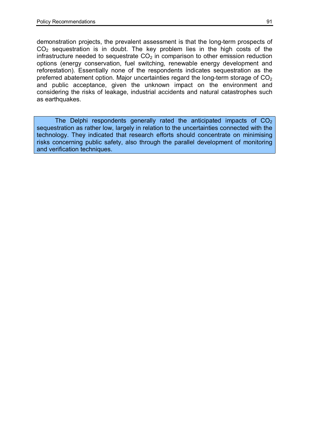demonstration projects, the prevalent assessment is that the long-term prospects of  $CO<sub>2</sub>$  sequestration is in doubt. The key problem lies in the high costs of the infrastructure needed to sequestrate  $CO<sub>2</sub>$  in comparison to other emission reduction options (energy conservation, fuel switching, renewable energy development and reforestation). Essentially none of the respondents indicates sequestration as the preferred abatement option. Major uncertainties regard the long-term storage of  $CO<sub>2</sub>$ and public acceptance, given the unknown impact on the environment and considering the risks of leakage, industrial accidents and natural catastrophes such as earthquakes.

The Delphi respondents generally rated the anticipated impacts of  $CO<sub>2</sub>$ sequestration as rather low, largely in relation to the uncertainties connected with the technology. They indicated that research efforts should concentrate on minimising risks concerning public safety, also through the parallel development of monitoring and verification techniques.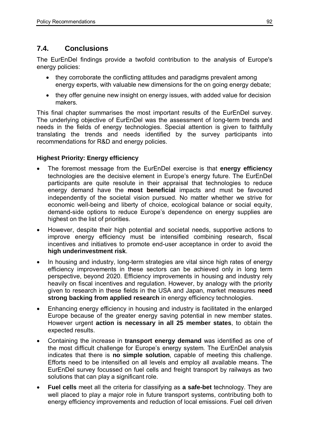# **7.4. Conclusions**

The EurEnDel findings provide a twofold contribution to the analysis of Europe's energy policies:

- they corroborate the conflicting attitudes and paradigms prevalent among energy experts, with valuable new dimensions for the on going energy debate;
- they offer genuine new insight on energy issues, with added value for decision makers.

This final chapter summarises the most important results of the EurEnDel survey. The underlying objective of EurEnDel was the assessment of long-term trends and needs in the fields of energy technologies. Special attention is given to faithfully translating the trends and needs identified by the survey participants into recommendations for R&D and energy policies.

# **Highest Priority: Energy efficiency**

- The foremost message from the EurEnDel exercise is that **energy efficiency** technologies are the decisive element in Europe's energy future. The EurEnDel participants are quite resolute in their appraisal that technologies to reduce energy demand have the **most beneficial** impacts and must be favoured independently of the societal vision pursued. No matter whether we strive for economic well-being and liberty of choice, ecological balance or social equity, demand-side options to reduce Europe's dependence on energy supplies are highest on the list of priorities.
- However, despite their high potential and societal needs, supportive actions to improve energy efficiency must be intensified combining research, fiscal incentives and initiatives to promote end-user acceptance in order to avoid the **high underinvestment risk**.
- In housing and industry, long-term strategies are vital since high rates of energy efficiency improvements in these sectors can be achieved only in long term perspective, beyond 2020. Efficiency improvements in housing and industry rely heavily on fiscal incentives and regulation. However, by analogy with the priority given to research in these fields in the USA and Japan, market measures **need strong backing from applied research** in energy efficiency technologies.
- Enhancing energy efficiency in housing and industry is facilitated in the enlarged Europe because of the greater energy saving potential in new member states. However urgent **action is necessary in all 25 member states**, to obtain the expected results.
- Containing the increase in **transport energy demand** was identified as one of the most difficult challenge for Europe's energy system. The EurEnDel analysis indicates that there is **no simple solution**, capable of meeting this challenge. Efforts need to be intensified on all levels and employ all available means. The EurEnDel survey focussed on fuel cells and freight transport by railways as two solutions that can play a significant role.
- **Fuel cells** meet all the criteria for classifying as **a safe-bet** technology. They are well placed to play a major role in future transport systems, contributing both to energy efficiency improvements and reduction of local emissions. Fuel cell driven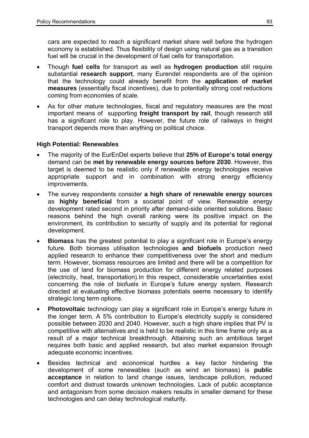cars are expected to reach a significant market share well before the hydrogen economy is established. Thus flexibility of design using natural gas as a transition fuel will be crucial in the development of fuel cells for transportation.

- Though **fuel cells** for transport as well as **hydrogen production** still require substantial **research support**, many Eurendel respondents are of the opinion that the technology could already benefit from the **application of market measures** (essentially fiscal incentives), due to potentially strong cost reductions coming from economies of scale.
- As for other mature technologies, fiscal and regulatory measures are the most important means of supporting **freight transport by rail**, though research still has a significant role to play. However, the future role of railways in freight transport depends more than anything on political choice.

#### **High Potential: Renewables**

- The majority of the EurEnDel experts believe that **25% of Europe's total energy** demand can be **met by renewable energy sources before 2030**. However, this target is deemed to be realistic only if renewable energy technologies receive appropriate support and in combination with strong energy efficiency improvements.
- The survey respondents consider **a high share of renewable energy sources**  as **highly beneficial** from a societal point of view. Renewable energy development rated second in priority after demand-side oriented solutions. Basic reasons behind the high overall ranking were its positive impact on the environment, its contribution to security of supply and its potential for regional development.
- **Biomass** has the greatest potential to play a significant role in Europe's energy future. Both biomass utilisation technologies **and biofuels** production need applied research to enhance their competitiveness over the short and medium term. However, biomass resources are limited and there will be a competition for the use of land for biomass production for different energy related purposes (electricity, heat, transportation).In this respect, considerable uncertainties exist concerning the role of biofuels in Europe's future energy system. Research directed at evaluating effective biomass potentials seems necessary to identify strategic long term options.
- Photovoltaic technology can play a significant role in Europe's energy future in the longer term. A 5% contribution to Europe's electricity supply is considered possible between 2030 and 2040. However, such a high share implies that PV is competitive with alternatives and is held to be realistic in this time frame only as a result of a major technical breakthrough. Attaining such an ambitious target requires both basic and applied research, but also market expansion through adequate economic incentives.
- Besides technical and economical hurdles a key factor hindering the development of some renewables (such as wind an biomass) is **public acceptance** in relation to land change issues, landscape pollution, reduced comfort and distrust towards unknown technologies. Lack of public acceptance and antagonism from some decision makers results in smaller demand for these technologies and can delay technological maturity.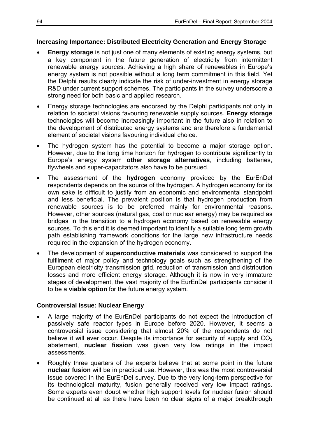### **Increasing Importance: Distributed Electricity Generation and Energy Storage**

- **Energy storage** is not just one of many elements of existing energy systems, but a key component in the future generation of electricity from intermittent renewable energy sources. Achieving a high share of renewables in Europe's energy system is not possible without a long term commitment in this field. Yet the Delphi results clearly indicate the risk of under-investment in energy storage R&D under current support schemes. The participants in the survey underscore a strong need for both basic and applied research.
- Energy storage technologies are endorsed by the Delphi participants not only in relation to societal visions favouring renewable supply sources. **Energy storage** technologies will become increasingly important in the future also in relation to the development of distributed energy systems and are therefore a fundamental element of societal visions favouring individual choice.
- The hydrogen system has the potential to become a major storage option. However, due to the long time horizon for hydrogen to contribute significantly to Europeís energy system **other storage alternatives**, including batteries, flywheels and super-capacitators also have to be pursued.
- The assessment of the **hydrogen** economy provided by the EurEnDel respondents depends on the source of the hydrogen. A hydrogen economy for its own sake is difficult to justify from an economic and environmental standpoint and less beneficial. The prevalent position is that hydrogen production from renewable sources is to be preferred mainly for environmental reasons. However, other sources (natural gas, coal or nuclear energy) may be required as bridges in the transition to a hydrogen economy based on renewable energy sources. To this end it is deemed important to identify a suitable long term growth path establishing framework conditions for the large new infrastructure needs required in the expansion of the hydrogen economy.
- The development of **superconductive materials** was considered to support the fulfilment of major policy and technology goals such as strengthening of the European electricity transmission grid, reduction of transmission and distribution losses and more efficient energy storage. Although it is now in very immature stages of development, the vast majority of the EurEnDel participants consider it to be a **viable option** for the future energy system.

#### **Controversial Issue: Nuclear Energy**

- A large majority of the EurEnDel participants do not expect the introduction of passively safe reactor types in Europe before 2020. However, it seems a controversial issue considering that almost 20% of the respondents do not believe it will ever occur. Despite its importance for security of supply and  $CO<sub>2</sub>$ abatement, **nuclear fission** was given very low ratings in the impact assessments.
- Roughly three quarters of the experts believe that at some point in the future **nuclear fusion** will be in practical use. However, this was the most controversial issue covered in the EurEnDel survey. Due to the very long-term perspective for its technological maturity, fusion generally received very low impact ratings. Some experts even doubt whether high support levels for nuclear fusion should be continued at all as there have been no clear signs of a major breakthrough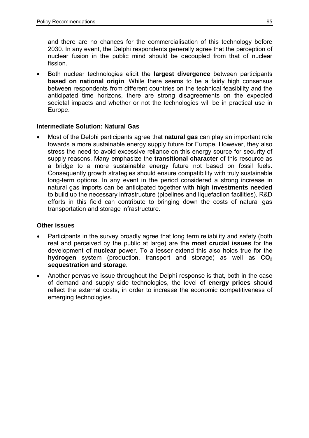and there are no chances for the commercialisation of this technology before 2030. In any event, the Delphi respondents generally agree that the perception of nuclear fusion in the public mind should be decoupled from that of nuclear fission.

• Both nuclear technologies elicit the **largest divergence** between participants **based on national origin**. While there seems to be a fairly high consensus between respondents from different countries on the technical feasibility and the anticipated time horizons, there are strong disagreements on the expected societal impacts and whether or not the technologies will be in practical use in Europe.

### **Intermediate Solution: Natural Gas**

• Most of the Delphi participants agree that **natural gas** can play an important role towards a more sustainable energy supply future for Europe. However, they also stress the need to avoid excessive reliance on this energy source for security of supply reasons. Many emphasize the **transitional character** of this resource as a bridge to a more sustainable energy future not based on fossil fuels. Consequently growth strategies should ensure compatibility with truly sustainable long-term options. In any event in the period considered a strong increase in natural gas imports can be anticipated together with **high investments needed**  to build up the necessary infrastructure (pipelines and liquefaction facilities). R&D efforts in this field can contribute to bringing down the costs of natural gas transportation and storage infrastructure.

#### **Other issues**

- Participants in the survey broadly agree that long term reliability and safety (both real and perceived by the public at large) are the **most crucial issues** for the development of **nuclear** power. To a lesser extend this also holds true for the **hydrogen** system (production, transport and storage) as well as  $CO<sub>2</sub>$ **sequestration and storage**.
- Another pervasive issue throughout the Delphi response is that, both in the case of demand and supply side technologies, the level of **energy prices** should reflect the external costs, in order to increase the economic competitiveness of emerging technologies.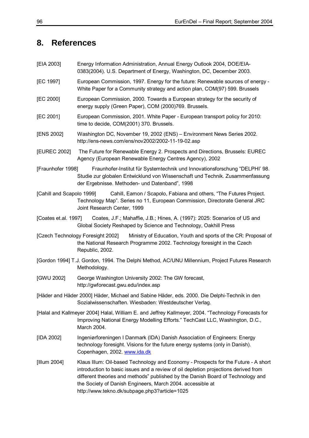# **8. References**

| [EIA 2003]                                                                                                                                                                                          | Energy Information Administration, Annual Energy Outlook 2004, DOE/EIA-<br>0383(2004). U.S. Department of Energy, Washington, DC, December 2003.                                                                                                                                                                                                                            |  |  |  |  |  |
|-----------------------------------------------------------------------------------------------------------------------------------------------------------------------------------------------------|-----------------------------------------------------------------------------------------------------------------------------------------------------------------------------------------------------------------------------------------------------------------------------------------------------------------------------------------------------------------------------|--|--|--|--|--|
| [EC 1997]                                                                                                                                                                                           | European Commission, 1997. Energy for the future: Renewable sources of energy -<br>White Paper for a Community strategy and action plan, COM(97) 599. Brussels                                                                                                                                                                                                              |  |  |  |  |  |
| [EC 2000]                                                                                                                                                                                           | European Commission, 2000. Towards a European strategy for the security of<br>energy supply (Green Paper), COM (2000)769. Brussels.                                                                                                                                                                                                                                         |  |  |  |  |  |
| [EC 2001]                                                                                                                                                                                           | European Commission, 2001. White Paper - European transport policy for 2010:<br>time to decide, COM(2001) 370. Brussels.                                                                                                                                                                                                                                                    |  |  |  |  |  |
| [ENS 2002]                                                                                                                                                                                          | Washington DC, November 19, 2002 (ENS) - Environment News Series 2002.<br>http://ens-news.com/ens/nov2002/2002-11-19-02.asp                                                                                                                                                                                                                                                 |  |  |  |  |  |
| [EUREC 2002]                                                                                                                                                                                        | The Future for Renewable Energy 2. Prospects and Directions, Brussels: EUREC<br>Agency (European Renewable Energy Centres Agency), 2002                                                                                                                                                                                                                                     |  |  |  |  |  |
| [Fraunhofer 1998]                                                                                                                                                                                   | Fraunhofer-Institut für Systemtechnik und Innovationsforschung "DELPHI' 98.<br>Studie zur globalen Entwicklund von Wissenschaft und Technik. Zusammenfassung<br>der Ergebnisse. Methoden- und Datenband", 1998                                                                                                                                                              |  |  |  |  |  |
| [Cahill and Scapolo 1999]                                                                                                                                                                           | Cahill, Eamon / Scapolo, Fabiana and others, "The Futures Project.<br>Technology Map". Series no 11, European Commission, Directorate General JRC<br>Joint Research Center, 1999                                                                                                                                                                                            |  |  |  |  |  |
| [Coates et.al. 1997]<br>Coates, J.F.; Mahaffie, J.B.; Hines, A. (1997): 2025: Scenarios of US and<br>Global Society Reshaped by Science and Technology, Oakhill Press                               |                                                                                                                                                                                                                                                                                                                                                                             |  |  |  |  |  |
|                                                                                                                                                                                                     | [Czech Technology Foresight 2002]<br>Ministry of Education, Youth and sports of the CR: Proposal of<br>the National Research Programme 2002. Technology foresight in the Czech<br>Republic, 2002.                                                                                                                                                                           |  |  |  |  |  |
| [Gordon 1994] T.J. Gordon, 1994. The Delphi Method, AC/UNU Millennium, Project Futures Research<br>Methodology.                                                                                     |                                                                                                                                                                                                                                                                                                                                                                             |  |  |  |  |  |
| [GWU 2002]                                                                                                                                                                                          | George Washington University 2002: The GW forecast,<br>http://gwforecast.gwu.edu/index.asp                                                                                                                                                                                                                                                                                  |  |  |  |  |  |
| [Häder and Häder 2000] Häder, Michael and Sabine Häder, eds. 2000. Die Delphi-Technik in den<br>Sozialwissenschaften. Wiesbaden: Westdeutscher Verlag.                                              |                                                                                                                                                                                                                                                                                                                                                                             |  |  |  |  |  |
| [Halal and Kallmeyer 2004] Halal, William E. and Jeffrey Kallmeyer, 2004. "Technology Forecasts for<br>Improving National Energy Modelling Efforts." TechCast LLC, Washington, D.C.,<br>March 2004. |                                                                                                                                                                                                                                                                                                                                                                             |  |  |  |  |  |
| [IDA 2002]                                                                                                                                                                                          | Ingeniørforeningen I Danmark (IDA) Danish Association of Engineers: Energy<br>technology foresight. Visions for the future energy systems (only in Danish).<br>Copenhagen, 2002. www.ida.dk                                                                                                                                                                                 |  |  |  |  |  |
| [Illum 2004]                                                                                                                                                                                        | Klaus Illum: Oil-based Technology and Economy - Prospects for the Future - A short<br>introduction to basic issues and a review of oil depletion projections derived from<br>different theories and methods" published by the Danish Board of Technology and<br>the Society of Danish Engineers, March 2004. accessible at<br>http://www.tekno.dk/subpage.php3?article=1025 |  |  |  |  |  |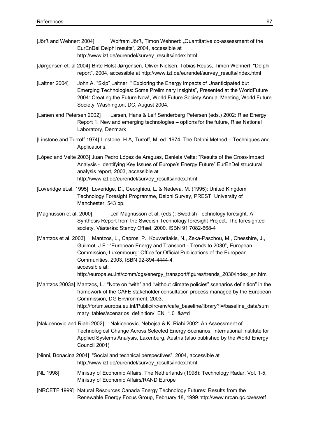- [Jörß and Wehnert 2004] Wolfram Jörß, Timon Wehnert: "Quantitative co-assessment of the EurEnDel Delphi results", 2004, accessible at http://www.izt.de/eurendel/survey\_results/index.html
- [Jørgensen et. al 2004] Birte Holst Jørgensen, Oliver Nielsen, Tobias Reuss, Timon Wehnert: "Delphi report", 2004, accessible at http://www.izt.de/eurendel/survey\_results/index.html
- [Laitner 2004] John A. "Skip" Laitner: " Exploring the Energy Impacts of Unanticipated but Emerging Technologies: Some Preliminary Insightsî, Presented at the WorldFuture 2004: Creating the Future Now!, World Future Society Annual Meeting, World Future Society, Washington, DC, August 2004.
- [Larsen and Petersen 2002] Larsen, Hans & Leif Sønderberg Petersen (eds.) 2002: Risø Energy Report 1. New and emerging technologies – options for the future, Risø National Laboratory, Denmark
- [Linstone and Turroff 1974] Linstone, H.A, Turroff, M. ed. 1974. The Delphi Method Techniques and Applications.
- [López and Velte 2003] Juan Pedro López de Araguas, Daniela Velte: "Results of the Cross-Impact Analysis - Identifying Key Issues of Europe's Energy Future" EurEnDel structural analysis report, 2003, accessible at http://www.izt.de/eurendel/survey\_results/index.html
- [Loveridge et.al. 1995] Loveridge, D., Georghiou, L. & Nedeva. M. (1995): United Kingdom Technology Foresight Programme, Delphi Survey, PREST, University of Manchester, 543 pp.
- [Magnusson et al. 2000] Leif Magnusson et al. (eds.): Swedish Technology foresight. A Synthesis Report from the Swedish Technology foresight Project. The foresighted society. Västerås: Stenby Offset, 2000. ISBN 91 7082-668-4
- [Mantzos et al. 2003] Mantzos, L., Capros, P., Kouvaritakis, N., Zeka-Paschou, M., Chesshire, J., Guilmot, J.F.: "European Energy and Transport - Trends to 2030", European Commission, Luxembourg: Office for Official Publications of the European Communities, 2003, ISBN 92-894-4444-4 accessible at: http://europa.eu.int/comm/dgs/energy\_transport/figures/trends\_2030/index\_en.htm
- [Mantzos 2003a] Mantzos, L.: "Note on "with" and "without climate policies" scenarios definition" in the framework of the CAFE stakeholder consultation process managed by the European Commission, DG Environment, 2003, http://forum.europa.eu.int/Public/irc/env/cafe\_baseline/library?l=/baseline\_data/sum mary tables/scenarios definition/ EN 1.0 &a=d
- [Nakicenovic and Riahi 2002] Nakicenovic, Nebojsa & K. Riahi 2002: An Assessment of Technological Change Across Selected Energy Scenarios, International Institute for Applied Systems Analysis, Laxenburg, Austria (also published by the World Energy Council 2001)
- [Ninni, Bonacina 2004] "Social and technical perspectives", 2004, accessible at http://www.izt.de/eurendel/survey\_results/index.html
- [NL 1998] Ministry of Economic Affairs, The Netherlands (1998): Technology Radar. Vol. 1-5, Ministry of Economic Affairs/RAND Europe
- [NRCETF 1999] Natural Resources Canada Energy Technology Futures: Results from the Renewable Energy Focus Group, February 18, 1999.http://www.nrcan.gc.ca/es/etf